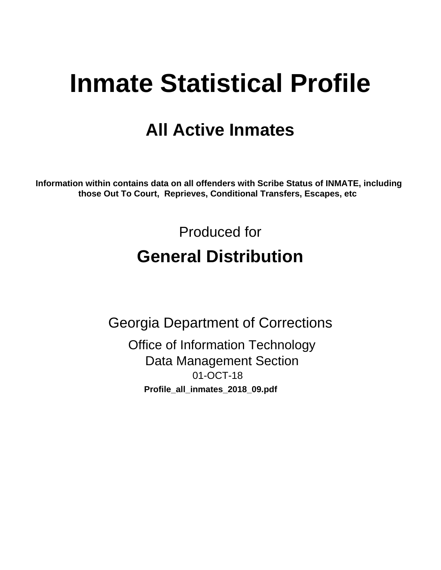# **Inmate Statistical Profile**

## **All Active Inmates**

Information within contains data on all offenders with Scribe Status of INMATE, including those Out To Court, Reprieves, Conditional Transfers, Escapes, etc

> Produced for **General Distribution**

**Georgia Department of Corrections Office of Information Technology Data Management Section** 01-OCT-18 Profile\_all\_inmates\_2018\_09.pdf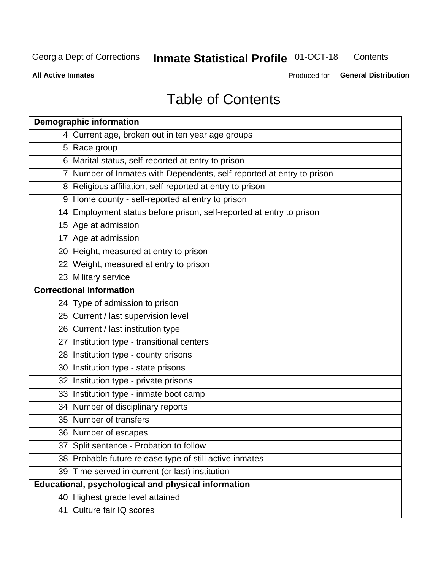#### **Inmate Statistical Profile 01-OCT-18** Contents

**All Active Inmates** 

Produced for General Distribution

## **Table of Contents**

| <b>Demographic information</b>                                        |
|-----------------------------------------------------------------------|
| 4 Current age, broken out in ten year age groups                      |
| 5 Race group                                                          |
| 6 Marital status, self-reported at entry to prison                    |
| 7 Number of Inmates with Dependents, self-reported at entry to prison |
| 8 Religious affiliation, self-reported at entry to prison             |
| 9 Home county - self-reported at entry to prison                      |
| 14 Employment status before prison, self-reported at entry to prison  |
| 15 Age at admission                                                   |
| 17 Age at admission                                                   |
| 20 Height, measured at entry to prison                                |
| 22 Weight, measured at entry to prison                                |
| 23 Military service                                                   |
| <b>Correctional information</b>                                       |
| 24 Type of admission to prison                                        |
| 25 Current / last supervision level                                   |
| 26 Current / last institution type                                    |
| 27 Institution type - transitional centers                            |
| 28 Institution type - county prisons                                  |
| 30 Institution type - state prisons                                   |
| 32 Institution type - private prisons                                 |
| 33 Institution type - inmate boot camp                                |
| 34 Number of disciplinary reports                                     |
| 35 Number of transfers                                                |
| 36 Number of escapes                                                  |
| 37 Split sentence - Probation to follow                               |
| 38 Probable future release type of still active inmates               |
| 39 Time served in current (or last) institution                       |
| <b>Educational, psychological and physical information</b>            |
| 40 Highest grade level attained                                       |
| 41 Culture fair IQ scores                                             |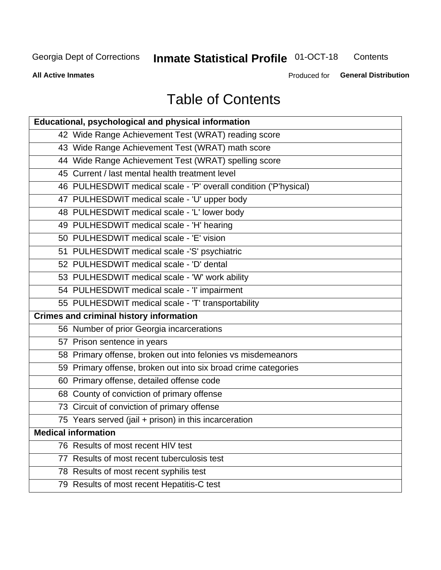#### **Inmate Statistical Profile 01-OCT-18** Contents

**All Active Inmates** 

Produced for General Distribution

## **Table of Contents**

| Educational, psychological and physical information              |
|------------------------------------------------------------------|
| 42 Wide Range Achievement Test (WRAT) reading score              |
| 43 Wide Range Achievement Test (WRAT) math score                 |
| 44 Wide Range Achievement Test (WRAT) spelling score             |
| 45 Current / last mental health treatment level                  |
| 46 PULHESDWIT medical scale - 'P' overall condition ('P'hysical) |
| 47 PULHESDWIT medical scale - 'U' upper body                     |
| 48 PULHESDWIT medical scale - 'L' lower body                     |
| 49 PULHESDWIT medical scale - 'H' hearing                        |
| 50 PULHESDWIT medical scale - 'E' vision                         |
| 51 PULHESDWIT medical scale -'S' psychiatric                     |
| 52 PULHESDWIT medical scale - 'D' dental                         |
| 53 PULHESDWIT medical scale - 'W' work ability                   |
| 54 PULHESDWIT medical scale - 'I' impairment                     |
| 55 PULHESDWIT medical scale - 'T' transportability               |
| <b>Crimes and criminal history information</b>                   |
| 56 Number of prior Georgia incarcerations                        |
| 57 Prison sentence in years                                      |
| 58 Primary offense, broken out into felonies vs misdemeanors     |
| 59 Primary offense, broken out into six broad crime categories   |
| 60 Primary offense, detailed offense code                        |
| 68 County of conviction of primary offense                       |
| 73 Circuit of conviction of primary offense                      |
| 75 Years served (jail + prison) in this incarceration            |
| <b>Medical information</b>                                       |
| 76 Results of most recent HIV test                               |
| 77 Results of most recent tuberculosis test                      |
| 78 Results of most recent syphilis test                          |
| 79 Results of most recent Hepatitis-C test                       |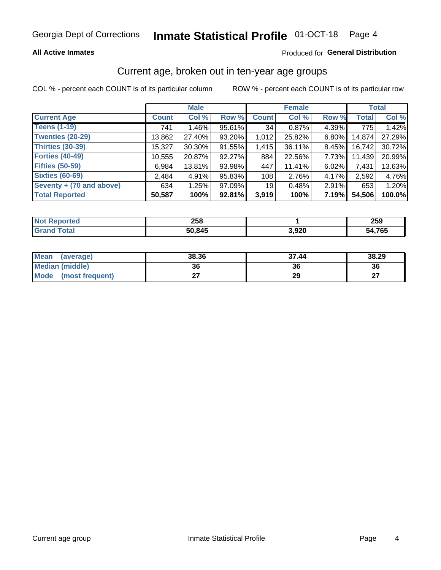## **All Active Inmates**

## Produced for General Distribution

## Current age, broken out in ten-year age groups

COL % - percent each COUNT is of its particular column

|                          | <b>Male</b>  |          |        | <b>Female</b>   |        |          | <b>Total</b> |        |
|--------------------------|--------------|----------|--------|-----------------|--------|----------|--------------|--------|
| <b>Current Age</b>       | <b>Count</b> | Col %    | Row %  | <b>Count</b>    | Col %  | Row %    | <b>Total</b> | Col %  |
| <b>Teens (1-19)</b>      | 741          | $1.46\%$ | 95.61% | 34              | 0.87%  | 4.39%    | 775          | 1.42%  |
| <b>Twenties (20-29)</b>  | 13,862       | 27.40%   | 93.20% | 1,012           | 25.82% | $6.80\%$ | 14,874       | 27.29% |
| Thirties (30-39)         | 15,327       | 30.30%   | 91.55% | 1,415           | 36.11% | $8.45\%$ | 16,742       | 30.72% |
| <b>Forties (40-49)</b>   | 10,555       | 20.87%   | 92.27% | 884             | 22.56% | 7.73%    | 11,439       | 20.99% |
| <b>Fifties (50-59)</b>   | 6,984        | 13.81%   | 93.98% | 447             | 11.41% | 6.02%    | 7,431        | 13.63% |
| <b>Sixties (60-69)</b>   | 2.484        | 4.91%    | 95.83% | 108             | 2.76%  | 4.17%    | 2,592        | 4.76%  |
| Seventy + (70 and above) | 634          | 1.25%    | 97.09% | 19 <sup>1</sup> | 0.48%  | 2.91%    | 653          | 1.20%  |
| <b>Total Reported</b>    | 50,587       | 100%     | 92.81% | 3,919           | 100%   | 7.19%    | 54,506       | 100.0% |

| Not I          | <b>OEO</b> |                | המה    |
|----------------|------------|----------------|--------|
| <b>Enorted</b> | ∠ວ໐        |                | ∠ວອ    |
| Total          | 50,845     | חרם כ<br>J,JZU | 54,765 |

| <b>Mean</b><br>(average) | 38.36 | 37.44 | 38.29         |
|--------------------------|-------|-------|---------------|
| Median (middle)          | 36    | 36    | 36            |
| Mode<br>(most frequent)  |       | 29    | $\sim$<br>. . |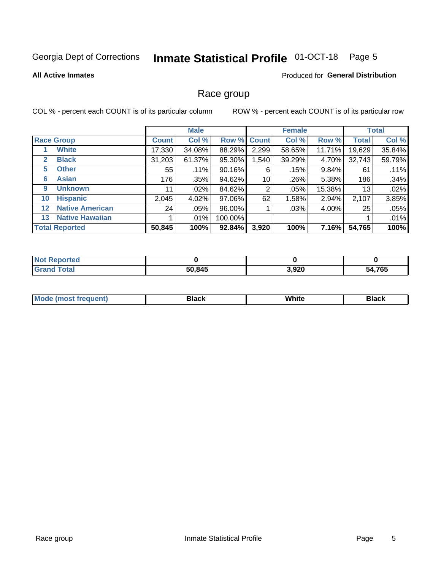#### **Inmate Statistical Profile 01-OCT-18** Page 5

## **All Active Inmates**

## **Produced for General Distribution**

## Race group

COL % - percent each COUNT is of its particular column

|                   |                        | <b>Male</b>  |         |         | <b>Female</b> |        |        | <b>Total</b> |        |
|-------------------|------------------------|--------------|---------|---------|---------------|--------|--------|--------------|--------|
|                   | <b>Race Group</b>      | <b>Count</b> | Col %   |         | Row % Count   | Col %  | Row %  | <b>Total</b> | Col %  |
|                   | <b>White</b>           | 17,330       | 34.08%  | 88.29%  | 2,299         | 58.65% | 11.71% | 19,629       | 35.84% |
| 2                 | <b>Black</b>           | 31,203       | 61.37%  | 95.30%  | .540          | 39.29% | 4.70%  | 32,743       | 59.79% |
| 5                 | <b>Other</b>           | 55           | .11%    | 90.16%  | 6             | .15%   | 9.84%  | 61           | .11%   |
| 6                 | <b>Asian</b>           | 176          | .35%    | 94.62%  | 10            | .26%   | 5.38%  | 186          | .34%   |
| 9                 | <b>Unknown</b>         | 11           | $.02\%$ | 84.62%  | 2             | .05%   | 15.38% | 13           | .02%   |
| 10                | <b>Hispanic</b>        | 2,045        | 4.02%   | 97.06%  | 62            | 1.58%  | 2.94%  | 2,107        | 3.85%  |
| $12 \overline{ }$ | <b>Native American</b> | 24           | $.05\%$ | 96.00%  |               | .03%   | 4.00%  | 25           | .05%   |
| 13                | <b>Native Hawaiian</b> |              | $.01\%$ | 100.00% |               |        |        |              | .01%   |
|                   | <b>Total Reported</b>  | 50,845       | 100%    | 92.84%  | 3,920         | 100%   | 7.16%  | 54,765       | 100%   |

| <b>Not Reported</b> |        |       |        |
|---------------------|--------|-------|--------|
| <b>Grand Total</b>  | 50,845 | 3,920 | 54,765 |

| <b>Mode</b><br>---<br>most frequent) | Black | White | <b>Black</b> |
|--------------------------------------|-------|-------|--------------|
|                                      |       |       |              |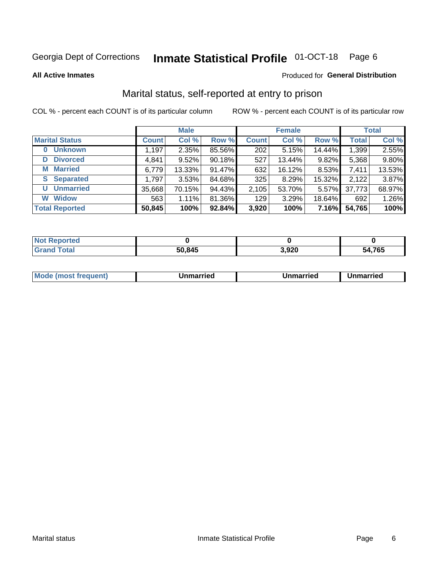#### **Inmate Statistical Profile 01-OCT-18** Page 6

**All Active Inmates** 

## Produced for General Distribution

## Marital status, self-reported at entry to prison

COL % - percent each COUNT is of its particular column

|                            | <b>Male</b>  |        |        |              | <b>Female</b> | <b>Total</b> |              |        |
|----------------------------|--------------|--------|--------|--------------|---------------|--------------|--------------|--------|
| <b>Marital Status</b>      | <b>Count</b> | Col %  | Row %  | <b>Count</b> | Col %         | Row %        | <b>Total</b> | Col %  |
| <b>Unknown</b><br>$\bf{0}$ | 1,197        | 2.35%  | 85.56% | 202          | 5.15%         | 14.44%       | 1,399        | 2.55%  |
| <b>Divorced</b><br>D       | 4,841        | 9.52%  | 90.18% | 527          | 13.44%        | 9.82%        | 5,368        | 9.80%  |
| <b>Married</b><br>М        | 6,779        | 13.33% | 91.47% | 632          | 16.12%        | 8.53%        | 7,411        | 13.53% |
| <b>Separated</b><br>S.     | 1,797        | 3.53%  | 84.68% | 325          | 8.29%         | 15.32%       | 2,122        | 3.87%  |
| <b>Unmarried</b><br>U      | 35,668       | 70.15% | 94.43% | 2,105        | 53.70%        | 5.57%        | 37,773       | 68.97% |
| <b>Widow</b><br>W          | 563          | 1.11%  | 81.36% | 129          | 3.29%         | 18.64%       | 692          | 1.26%  |
| <b>Total Reported</b>      | 50,845       | 100%   | 92.84% | 3,920        | 100%          | 7.16%        | 54,765       | 100%   |

| $^{\dagger}$ Not.<br>ੋਾorted |        |                |             |
|------------------------------|--------|----------------|-------------|
| <b>Total</b>                 | 50,845 | . aor<br>りっぴんし | 4,765<br>יי |

|--|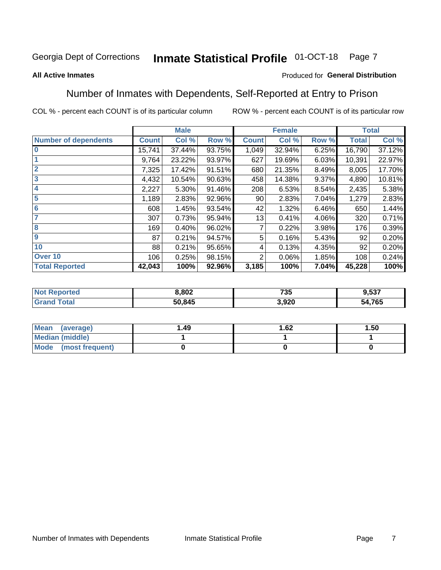#### **Inmate Statistical Profile 01-OCT-18** Page 7

### **All Active Inmates**

## Produced for General Distribution

## Number of Inmates with Dependents, Self-Reported at Entry to Prison

COL % - percent each COUNT is of its particular column

|                             |              | <b>Male</b> |        |                | <b>Female</b> |       |              | <b>Total</b> |
|-----------------------------|--------------|-------------|--------|----------------|---------------|-------|--------------|--------------|
| <b>Number of dependents</b> | <b>Count</b> | Col %       | Row %  | <b>Count</b>   | Col %         | Row % | <b>Total</b> | Col %        |
| l 0                         | 15,741       | 37.44%      | 93.75% | 1,049          | 32.94%        | 6.25% | 16,790       | 37.12%       |
|                             | 9,764        | 23.22%      | 93.97% | 627            | 19.69%        | 6.03% | 10,391       | 22.97%       |
| $\overline{2}$              | 7,325        | 17.42%      | 91.51% | 680            | 21.35%        | 8.49% | 8,005        | 17.70%       |
| $\overline{\mathbf{3}}$     | 4,432        | 10.54%      | 90.63% | 458            | 14.38%        | 9.37% | 4,890        | 10.81%       |
| 4                           | 2,227        | 5.30%       | 91.46% | 208            | 6.53%         | 8.54% | 2,435        | 5.38%        |
| 5                           | 1,189        | 2.83%       | 92.96% | 90             | 2.83%         | 7.04% | 1,279        | 2.83%        |
| 6                           | 608          | 1.45%       | 93.54% | 42             | 1.32%         | 6.46% | 650          | 1.44%        |
| 7                           | 307          | 0.73%       | 95.94% | 13             | 0.41%         | 4.06% | 320          | 0.71%        |
| $\overline{\mathbf{8}}$     | 169          | 0.40%       | 96.02% | $\overline{7}$ | 0.22%         | 3.98% | 176          | 0.39%        |
| 9                           | 87           | 0.21%       | 94.57% | 5              | 0.16%         | 5.43% | 92           | 0.20%        |
| 10                          | 88           | 0.21%       | 95.65% | 4              | 0.13%         | 4.35% | 92           | 0.20%        |
| Over 10                     | 106          | 0.25%       | 98.15% | $\overline{2}$ | 0.06%         | 1.85% | 108          | 0.24%        |
| <b>Total Reported</b>       | 42,043       | 100%        | 92.96% | 3,185          | 100%          | 7.04% | 45,228       | 100%         |

| 8,802  | フクド<br>ט ו | -07<br>ງ.ວວ. |
|--------|------------|--------------|
| 50,845 | 3,920      | 54,765       |

| Mean (average)         | 1.49 | 1.62 | 1.50 |
|------------------------|------|------|------|
| <b>Median (middle)</b> |      |      |      |
| Mode (most frequent)   |      |      |      |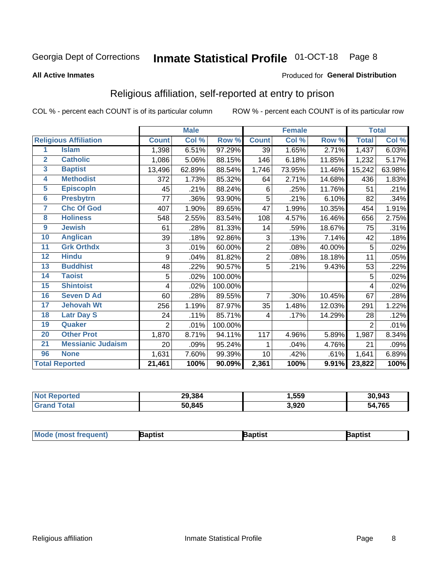#### **Inmate Statistical Profile 01-OCT-18** Page 8

### **All Active Inmates**

### Produced for General Distribution

## Religious affiliation, self-reported at entry to prison

COL % - percent each COUNT is of its particular column

|                         |                              |                | <b>Male</b> |         |                | <b>Female</b>             |        |              | <b>Total</b> |
|-------------------------|------------------------------|----------------|-------------|---------|----------------|---------------------------|--------|--------------|--------------|
|                         | <b>Religious Affiliation</b> | <b>Count</b>   | Col %       | Row %   | <b>Count</b>   | $\overline{\text{Col}}$ % | Row %  | <b>Total</b> | Col %        |
| 1                       | <b>Islam</b>                 | 1,398          | 6.51%       | 97.29%  | 39             | 1.65%                     | 2.71%  | 1,437        | 6.03%        |
| $\overline{2}$          | <b>Catholic</b>              | 1,086          | 5.06%       | 88.15%  | 146            | 6.18%                     | 11.85% | 1,232        | 5.17%        |
| $\overline{\mathbf{3}}$ | <b>Baptist</b>               | 13,496         | 62.89%      | 88.54%  | 1,746          | 73.95%                    | 11.46% | 15,242       | 63.98%       |
| $\overline{\mathbf{4}}$ | <b>Methodist</b>             | 372            | 1.73%       | 85.32%  | 64             | 2.71%                     | 14.68% | 436          | 1.83%        |
| $\overline{5}$          | <b>EpiscopIn</b>             | 45             | .21%        | 88.24%  | 6              | .25%                      | 11.76% | 51           | .21%         |
| $6\phantom{a}$          | <b>Presbytrn</b>             | 77             | .36%        | 93.90%  | 5              | .21%                      | 6.10%  | 82           | .34%         |
| 7                       | <b>Chc Of God</b>            | 407            | 1.90%       | 89.65%  | 47             | 1.99%                     | 10.35% | 454          | 1.91%        |
| 8                       | <b>Holiness</b>              | 548            | 2.55%       | 83.54%  | 108            | 4.57%                     | 16.46% | 656          | 2.75%        |
| 9                       | <b>Jewish</b>                | 61             | .28%        | 81.33%  | 14             | .59%                      | 18.67% | 75           | .31%         |
| 10                      | <b>Anglican</b>              | 39             | .18%        | 92.86%  | 3              | .13%                      | 7.14%  | 42           | .18%         |
| 11                      | <b>Grk Orthdx</b>            | 3              | .01%        | 60.00%  | $\overline{2}$ | $.08\%$                   | 40.00% | 5            | .02%         |
| 12                      | <b>Hindu</b>                 | 9              | .04%        | 81.82%  | 2              | .08%                      | 18.18% | 11           | .05%         |
| 13                      | <b>Buddhist</b>              | 48             | .22%        | 90.57%  | 5              | .21%                      | 9.43%  | 53           | .22%         |
| 14                      | <b>Taoist</b>                | 5              | .02%        | 100.00% |                |                           |        | 5            | .02%         |
| 15                      | <b>Shintoist</b>             | 4              | .02%        | 100.00% |                |                           |        | 4            | .02%         |
| 16                      | <b>Seven D Ad</b>            | 60             | .28%        | 89.55%  | $\overline{7}$ | .30%                      | 10.45% | 67           | .28%         |
| 17                      | <b>Jehovah Wt</b>            | 256            | 1.19%       | 87.97%  | 35             | 1.48%                     | 12.03% | 291          | 1.22%        |
| 18                      | <b>Latr Day S</b>            | 24             | .11%        | 85.71%  | 4              | .17%                      | 14.29% | 28           | .12%         |
| 19                      | Quaker                       | $\overline{2}$ | .01%        | 100.00% |                |                           |        | 2            | .01%         |
| 20                      | <b>Other Prot</b>            | 1,870          | 8.71%       | 94.11%  | 117            | 4.96%                     | 5.89%  | 1,987        | 8.34%        |
| 21                      | <b>Messianic Judaism</b>     | 20             | .09%        | 95.24%  | 1              | .04%                      | 4.76%  | 21           | .09%         |
| 96                      | <b>None</b>                  | 1,631          | 7.60%       | 99.39%  | 10             | .42%                      | .61%   | 1,641        | 6.89%        |
|                         | <b>Total Reported</b>        | 21,461         | 100%        | 90.09%  | 2,361          | 100%                      | 9.91%  | 23,822       | 100%         |

|                 | 29,384 | ,559  | 30,943      |
|-----------------|--------|-------|-------------|
| $int^{\bullet}$ | 50,845 | 3,920 | 4,765<br>מר |

| Mode (most frequent)<br>Baptist | 3aptist | 3aptist |  |
|---------------------------------|---------|---------|--|
|---------------------------------|---------|---------|--|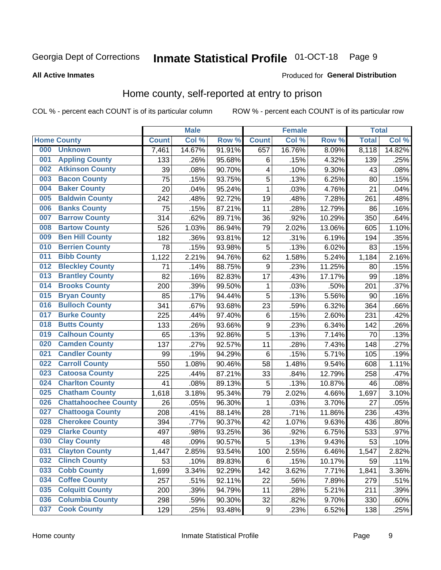#### **Inmate Statistical Profile 01-OCT-18** Page 9

### **All Active Inmates**

### Produced for General Distribution

## Home county, self-reported at entry to prison

COL % - percent each COUNT is of its particular column

|     |                             |              | <b>Male</b> |                  |                  | <b>Female</b> |        | <b>Total</b> |        |
|-----|-----------------------------|--------------|-------------|------------------|------------------|---------------|--------|--------------|--------|
|     | <b>Home County</b>          | <b>Count</b> | Col %       | Row <sup>%</sup> | <b>Count</b>     | Col %         | Row %  | <b>Total</b> | Col %  |
| 000 | <b>Unknown</b>              | 7,461        | 14.67%      | 91.91%           | 657              | 16.76%        | 8.09%  | 8,118        | 14.82% |
| 001 | <b>Appling County</b>       | 133          | .26%        | 95.68%           | $\,6$            | .15%          | 4.32%  | 139          | .25%   |
| 002 | <b>Atkinson County</b>      | 39           | .08%        | 90.70%           | 4                | .10%          | 9.30%  | 43           | .08%   |
| 003 | <b>Bacon County</b>         | 75           | .15%        | 93.75%           | 5                | .13%          | 6.25%  | 80           | .15%   |
| 004 | <b>Baker County</b>         | 20           | .04%        | 95.24%           | $\mathbf 1$      | .03%          | 4.76%  | 21           | .04%   |
| 005 | <b>Baldwin County</b>       | 242          | .48%        | 92.72%           | 19               | .48%          | 7.28%  | 261          | .48%   |
| 006 | <b>Banks County</b>         | 75           | .15%        | 87.21%           | 11               | .28%          | 12.79% | 86           | .16%   |
| 007 | <b>Barrow County</b>        | 314          | .62%        | 89.71%           | 36               | .92%          | 10.29% | 350          | .64%   |
| 008 | <b>Bartow County</b>        | 526          | 1.03%       | 86.94%           | 79               | 2.02%         | 13.06% | 605          | 1.10%  |
| 009 | <b>Ben Hill County</b>      | 182          | .36%        | 93.81%           | 12               | .31%          | 6.19%  | 194          | .35%   |
| 010 | <b>Berrien County</b>       | 78           | .15%        | 93.98%           | 5                | .13%          | 6.02%  | 83           | .15%   |
| 011 | <b>Bibb County</b>          | 1,122        | 2.21%       | 94.76%           | 62               | 1.58%         | 5.24%  | 1,184        | 2.16%  |
| 012 | <b>Bleckley County</b>      | 71           | .14%        | 88.75%           | 9                | .23%          | 11.25% | 80           | .15%   |
| 013 | <b>Brantley County</b>      | 82           | .16%        | 82.83%           | 17               | .43%          | 17.17% | 99           | .18%   |
| 014 | <b>Brooks County</b>        | 200          | .39%        | 99.50%           | 1                | .03%          | .50%   | 201          | .37%   |
| 015 | <b>Bryan County</b>         | 85           | .17%        | 94.44%           | 5                | .13%          | 5.56%  | 90           | .16%   |
| 016 | <b>Bulloch County</b>       | 341          | .67%        | 93.68%           | 23               | .59%          | 6.32%  | 364          | .66%   |
| 017 | <b>Burke County</b>         | 225          | .44%        | 97.40%           | $\,6$            | .15%          | 2.60%  | 231          | .42%   |
| 018 | <b>Butts County</b>         | 133          | .26%        | 93.66%           | $\boldsymbol{9}$ | .23%          | 6.34%  | 142          | .26%   |
| 019 | <b>Calhoun County</b>       | 65           | .13%        | 92.86%           | 5                | .13%          | 7.14%  | 70           | .13%   |
| 020 | <b>Camden County</b>        | 137          | .27%        | 92.57%           | 11               | .28%          | 7.43%  | 148          | .27%   |
| 021 | <b>Candler County</b>       | 99           | .19%        | 94.29%           | $\,6$            | .15%          | 5.71%  | 105          | .19%   |
| 022 | <b>Carroll County</b>       | 550          | 1.08%       | 90.46%           | 58               | 1.48%         | 9.54%  | 608          | 1.11%  |
| 023 | <b>Catoosa County</b>       | 225          | .44%        | 87.21%           | 33               | .84%          | 12.79% | 258          | .47%   |
| 024 | <b>Charlton County</b>      | 41           | .08%        | 89.13%           | 5                | .13%          | 10.87% | 46           | .08%   |
| 025 | <b>Chatham County</b>       | 1,618        | 3.18%       | 95.34%           | 79               | 2.02%         | 4.66%  | 1,697        | 3.10%  |
| 026 | <b>Chattahoochee County</b> | 26           | .05%        | 96.30%           | $\mathbf{1}$     | .03%          | 3.70%  | 27           | .05%   |
| 027 | <b>Chattooga County</b>     | 208          | .41%        | 88.14%           | 28               | .71%          | 11.86% | 236          | .43%   |
| 028 | <b>Cherokee County</b>      | 394          | .77%        | 90.37%           | 42               | 1.07%         | 9.63%  | 436          | .80%   |
| 029 | <b>Clarke County</b>        | 497          | .98%        | 93.25%           | 36               | .92%          | 6.75%  | 533          | .97%   |
| 030 | <b>Clay County</b>          | 48           | .09%        | 90.57%           | $\overline{5}$   | .13%          | 9.43%  | 53           | .10%   |
| 031 | <b>Clayton County</b>       | 1,447        | 2.85%       | 93.54%           | 100              | 2.55%         | 6.46%  | 1,547        | 2.82%  |
| 032 | <b>Clinch County</b>        | 53           | .10%        | 89.83%           | 6                | .15%          | 10.17% | 59           | .11%   |
| 033 | <b>Cobb County</b>          | 1,699        | 3.34%       | 92.29%           | 142              | 3.62%         | 7.71%  | 1,841        | 3.36%  |
| 034 | <b>Coffee County</b>        | 257          | .51%        | 92.11%           | 22               | .56%          | 7.89%  | 279          | .51%   |
| 035 | <b>Colquitt County</b>      | 200          | .39%        | 94.79%           | 11               | .28%          | 5.21%  | 211          | .39%   |
| 036 | <b>Columbia County</b>      | 298          | .59%        | 90.30%           | 32               | .82%          | 9.70%  | 330          | .60%   |
| 037 | <b>Cook County</b>          | 129          | .25%        | 93.48%           | $\boldsymbol{9}$ | .23%          | 6.52%  | 138          | .25%   |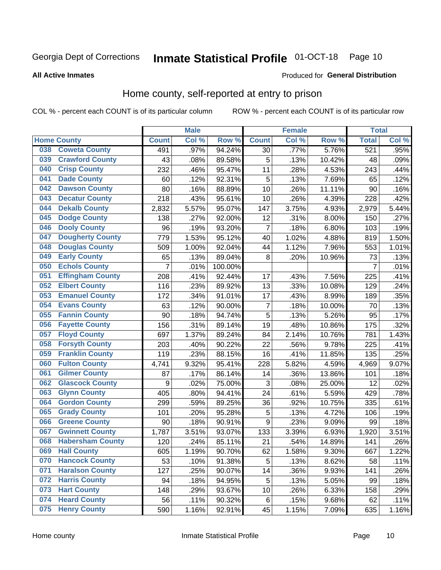## Inmate Statistical Profile 01-OCT-18 Page 10

## **All Active Inmates**

### Produced for General Distribution

## Home county, self-reported at entry to prison

COL % - percent each COUNT is of its particular column

|     |                         |                | <b>Male</b> |         |                         | <b>Female</b> |          | <b>Total</b>   |       |
|-----|-------------------------|----------------|-------------|---------|-------------------------|---------------|----------|----------------|-------|
|     | <b>Home County</b>      | <b>Count</b>   | Col%        | Row %   | <b>Count</b>            | Col %         | Row %    | <b>Total</b>   | Col % |
| 038 | <b>Coweta County</b>    | 491            | .97%        | 94.24%  | 30                      | .77%          | 5.76%    | 521            | .95%  |
| 039 | <b>Crawford County</b>  | 43             | .08%        | 89.58%  | 5                       | .13%          | 10.42%   | 48             | .09%  |
| 040 | <b>Crisp County</b>     | 232            | .46%        | 95.47%  | 11                      | .28%          | 4.53%    | 243            | .44%  |
| 041 | <b>Dade County</b>      | 60             | .12%        | 92.31%  | 5                       | .13%          | 7.69%    | 65             | .12%  |
| 042 | <b>Dawson County</b>    | 80             | .16%        | 88.89%  | 10                      | .26%          | 11.11%   | 90             | .16%  |
| 043 | <b>Decatur County</b>   | 218            | .43%        | 95.61%  | 10                      | .26%          | 4.39%    | 228            | .42%  |
| 044 | <b>Dekalb County</b>    | 2,832          | 5.57%       | 95.07%  | 147                     | 3.75%         | 4.93%    | 2,979          | 5.44% |
| 045 | <b>Dodge County</b>     | 138            | .27%        | 92.00%  | 12                      | .31%          | 8.00%    | 150            | .27%  |
| 046 | <b>Dooly County</b>     | 96             | .19%        | 93.20%  | $\overline{7}$          | .18%          | 6.80%    | 103            | .19%  |
| 047 | <b>Dougherty County</b> | 779            | 1.53%       | 95.12%  | 40                      | 1.02%         | 4.88%    | 819            | 1.50% |
| 048 | <b>Douglas County</b>   | 509            | 1.00%       | 92.04%  | 44                      | 1.12%         | 7.96%    | 553            | 1.01% |
| 049 | <b>Early County</b>     | 65             | .13%        | 89.04%  | 8                       | .20%          | 10.96%   | 73             | .13%  |
| 050 | <b>Echols County</b>    | $\overline{7}$ | .01%        | 100.00% |                         |               |          | $\overline{7}$ | .01%  |
| 051 | <b>Effingham County</b> | 208            | .41%        | 92.44%  | 17                      | .43%          | 7.56%    | 225            | .41%  |
| 052 | <b>Elbert County</b>    | 116            | .23%        | 89.92%  | 13                      | .33%          | 10.08%   | 129            | .24%  |
| 053 | <b>Emanuel County</b>   | 172            | .34%        | 91.01%  | 17                      | .43%          | 8.99%    | 189            | .35%  |
| 054 | <b>Evans County</b>     | 63             | .12%        | 90.00%  | $\overline{\mathbf{7}}$ | .18%          | 10.00%   | 70             | .13%  |
| 055 | <b>Fannin County</b>    | 90             | .18%        | 94.74%  | 5                       | .13%          | 5.26%    | 95             | .17%  |
| 056 | <b>Fayette County</b>   | 156            | .31%        | 89.14%  | 19                      | .48%          | 10.86%   | 175            | .32%  |
| 057 | <b>Floyd County</b>     | 697            | 1.37%       | 89.24%  | 84                      | 2.14%         | 10.76%   | 781            | 1.43% |
| 058 | <b>Forsyth County</b>   | 203            | .40%        | 90.22%  | 22                      | .56%          | 9.78%    | 225            | .41%  |
| 059 | <b>Franklin County</b>  | 119            | .23%        | 88.15%  | 16                      | .41%          | 11.85%   | 135            | .25%  |
| 060 | <b>Fulton County</b>    | 4,741          | 9.32%       | 95.41%  | 228                     | 5.82%         | 4.59%    | 4,969          | 9.07% |
| 061 | <b>Gilmer County</b>    | 87             | .17%        | 86.14%  | 14                      | .36%          | 13.86%   | 101            | .18%  |
| 062 | <b>Glascock County</b>  | 9              | .02%        | 75.00%  | 3                       | .08%          | 25.00%   | 12             | .02%  |
| 063 | <b>Glynn County</b>     | 405            | .80%        | 94.41%  | 24                      | .61%          | 5.59%    | 429            | .78%  |
| 064 | <b>Gordon County</b>    | 299            | .59%        | 89.25%  | 36                      | .92%          | 10.75%   | 335            | .61%  |
| 065 | <b>Grady County</b>     | 101            | .20%        | 95.28%  | 5                       | .13%          | 4.72%    | 106            | .19%  |
| 066 | <b>Greene County</b>    | 90             | .18%        | 90.91%  | 9                       | .23%          | 9.09%    | 99             | .18%  |
| 067 | <b>Gwinnett County</b>  | 1,787          | 3.51%       | 93.07%  | 133                     | 3.39%         | 6.93%    | 1,920          | 3.51% |
| 068 | <b>Habersham County</b> | 120            | .24%        | 85.11%  | 21                      | .54%          | 14.89%   | 141            | .26%  |
| 069 | <b>Hall County</b>      | 605            | 1.19%       | 90.70%  | 62                      | 1.58%         | $9.30\%$ | 667            | 1.22% |
| 070 | <b>Hancock County</b>   | 53             | .10%        | 91.38%  | 5                       | .13%          | 8.62%    | 58             | .11%  |
| 071 | <b>Haralson County</b>  | 127            | .25%        | 90.07%  | 14                      | .36%          | 9.93%    | 141            | .26%  |
| 072 | <b>Harris County</b>    | 94             | .18%        | 94.95%  | 5                       | .13%          | 5.05%    | 99             | .18%  |
| 073 | <b>Hart County</b>      | 148            | .29%        | 93.67%  | 10                      | .26%          | 6.33%    | 158            | .29%  |
| 074 | <b>Heard County</b>     | 56             | .11%        | 90.32%  | 6                       | .15%          | 9.68%    | 62             | .11%  |
| 075 | <b>Henry County</b>     | 590            | 1.16%       | 92.91%  | 45                      | 1.15%         | 7.09%    | 635            | 1.16% |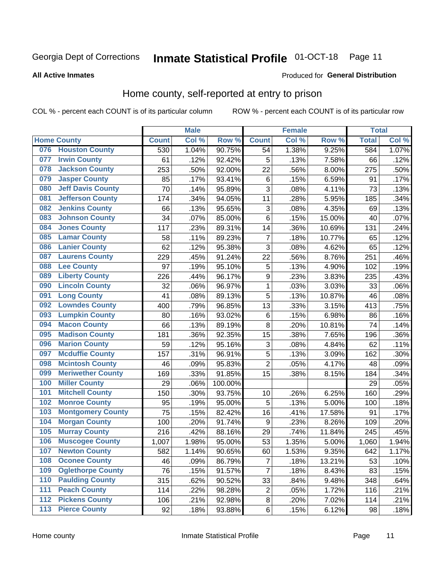## Inmate Statistical Profile 01-OCT-18 Page 11

**All Active Inmates** 

## **Produced for General Distribution**

## Home county, self-reported at entry to prison

COL % - percent each COUNT is of its particular column

|                  |                          |              | <b>Male</b> |                  |                  | <b>Female</b> |        | <b>Total</b> |       |
|------------------|--------------------------|--------------|-------------|------------------|------------------|---------------|--------|--------------|-------|
|                  | <b>Home County</b>       | <b>Count</b> | Col %       | Row <sup>%</sup> | <b>Count</b>     | Col %         | Row %  | <b>Total</b> | Col % |
| 076              | <b>Houston County</b>    | 530          | 1.04%       | 90.75%           | 54               | 1.38%         | 9.25%  | 584          | 1.07% |
| 077              | <b>Irwin County</b>      | 61           | .12%        | 92.42%           | 5                | .13%          | 7.58%  | 66           | .12%  |
| 078              | <b>Jackson County</b>    | 253          | .50%        | 92.00%           | 22               | .56%          | 8.00%  | 275          | .50%  |
| 079              | <b>Jasper County</b>     | 85           | .17%        | 93.41%           | $\,6$            | .15%          | 6.59%  | 91           | .17%  |
| 080              | <b>Jeff Davis County</b> | 70           | .14%        | 95.89%           | 3                | .08%          | 4.11%  | 73           | .13%  |
| 081              | <b>Jefferson County</b>  | 174          | .34%        | 94.05%           | 11               | .28%          | 5.95%  | 185          | .34%  |
| 082              | <b>Jenkins County</b>    | 66           | .13%        | 95.65%           | 3                | .08%          | 4.35%  | 69           | .13%  |
| 083              | <b>Johnson County</b>    | 34           | .07%        | 85.00%           | 6                | .15%          | 15.00% | 40           | .07%  |
| 084              | <b>Jones County</b>      | 117          | .23%        | 89.31%           | 14               | .36%          | 10.69% | 131          | .24%  |
| 085              | <b>Lamar County</b>      | 58           | .11%        | 89.23%           | $\overline{7}$   | .18%          | 10.77% | 65           | .12%  |
| 086              | <b>Lanier County</b>     | 62           | .12%        | 95.38%           | 3                | .08%          | 4.62%  | 65           | .12%  |
| 087              | <b>Laurens County</b>    | 229          | .45%        | 91.24%           | 22               | .56%          | 8.76%  | 251          | .46%  |
| 088              | <b>Lee County</b>        | 97           | .19%        | 95.10%           | 5                | .13%          | 4.90%  | 102          | .19%  |
| 089              | <b>Liberty County</b>    | 226          | .44%        | 96.17%           | 9                | .23%          | 3.83%  | 235          | .43%  |
| 090              | <b>Lincoln County</b>    | 32           | .06%        | 96.97%           | $\mathbf 1$      | .03%          | 3.03%  | 33           | .06%  |
| 091              | <b>Long County</b>       | 41           | .08%        | 89.13%           | 5                | .13%          | 10.87% | 46           | .08%  |
| 092              | <b>Lowndes County</b>    | 400          | .79%        | 96.85%           | 13               | .33%          | 3.15%  | 413          | .75%  |
| 093              | <b>Lumpkin County</b>    | 80           | .16%        | 93.02%           | $\,6$            | .15%          | 6.98%  | 86           | .16%  |
| 094              | <b>Macon County</b>      | 66           | .13%        | 89.19%           | 8                | .20%          | 10.81% | 74           | .14%  |
| 095              | <b>Madison County</b>    | 181          | .36%        | 92.35%           | 15               | .38%          | 7.65%  | 196          | .36%  |
| 096              | <b>Marion County</b>     | 59           | .12%        | 95.16%           | 3                | .08%          | 4.84%  | 62           | .11%  |
| 097              | <b>Mcduffie County</b>   | 157          | .31%        | 96.91%           | 5                | .13%          | 3.09%  | 162          | .30%  |
| 098              | <b>Mcintosh County</b>   | 46           | .09%        | 95.83%           | $\overline{2}$   | .05%          | 4.17%  | 48           | .09%  |
| 099              | <b>Meriwether County</b> | 169          | .33%        | 91.85%           | 15               | .38%          | 8.15%  | 184          | .34%  |
| 100              | <b>Miller County</b>     | 29           | .06%        | 100.00%          |                  |               |        | 29           | .05%  |
| 101              | <b>Mitchell County</b>   | 150          | .30%        | 93.75%           | 10               | .26%          | 6.25%  | 160          | .29%  |
| 102              | <b>Monroe County</b>     | 95           | .19%        | 95.00%           | 5                | .13%          | 5.00%  | 100          | .18%  |
| 103              | <b>Montgomery County</b> | 75           | .15%        | 82.42%           | 16               | .41%          | 17.58% | 91           | .17%  |
| 104              | <b>Morgan County</b>     | 100          | .20%        | 91.74%           | $\boldsymbol{9}$ | .23%          | 8.26%  | 109          | .20%  |
| 105              | <b>Murray County</b>     | 216          | .42%        | 88.16%           | 29               | .74%          | 11.84% | 245          | .45%  |
| 106              | <b>Muscogee County</b>   | 1,007        | 1.98%       | 95.00%           | 53               | 1.35%         | 5.00%  | 1,060        | 1.94% |
| 107              | <b>Newton County</b>     | 582          | 1.14%       | 90.65%           | 60               | 1.53%         | 9.35%  | 642          | 1.17% |
| 108              | <b>Oconee County</b>     | 46           | .09%        | 86.79%           | 7                | .18%          | 13.21% | 53           | .10%  |
| 109              | <b>Oglethorpe County</b> | 76           | .15%        | 91.57%           | 7                | .18%          | 8.43%  | 83           | .15%  |
| 110              | <b>Paulding County</b>   | 315          | .62%        | 90.52%           | 33               | .84%          | 9.48%  | 348          | .64%  |
| 111              | <b>Peach County</b>      | 114          | .22%        | 98.28%           | $\mathbf 2$      | .05%          | 1.72%  | 116          | .21%  |
| $\overline{112}$ | <b>Pickens County</b>    | 106          | .21%        | 92.98%           | $\bf 8$          | .20%          | 7.02%  | 114          | .21%  |
| 113              | <b>Pierce County</b>     | 92           | .18%        | 93.88%           | $\,6$            | .15%          | 6.12%  | 98           | .18%  |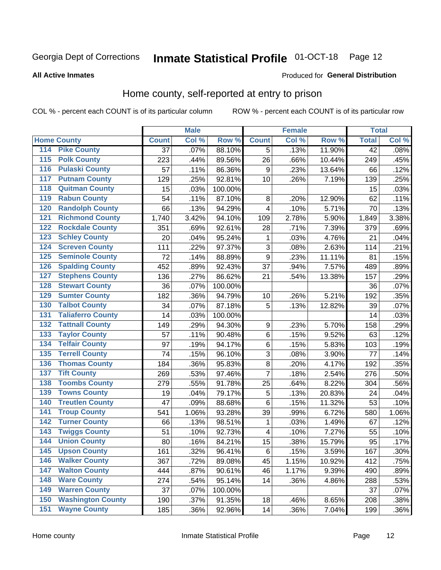#### **Inmate Statistical Profile 01-OCT-18** Page 12

### **All Active Inmates**

## Produced for General Distribution

## Home county, self-reported at entry to prison

COL % - percent each COUNT is of its particular column

|                  |                          |              | <b>Male</b> |                  |                         | <b>Female</b> |        | <b>Total</b>    |         |
|------------------|--------------------------|--------------|-------------|------------------|-------------------------|---------------|--------|-----------------|---------|
|                  | <b>Home County</b>       | <b>Count</b> | Col %       | Row <sup>%</sup> | <b>Count</b>            | Col %         | Row %  | <b>Total</b>    | Col %   |
| 114              | <b>Pike County</b>       | 37           | .07%        | 88.10%           | 5                       | .13%          | 11.90% | $\overline{42}$ | .08%    |
| 115              | <b>Polk County</b>       | 223          | .44%        | 89.56%           | 26                      | .66%          | 10.44% | 249             | .45%    |
| 116              | <b>Pulaski County</b>    | 57           | .11%        | 86.36%           | 9                       | .23%          | 13.64% | 66              | .12%    |
| 117              | <b>Putnam County</b>     | 129          | .25%        | 92.81%           | 10                      | .26%          | 7.19%  | 139             | .25%    |
| 118              | <b>Quitman County</b>    | 15           | .03%        | 100.00%          |                         |               |        | 15              | .03%    |
| 119              | <b>Rabun County</b>      | 54           | .11%        | 87.10%           | $\bf 8$                 | .20%          | 12.90% | 62              | .11%    |
| 120              | <b>Randolph County</b>   | 66           | .13%        | 94.29%           | $\overline{\mathbf{4}}$ | .10%          | 5.71%  | 70              | .13%    |
| 121              | <b>Richmond County</b>   | 1,740        | 3.42%       | 94.10%           | 109                     | 2.78%         | 5.90%  | 1,849           | 3.38%   |
| 122              | <b>Rockdale County</b>   | 351          | .69%        | 92.61%           | 28                      | .71%          | 7.39%  | 379             | .69%    |
| 123              | <b>Schley County</b>     | 20           | .04%        | 95.24%           | 1                       | .03%          | 4.76%  | 21              | .04%    |
| 124              | <b>Screven County</b>    | 111          | .22%        | 97.37%           | $\overline{3}$          | .08%          | 2.63%  | 114             | .21%    |
| 125              | <b>Seminole County</b>   | 72           | .14%        | 88.89%           | 9                       | .23%          | 11.11% | 81              | .15%    |
| 126              | <b>Spalding County</b>   | 452          | .89%        | 92.43%           | 37                      | .94%          | 7.57%  | 489             | .89%    |
| 127              | <b>Stephens County</b>   | 136          | .27%        | 86.62%           | 21                      | .54%          | 13.38% | 157             | .29%    |
| 128              | <b>Stewart County</b>    | 36           | .07%        | 100.00%          |                         |               |        | 36              | .07%    |
| 129              | <b>Sumter County</b>     | 182          | .36%        | 94.79%           | 10                      | .26%          | 5.21%  | 192             | .35%    |
| 130              | <b>Talbot County</b>     | 34           | .07%        | 87.18%           | 5                       | .13%          | 12.82% | 39              | .07%    |
| 131              | <b>Taliaferro County</b> | 14           | .03%        | 100.00%          |                         |               |        | 14              | .03%    |
| 132              | <b>Tattnall County</b>   | 149          | .29%        | 94.30%           | 9                       | .23%          | 5.70%  | 158             | .29%    |
| 133              | <b>Taylor County</b>     | 57           | .11%        | 90.48%           | $\,6$                   | .15%          | 9.52%  | 63              | .12%    |
| 134              | <b>Telfair County</b>    | 97           | .19%        | 94.17%           | $\,6$                   | .15%          | 5.83%  | 103             | .19%    |
| $\overline{135}$ | <b>Terrell County</b>    | 74           | .15%        | 96.10%           | 3                       | .08%          | 3.90%  | 77              | .14%    |
| 136              | <b>Thomas County</b>     | 184          | .36%        | 95.83%           | $\bf 8$                 | .20%          | 4.17%  | 192             | .35%    |
| 137              | <b>Tift County</b>       | 269          | .53%        | 97.46%           | $\overline{7}$          | .18%          | 2.54%  | 276             | .50%    |
| 138              | <b>Toombs County</b>     | 279          | .55%        | 91.78%           | 25                      | .64%          | 8.22%  | 304             | .56%    |
| 139              | <b>Towns County</b>      | 19           | .04%        | 79.17%           | 5                       | .13%          | 20.83% | 24              | .04%    |
| 140              | <b>Treutlen County</b>   | 47           | .09%        | 88.68%           | $\,6$                   | .15%          | 11.32% | 53              | .10%    |
| 141              | <b>Troup County</b>      | 541          | 1.06%       | 93.28%           | 39                      | .99%          | 6.72%  | 580             | 1.06%   |
| 142              | <b>Turner County</b>     | 66           | .13%        | 98.51%           | $\mathbf{1}$            | .03%          | 1.49%  | 67              | .12%    |
| 143              | <b>Twiggs County</b>     | 51           | .10%        | 92.73%           | 4                       | .10%          | 7.27%  | 55              | .10%    |
| 144              | <b>Union County</b>      | 80           | .16%        | 84.21%           | 15                      | .38%          | 15.79% | 95              | .17%    |
| 145              | <b>Upson County</b>      | 161          | .32%        | 96.41%           | 6                       | .15%          | 3.59%  | 167             | .30%    |
| 146              | <b>Walker County</b>     | 367          | .72%        | 89.08%           | 45                      | 1.15%         | 10.92% | 412             | .75%    |
| 147              | <b>Walton County</b>     | 444          | .87%        | 90.61%           | 46                      | 1.17%         | 9.39%  | 490             | .89%    |
| 148              | <b>Ware County</b>       | 274          | .54%        | 95.14%           | 14                      | .36%          | 4.86%  | 288             | .53%    |
| 149              | <b>Warren County</b>     | 37           | .07%        | 100.00%          |                         |               |        | 37              | .07%    |
| 150              | <b>Washington County</b> | 190          | .37%        | 91.35%           | 18                      | .46%          | 8.65%  | 208             | .38%    |
| 151              | <b>Wayne County</b>      | 185          | .36%        | 92.96%           | 14                      | .36%          | 7.04%  | 199             | $.36\%$ |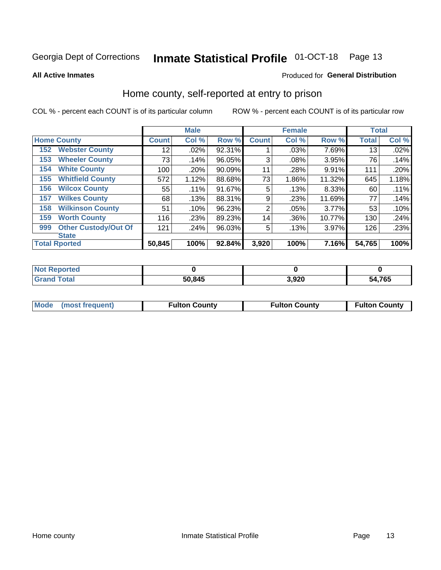## Inmate Statistical Profile 01-OCT-18 Page 13

**All Active Inmates** 

## Produced for General Distribution

## Home county, self-reported at entry to prison

COL % - percent each COUNT is of its particular column

|     |                             |              | <b>Male</b> |        |                 | <b>Female</b> |        | <b>Total</b> |       |
|-----|-----------------------------|--------------|-------------|--------|-----------------|---------------|--------|--------------|-------|
|     | <b>Home County</b>          | <b>Count</b> | Col %       | Row %  | <b>Count</b>    | Col %         | Row %  | <b>Total</b> | Col % |
| 152 | <b>Webster County</b>       | 12           | .02%        | 92.31% |                 | .03%          | 7.69%  | 13           | .02%  |
| 153 | <b>Wheeler County</b>       | 73           | .14%        | 96.05% | 3               | .08%          | 3.95%  | 76           | .14%  |
| 154 | <b>White County</b>         | 100          | .20%        | 90.09% | 11              | .28%          | 9.91%  | 111          | .20%  |
| 155 | <b>Whitfield County</b>     | 572          | 1.12%       | 88.68% | 73              | 1.86%         | 11.32% | 645          | 1.18% |
| 156 | <b>Wilcox County</b>        | 55           | .11%        | 91.67% | 5               | .13%          | 8.33%  | 60           | .11%  |
| 157 | <b>Wilkes County</b>        | 68           | .13%        | 88.31% | 9               | .23%          | 11.69% | 77           | .14%  |
| 158 | <b>Wilkinson County</b>     | 51           | .10%        | 96.23% | $\overline{2}$  | .05%          | 3.77%  | 53           | .10%  |
| 159 | <b>Worth County</b>         | 116          | .23%        | 89.23% | 14 <sub>1</sub> | .36%          | 10.77% | 130          | .24%  |
| 999 | <b>Other Custody/Out Of</b> | 121          | .24%        | 96.03% | 5               | .13%          | 3.97%  | 126          | .23%  |
|     | <b>State</b>                |              |             |        |                 |               |        |              |       |
|     | <b>Total Rported</b>        | 50,845       | 100%        | 92.84% | 3,920           | 100%          | 7.16%  | 54,765       | 100%  |

| <b>Not</b><br>Reported |        |       |        |
|------------------------|--------|-------|--------|
| <b>Total</b>           | 50,845 | 3,920 | 54,765 |

|  | Mode (most frequent) | <b>Fulton County</b> | <b>Fulton County</b> | <b>Fulton County</b> |
|--|----------------------|----------------------|----------------------|----------------------|
|--|----------------------|----------------------|----------------------|----------------------|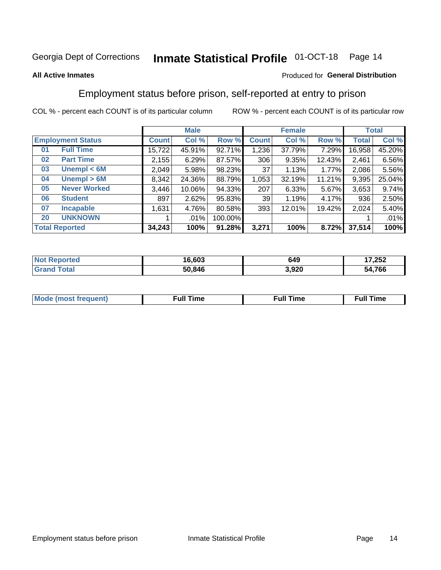#### **Inmate Statistical Profile 01-OCT-18** Page 14

## **All Active Inmates**

## Produced for General Distribution

## Employment status before prison, self-reported at entry to prison

COL % - percent each COUNT is of its particular column

|                           |              | <b>Male</b> |         |                 | <b>Female</b> |        |        | <b>Total</b> |
|---------------------------|--------------|-------------|---------|-----------------|---------------|--------|--------|--------------|
| <b>Employment Status</b>  | <b>Count</b> | Col %       | Row %   | <b>Count</b>    | Col %         | Row %  | Total  | Col %        |
| <b>Full Time</b><br>01    | 15,722       | 45.91%      | 92.71%  | 1,236           | 37.79%        | 7.29%  | 16,958 | 45.20%       |
| <b>Part Time</b><br>02    | 2,155        | 6.29%       | 87.57%  | 306             | 9.35%         | 12.43% | 2,461  | 6.56%        |
| Unempl $<$ 6M<br>03       | 2,049        | 5.98%       | 98.23%  | 37              | 1.13%         | 1.77%  | 2,086  | 5.56%        |
| Unempl > 6M<br>04         | 8,342        | 24.36%      | 88.79%  | 1,053           | 32.19%        | 11.21% | 9,395  | 25.04%       |
| <b>Never Worked</b><br>05 | 3,446        | 10.06%      | 94.33%  | 207             | 6.33%         | 5.67%  | 3,653  | 9.74%        |
| <b>Student</b><br>06      | 897          | 2.62%       | 95.83%  | 39 <sub>1</sub> | 1.19%         | 4.17%  | 936    | 2.50%        |
| 07<br><b>Incapable</b>    | 1,631        | 4.76%       | 80.58%  | 393             | 12.01%        | 19.42% | 2,024  | 5.40%        |
| <b>UNKNOWN</b><br>20      |              | .01%        | 100.00% |                 |               |        |        | .01%         |
| <b>Total Reported</b>     | 34,243       | 100%        | 91.28%  | 3,271           | 100%          | 8.72%  | 37,514 | 100%         |

| <b>Not Reported</b> | 16,603 | 649   | 7,252<br>. . |
|---------------------|--------|-------|--------------|
| <b>Grand Total</b>  | 50,846 | 3,920 | 54,766       |

| <b>Mode (most frequent)</b> | $^{\prime\prime}$ Time | <b>Time</b><br>rull i |
|-----------------------------|------------------------|-----------------------|
|                             |                        |                       |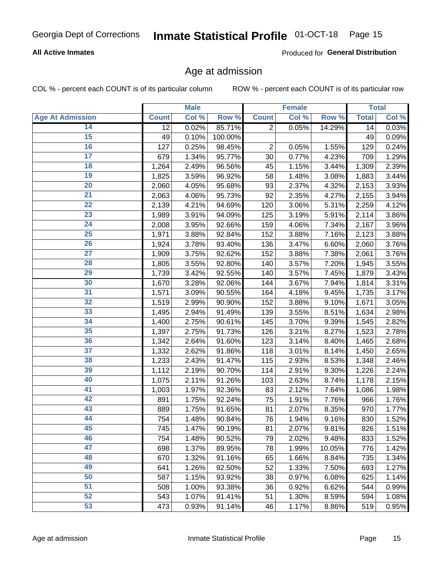## **All Active Inmates**

Produced for General Distribution

## Age at admission

COL % - percent each COUNT is of its particular column

|                         |              | <b>Male</b> |         |                | <b>Female</b> |          |              | <b>Total</b> |
|-------------------------|--------------|-------------|---------|----------------|---------------|----------|--------------|--------------|
| <b>Age At Admission</b> | <b>Count</b> | Col %       | Row %   | <b>Count</b>   | Col %         | Row %    | <b>Total</b> | Col %        |
| 14                      | 12           | 0.02%       | 85.71%  | $\overline{2}$ | 0.05%         | 14.29%   | 14           | 0.03%        |
| 15                      | 49           | 0.10%       | 100.00% |                |               |          | 49           | 0.09%        |
| 16                      | 127          | 0.25%       | 98.45%  | $\overline{2}$ | 0.05%         | 1.55%    | 129          | 0.24%        |
| $\overline{17}$         | 679          | 1.34%       | 95.77%  | 30             | 0.77%         | 4.23%    | 709          | 1.29%        |
| $\overline{18}$         | 1,264        | 2.49%       | 96.56%  | 45             | 1.15%         | 3.44%    | 1,309        | 2.39%        |
| 19                      | 1,825        | 3.59%       | 96.92%  | 58             | 1.48%         | 3.08%    | 1,883        | 3.44%        |
| 20                      | 2,060        | 4.05%       | 95.68%  | 93             | 2.37%         | 4.32%    | 2,153        | 3.93%        |
| $\overline{21}$         | 2,063        | 4.06%       | 95.73%  | 92             | 2.35%         | 4.27%    | 2,155        | 3.94%        |
| $\overline{22}$         | 2,139        | 4.21%       | 94.69%  | 120            | 3.06%         | 5.31%    | 2,259        | 4.12%        |
| $\overline{23}$         | 1,989        | 3.91%       | 94.09%  | 125            | 3.19%         | $5.91\%$ | 2,114        | 3.86%        |
| 24                      | 2,008        | 3.95%       | 92.66%  | 159            | 4.06%         | 7.34%    | 2,167        | 3.96%        |
| $\overline{25}$         | 1,971        | 3.88%       | 92.84%  | 152            | 3.88%         | 7.16%    | 2,123        | 3.88%        |
| $\overline{26}$         | 1,924        | 3.78%       | 93.40%  | 136            | 3.47%         | 6.60%    | 2,060        | 3.76%        |
| $\overline{27}$         | 1,909        | 3.75%       | 92.62%  | 152            | 3.88%         | 7.38%    | 2,061        | 3.76%        |
| 28                      | 1,805        | 3.55%       | 92.80%  | 140            | 3.57%         | 7.20%    | 1,945        | 3.55%        |
| 29                      | 1,739        | 3.42%       | 92.55%  | 140            | 3.57%         | 7.45%    | 1,879        | 3.43%        |
| 30                      | 1,670        | 3.28%       | 92.06%  | 144            | 3.67%         | 7.94%    | 1,814        | 3.31%        |
| 31                      | 1,571        | 3.09%       | 90.55%  | 164            | 4.18%         | 9.45%    | 1,735        | 3.17%        |
| 32                      | 1,519        | 2.99%       | 90.90%  | 152            | 3.88%         | 9.10%    | 1,671        | 3.05%        |
| 33                      | 1,495        | 2.94%       | 91.49%  | 139            | 3.55%         | 8.51%    | 1,634        | 2.98%        |
| 34                      | 1,400        | 2.75%       | 90.61%  | 145            | 3.70%         | 9.39%    | 1,545        | 2.82%        |
| 35                      | 1,397        | 2.75%       | 91.73%  | 126            | 3.21%         | 8.27%    | 1,523        | 2.78%        |
| 36                      | 1,342        | 2.64%       | 91.60%  | 123            | 3.14%         | 8.40%    | 1,465        | 2.68%        |
| $\overline{37}$         | 1,332        | 2.62%       | 91.86%  | 118            | 3.01%         | 8.14%    | 1,450        | 2.65%        |
| 38                      | 1,233        | 2.43%       | 91.47%  | 115            | 2.93%         | 8.53%    | 1,348        | 2.46%        |
| 39                      | 1,112        | 2.19%       | 90.70%  | 114            | 2.91%         | 9.30%    | 1,226        | 2.24%        |
| 40                      | 1,075        | 2.11%       | 91.26%  | 103            | 2.63%         | 8.74%    | 1,178        | 2.15%        |
| 41                      | 1,003        | 1.97%       | 92.36%  | 83             | 2.12%         | 7.64%    | 1,086        | 1.98%        |
| 42                      | 891          | 1.75%       | 92.24%  | 75             | 1.91%         | 7.76%    | 966          | 1.76%        |
| 43                      | 889          | 1.75%       | 91.65%  | 81             | 2.07%         | 8.35%    | 970          | 1.77%        |
| 44                      | 754          | 1.48%       | 90.84%  | 76             | 1.94%         | 9.16%    | 830          | 1.52%        |
| 45                      | 745          | 1.47%       | 90.19%  | 81             | 2.07%         | 9.81%    | 826          | 1.51%        |
| 46                      | 754          | 1.48%       | 90.52%  | 79             | 2.02%         | 9.48%    | 833          | 1.52%        |
| 47                      | 698          | 1.37%       | 89.95%  | 78             | 1.99%         | 10.05%   | 776          | 1.42%        |
| 48                      | 670          | 1.32%       | 91.16%  | 65             | 1.66%         | 8.84%    | 735          | 1.34%        |
| 49                      | 641          | 1.26%       | 92.50%  | 52             | 1.33%         | 7.50%    | 693          | 1.27%        |
| 50                      | 587          | 1.15%       | 93.92%  | 38             | 0.97%         | 6.08%    | 625          | 1.14%        |
| 51                      | 508          | 1.00%       | 93.38%  | 36             | 0.92%         | 6.62%    | 544          | 0.99%        |
| 52                      | 543          | 1.07%       | 91.41%  | 51             | 1.30%         | 8.59%    | 594          | 1.08%        |
| 53                      | 473          | 0.93%       | 91.14%  | 46             | 1.17%         | 8.86%    | 519          | 0.95%        |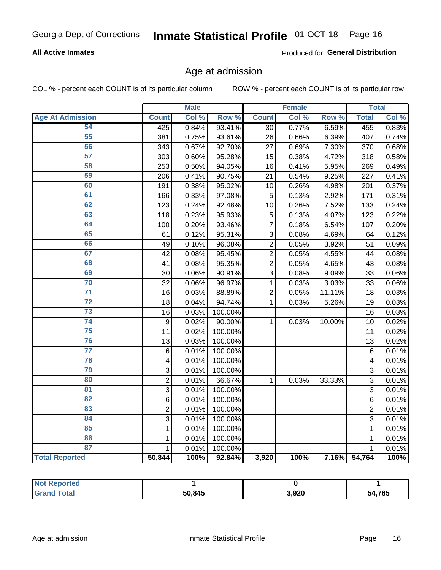## **All Active Inmates**

Produced for General Distribution

## Age at admission

COL % - percent each COUNT is of its particular column

|                         |                         | <b>Male</b> |         |                 | <b>Female</b> |        |                | <b>Total</b> |
|-------------------------|-------------------------|-------------|---------|-----------------|---------------|--------|----------------|--------------|
| <b>Age At Admission</b> | <b>Count</b>            | Col %       | Row %   | <b>Count</b>    | Col %         | Row %  | <b>Total</b>   | Col %        |
| 54                      | 425                     | 0.84%       | 93.41%  | $\overline{30}$ | 0.77%         | 6.59%  | 455            | 0.83%        |
| 55                      | 381                     | 0.75%       | 93.61%  | 26              | 0.66%         | 6.39%  | 407            | 0.74%        |
| 56                      | 343                     | 0.67%       | 92.70%  | 27              | 0.69%         | 7.30%  | 370            | 0.68%        |
| 57                      | 303                     | 0.60%       | 95.28%  | 15              | 0.38%         | 4.72%  | 318            | 0.58%        |
| 58                      | 253                     | 0.50%       | 94.05%  | 16              | 0.41%         | 5.95%  | 269            | 0.49%        |
| 59                      | 206                     | 0.41%       | 90.75%  | 21              | 0.54%         | 9.25%  | 227            | 0.41%        |
| 60                      | 191                     | 0.38%       | 95.02%  | 10              | 0.26%         | 4.98%  | 201            | 0.37%        |
| 61                      | 166                     | 0.33%       | 97.08%  | 5               | 0.13%         | 2.92%  | 171            | 0.31%        |
| 62                      | 123                     | 0.24%       | 92.48%  | 10              | 0.26%         | 7.52%  | 133            | 0.24%        |
| 63                      | 118                     | 0.23%       | 95.93%  | 5               | 0.13%         | 4.07%  | 123            | 0.22%        |
| 64                      | 100                     | 0.20%       | 93.46%  | $\overline{7}$  | 0.18%         | 6.54%  | 107            | 0.20%        |
| 65                      | 61                      | 0.12%       | 95.31%  | 3               | 0.08%         | 4.69%  | 64             | 0.12%        |
| 66                      | 49                      | 0.10%       | 96.08%  | $\overline{2}$  | 0.05%         | 3.92%  | 51             | 0.09%        |
| 67                      | 42                      | 0.08%       | 95.45%  | $\overline{2}$  | 0.05%         | 4.55%  | 44             | 0.08%        |
| 68                      | 41                      | 0.08%       | 95.35%  | $\overline{c}$  | 0.05%         | 4.65%  | 43             | 0.08%        |
| 69                      | 30                      | 0.06%       | 90.91%  | 3               | 0.08%         | 9.09%  | 33             | 0.06%        |
| 70                      | 32                      | 0.06%       | 96.97%  | 1               | 0.03%         | 3.03%  | 33             | 0.06%        |
| $\overline{71}$         | 16                      | 0.03%       | 88.89%  | $\overline{2}$  | 0.05%         | 11.11% | 18             | 0.03%        |
| $\overline{72}$         | 18                      | 0.04%       | 94.74%  | $\mathbf{1}$    | 0.03%         | 5.26%  | 19             | 0.03%        |
| $\overline{73}$         | 16                      | 0.03%       | 100.00% |                 |               |        | 16             | 0.03%        |
| $\overline{74}$         | 9                       | 0.02%       | 90.00%  | $\mathbf{1}$    | 0.03%         | 10.00% | 10             | 0.02%        |
| 75                      | 11                      | 0.02%       | 100.00% |                 |               |        | 11             | 0.02%        |
| 76                      | 13                      | 0.03%       | 100.00% |                 |               |        | 13             | 0.02%        |
| $\overline{77}$         | 6                       | 0.01%       | 100.00% |                 |               |        | 6              | 0.01%        |
| 78                      | $\overline{\mathbf{4}}$ | 0.01%       | 100.00% |                 |               |        | 4              | 0.01%        |
| 79                      | 3                       | 0.01%       | 100.00% |                 |               |        | 3              | 0.01%        |
| 80                      | $\overline{2}$          | 0.01%       | 66.67%  | $\mathbf{1}$    | 0.03%         | 33.33% | 3              | 0.01%        |
| $\overline{81}$         | 3                       | 0.01%       | 100.00% |                 |               |        | 3              | 0.01%        |
| $\overline{82}$         | 6                       | 0.01%       | 100.00% |                 |               |        | 6              | 0.01%        |
| 83                      | $\overline{2}$          | 0.01%       | 100.00% |                 |               |        | $\overline{2}$ | 0.01%        |
| 84                      | 3                       | 0.01%       | 100.00% |                 |               |        | 3              | 0.01%        |
| 85                      | $\mathbf{1}$            | 0.01%       | 100.00% |                 |               |        | $\mathbf{1}$   | 0.01%        |
| 86                      | $\mathbf 1$             | 0.01%       | 100.00% |                 |               |        | 1              | 0.01%        |
| 87                      | 1                       | 0.01%       | 100.00% |                 |               |        | 1              | 0.01%        |
| <b>Total Reported</b>   | 50,844                  | 100%        | 92.84%  | 3,920           | 100%          | 7.16%  | 54,764         | 100%         |

| <b>Not Reported</b>        |        |       |        |
|----------------------------|--------|-------|--------|
| Total<br>"Gra <sub>r</sub> | 50,845 | 3,920 | 54,765 |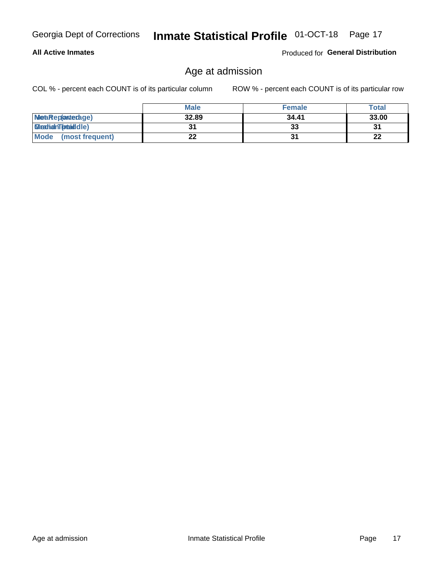## **All Active Inmates**

Produced for General Distribution

## Age at admission

COL % - percent each COUNT is of its particular column

|                         | <b>Male</b> | <b>Female</b> | <b>Total</b> |
|-------------------------|-------------|---------------|--------------|
| MetaRep(anterage)       | 32.89       | 34.41         | 33.00        |
| <b>MeatianTotaddle)</b> |             | 33            | 31           |
| Mode<br>(most frequent) | 22          |               | 22           |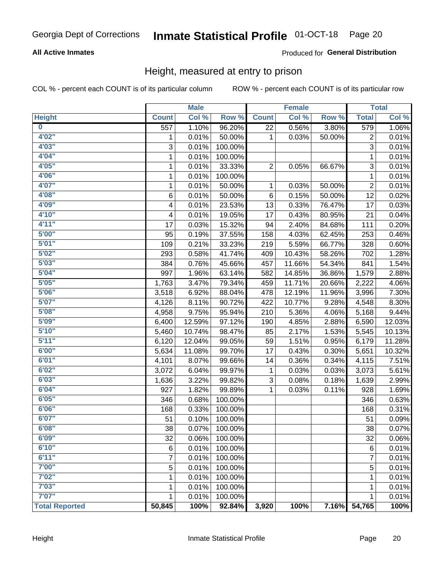## **All Active Inmates**

## Produced for General Distribution

## Height, measured at entry to prison

COL % - percent each COUNT is of its particular column

|                         |                  | <b>Male</b> |         |                | <b>Female</b> |        |                | <b>Total</b> |
|-------------------------|------------------|-------------|---------|----------------|---------------|--------|----------------|--------------|
| <b>Height</b>           | <b>Count</b>     | Col %       | Row %   | <b>Count</b>   | Col %         | Row %  | <b>Total</b>   | Col %        |
| $\overline{\mathbf{0}}$ | $\overline{557}$ | 1.10%       | 96.20%  | 22             | 0.56%         | 3.80%  | 579            | 1.06%        |
| 4'02''                  | 1                | 0.01%       | 50.00%  | 1              | 0.03%         | 50.00% | 2              | 0.01%        |
| 4'03''                  | 3                | 0.01%       | 100.00% |                |               |        | $\overline{3}$ | 0.01%        |
| 4'04"                   | 1                | 0.01%       | 100.00% |                |               |        | 1              | 0.01%        |
| 4'05"                   | 1                | 0.01%       | 33.33%  | $\overline{2}$ | 0.05%         | 66.67% | 3              | 0.01%        |
| 4'06"                   | 1                | 0.01%       | 100.00% |                |               |        | $\mathbf 1$    | 0.01%        |
| 4'07"                   | $\mathbf{1}$     | 0.01%       | 50.00%  | 1              | 0.03%         | 50.00% | $\overline{c}$ | 0.01%        |
| 4'08"                   | $\,6$            | 0.01%       | 50.00%  | 6              | 0.15%         | 50.00% | 12             | 0.02%        |
| 4'09"                   | 4                | 0.01%       | 23.53%  | 13             | 0.33%         | 76.47% | 17             | 0.03%        |
| 4'10"                   | 4                | 0.01%       | 19.05%  | 17             | 0.43%         | 80.95% | 21             | 0.04%        |
| 4'11''                  | 17               | 0.03%       | 15.32%  | 94             | 2.40%         | 84.68% | 111            | 0.20%        |
| 5'00''                  | 95               | 0.19%       | 37.55%  | 158            | 4.03%         | 62.45% | 253            | 0.46%        |
| 5'01"                   | 109              | 0.21%       | 33.23%  | 219            | 5.59%         | 66.77% | 328            | 0.60%        |
| 5'02"                   | 293              | 0.58%       | 41.74%  | 409            | 10.43%        | 58.26% | 702            | 1.28%        |
| 5'03''                  | 384              | 0.76%       | 45.66%  | 457            | 11.66%        | 54.34% | 841            | 1.54%        |
| 5'04"                   | 997              | 1.96%       | 63.14%  | 582            | 14.85%        | 36.86% | 1,579          | 2.88%        |
| 5'05"                   | 1,763            | 3.47%       | 79.34%  | 459            | 11.71%        | 20.66% | 2,222          | 4.06%        |
| 5'06''                  | 3,518            | 6.92%       | 88.04%  | 478            | 12.19%        | 11.96% | 3,996          | 7.30%        |
| 5'07"                   | 4,126            | 8.11%       | 90.72%  | 422            | 10.77%        | 9.28%  | 4,548          | 8.30%        |
| 5'08''                  | 4,958            | 9.75%       | 95.94%  | 210            | 5.36%         | 4.06%  | 5,168          | 9.44%        |
| 5'09''                  | 6,400            | 12.59%      | 97.12%  | 190            | 4.85%         | 2.88%  | 6,590          | 12.03%       |
| 5'10''                  | 5,460            | 10.74%      | 98.47%  | 85             | 2.17%         | 1.53%  | 5,545          | 10.13%       |
| 5'11''                  | 6,120            | 12.04%      | 99.05%  | 59             | 1.51%         | 0.95%  | 6,179          | 11.28%       |
| 6'00''                  | 5,634            | 11.08%      | 99.70%  | 17             | 0.43%         | 0.30%  | 5,651          | 10.32%       |
| 6'01''                  | 4,101            | 8.07%       | 99.66%  | 14             | 0.36%         | 0.34%  | 4,115          | 7.51%        |
| 6'02"                   | 3,072            | 6.04%       | 99.97%  | $\mathbf{1}$   | 0.03%         | 0.03%  | 3,073          | 5.61%        |
| 6'03''                  | 1,636            | 3.22%       | 99.82%  | 3              | 0.08%         | 0.18%  | 1,639          | 2.99%        |
| 6'04"                   | 927              | 1.82%       | 99.89%  | 1              | 0.03%         | 0.11%  | 928            | 1.69%        |
| 6'05"                   | 346              | 0.68%       | 100.00% |                |               |        | 346            | 0.63%        |
| 6'06''                  | 168              | 0.33%       | 100.00% |                |               |        | 168            | 0.31%        |
| 6'07''                  | 51               | 0.10%       | 100.00% |                |               |        | 51             | 0.09%        |
| 6'08"                   | 38               | 0.07%       | 100.00% |                |               |        | 38             | 0.07%        |
| 6'09''                  | 32               | 0.06%       | 100.00% |                |               |        | 32             | 0.06%        |
| 6'10''                  | $\,6$            | 0.01%       | 100.00% |                |               |        | 6              | 0.01%        |
| 6'11''                  | 7                | 0.01%       | 100.00% |                |               |        | 7              | 0.01%        |
| 7'00"                   | 5                | 0.01%       | 100.00% |                |               |        | $\mathbf 5$    | 0.01%        |
| 7'02"                   | 1                | 0.01%       | 100.00% |                |               |        | $\mathbf{1}$   | 0.01%        |
| 7'03''                  |                  |             |         |                |               |        |                |              |
| 7'07''                  | 1                | 0.01%       | 100.00% |                |               |        | 1              | 0.01%        |
|                         | $\mathbf{1}$     | 0.01%       | 100.00% |                |               |        | 1              | 0.01%        |
| <b>Total Reported</b>   | 50,845           | 100%        | 92.84%  | 3,920          | 100%          | 7.16%  | 54,765         | 100%         |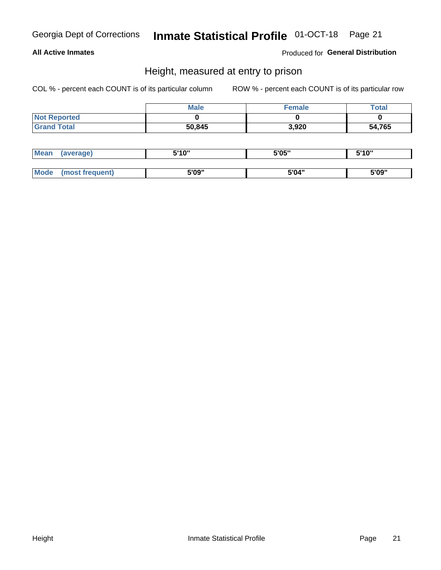## **All Active Inmates**

Produced for General Distribution

## Height, measured at entry to prison

COL % - percent each COUNT is of its particular column

|                     | <b>Male</b> | <b>Female</b> | Total  |
|---------------------|-------------|---------------|--------|
| <b>Not Reported</b> |             |               |        |
| <b>Grand Total</b>  | 50,845      | 3,920         | 54,765 |

| <b>Mean</b> | erage) | 5'10" | 5'05" | <b>CIA AIL</b><br>. . |
|-------------|--------|-------|-------|-----------------------|
|             |        |       |       |                       |
| <b>Mode</b> |        | 5'09" | 5'04" | 5'09"                 |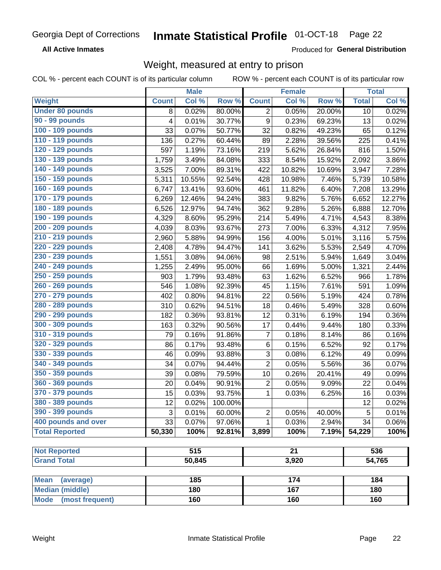**All Active Inmates** 

Produced for General Distribution

## Weight, measured at entry to prison

COL % - percent each COUNT is of its particular column

|                                |              | <b>Male</b> |         |                  | <b>Female</b>   |        |              | <b>Total</b> |
|--------------------------------|--------------|-------------|---------|------------------|-----------------|--------|--------------|--------------|
| Weight                         | <b>Count</b> | Col %       | Row %   | <b>Count</b>     | Col %           | Row %  | <b>Total</b> | Col %        |
| <b>Under 80 pounds</b>         | 8            | 0.02%       | 80.00%  | 2                | 0.05%           | 20.00% | 10           | 0.02%        |
| 90 - 99 pounds                 | 4            | 0.01%       | 30.77%  | $\boldsymbol{9}$ | 0.23%           | 69.23% | 13           | 0.02%        |
| 100 - 109 pounds               | 33           | 0.07%       | 50.77%  | 32               | 0.82%           | 49.23% | 65           | 0.12%        |
| 110 - 119 pounds               | 136          | 0.27%       | 60.44%  | 89               | 2.28%           | 39.56% | 225          | 0.41%        |
| 120 - 129 pounds               | 597          | 1.19%       | 73.16%  | 219              | 5.62%           | 26.84% | 816          | 1.50%        |
| 130 - 139 pounds               | 1,759        | 3.49%       | 84.08%  | 333              | 8.54%           | 15.92% | 2,092        | 3.86%        |
| 140 - 149 pounds               | 3,525        | 7.00%       | 89.31%  | 422              | 10.82%          | 10.69% | 3,947        | 7.28%        |
| 150 - 159 pounds               | 5,311        | 10.55%      | 92.54%  | 428              | 10.98%          | 7.46%  | 5,739        | 10.58%       |
| 160 - 169 pounds               | 6,747        | 13.41%      | 93.60%  | 461              | 11.82%          | 6.40%  | 7,208        | 13.29%       |
| 170 - 179 pounds               | 6,269        | 12.46%      | 94.24%  | 383              | 9.82%           | 5.76%  | 6,652        | 12.27%       |
| 180 - 189 pounds               | 6,526        | 12.97%      | 94.74%  | 362              | 9.28%           | 5.26%  | 6,888        | 12.70%       |
| 190 - 199 pounds               | 4,329        | 8.60%       | 95.29%  | 214              | 5.49%           | 4.71%  | 4,543        | 8.38%        |
| 200 - 209 pounds               | 4,039        | 8.03%       | 93.67%  | 273              | 7.00%           | 6.33%  | 4,312        | 7.95%        |
| 210 - 219 pounds               | 2,960        | 5.88%       | 94.99%  | 156              | 4.00%           | 5.01%  | 3,116        | 5.75%        |
| 220 - 229 pounds               | 2,408        | 4.78%       | 94.47%  | 141              | 3.62%           | 5.53%  | 2,549        | 4.70%        |
| 230 - 239 pounds               | 1,551        | 3.08%       | 94.06%  | 98               | 2.51%           | 5.94%  | 1,649        | 3.04%        |
| 240 - 249 pounds               | 1,255        | 2.49%       | 95.00%  | 66               | 1.69%           | 5.00%  | 1,321        | 2.44%        |
| 250 - 259 pounds               | 903          | 1.79%       | 93.48%  | 63               | 1.62%           | 6.52%  | 966          | 1.78%        |
| 260 - 269 pounds               | 546          | 1.08%       | 92.39%  | 45               | 1.15%           | 7.61%  | 591          | 1.09%        |
| 270 - 279 pounds               | 402          | 0.80%       | 94.81%  | 22               | 0.56%           | 5.19%  | 424          | 0.78%        |
| 280 - 289 pounds               | 310          | 0.62%       | 94.51%  | 18               | 0.46%           | 5.49%  | 328          | 0.60%        |
| 290 - 299 pounds               | 182          | 0.36%       | 93.81%  | 12               | 0.31%           | 6.19%  | 194          | 0.36%        |
| 300 - 309 pounds               | 163          | 0.32%       | 90.56%  | 17               | 0.44%           | 9.44%  | 180          | 0.33%        |
| 310 - 319 pounds               | 79           | 0.16%       | 91.86%  | $\overline{7}$   | 0.18%           | 8.14%  | 86           | 0.16%        |
| 320 - 329 pounds               | 86           | 0.17%       | 93.48%  | $\,6$            | 0.15%           | 6.52%  | 92           | 0.17%        |
| 330 - 339 pounds               | 46           | 0.09%       | 93.88%  | 3                | 0.08%           | 6.12%  | 49           | 0.09%        |
| 340 - 349 pounds               | 34           | 0.07%       | 94.44%  | 2                | 0.05%           | 5.56%  | 36           | 0.07%        |
| 350 - 359 pounds               | 39           | 0.08%       | 79.59%  | 10               | 0.26%           | 20.41% | 49           | 0.09%        |
| 360 - 369 pounds               | 20           | 0.04%       | 90.91%  | 2                | 0.05%           | 9.09%  | 22           | 0.04%        |
| 370 - 379 pounds               | 15           | 0.03%       | 93.75%  | $\mathbf{1}$     | 0.03%           | 6.25%  | 16           | 0.03%        |
| 380 - 389 pounds               | 12           | 0.02%       | 100.00% |                  |                 |        | 12           | 0.02%        |
| 390 - 399 pounds               | 3            | 0.01%       | 60.00%  | 2                | 0.05%           | 40.00% | 5            | 0.01%        |
| 400 pounds and over            | 33           | 0.07%       | 97.06%  | 1                | 0.03%           | 2.94%  | 34           | 0.06%        |
| <b>Total Reported</b>          | 50,330       | 100%        | 92.81%  | 3,899            | 100%            | 7.19%  | 54,229       | 100%         |
|                                |              |             |         |                  |                 |        |              |              |
| <b>Not Reported</b>            |              | 515         |         |                  | $\overline{21}$ |        |              | 536          |
| <b>Grand Total</b>             |              | 50,845      |         |                  | 3,920           |        |              | 54,765       |
| <b>Mean</b><br>(average)       |              | 185         |         |                  | 174             |        |              | 184          |
| <b>Median (middle)</b>         |              | 180         |         |                  | 167             |        |              | 180          |
| <b>Mode</b><br>(most frequent) |              | 160         |         |                  | 160             |        |              | 160          |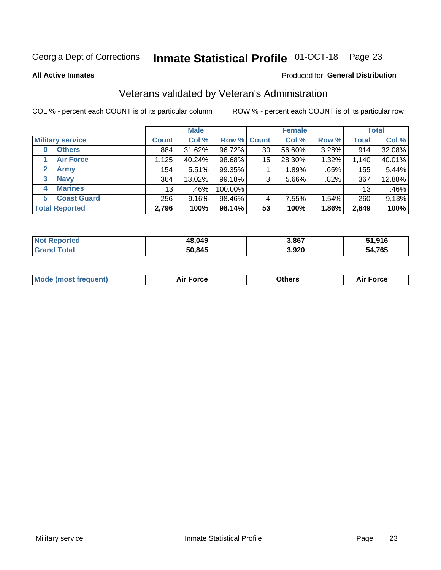#### **Inmate Statistical Profile 01-OCT-18** Page 23

**All Active Inmates** 

### Produced for General Distribution

## Veterans validated by Veteran's Administration

COL % - percent each COUNT is of its particular column

|                          | <b>Male</b>  |        |                    | <b>Female</b> |        |       | <b>Total</b> |        |
|--------------------------|--------------|--------|--------------------|---------------|--------|-------|--------------|--------|
| <b>Military service</b>  | <b>Count</b> | Col %  | <b>Row % Count</b> |               | Col %  | Row % | <b>Total</b> | Col %  |
| <b>Others</b><br>0       | 884          | 31.62% | 96.72%             | 30            | 56.60% | 3.28% | 914          | 32.08% |
| <b>Air Force</b>         | ,125         | 40.24% | 98.68%             | 15            | 28.30% | 1.32% | 1,140        | 40.01% |
| 2<br><b>Army</b>         | 154          | 5.51%  | 99.35%             |               | 1.89%  | .65%  | 155          | 5.44%  |
| <b>Navy</b><br>3         | 364          | 13.02% | 99.18%             | 3             | 5.66%  | .82%  | 367          | 12.88% |
| <b>Marines</b><br>4      | 13           | .46%   | 100.00%            |               |        |       | 13           | .46%   |
| <b>Coast Guard</b><br>5. | 256          | 9.16%  | 98.46%             | 4             | 7.55%  | 1.54% | 260          | 9.13%  |
| <b>Total Reported</b>    | 2,796        | 100%   | 98.14%             | 53            | 100%   | 1.86% | 2,849        | 100%   |

| <b>Not</b><br>Reported | 48,049 | 3,867 | 51,916 |
|------------------------|--------|-------|--------|
| <b>Fotal</b>           | 50,845 | 3,920 | 54,765 |

|  |  | <b>Mode (most frequent)</b> | <b>Force</b><br>Aır | วthers | orce |
|--|--|-----------------------------|---------------------|--------|------|
|--|--|-----------------------------|---------------------|--------|------|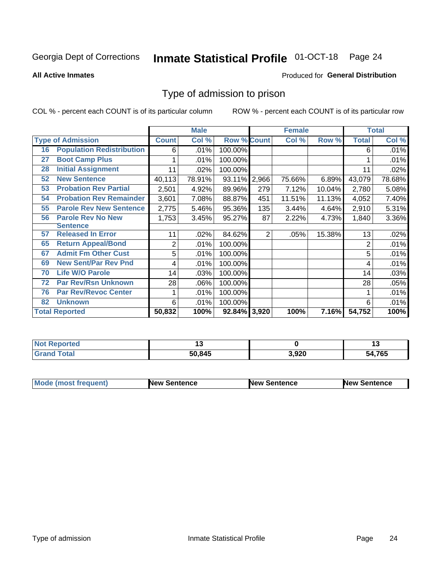#### **Inmate Statistical Profile 01-OCT-18** Page 24

**All Active Inmates** 

### Produced for General Distribution

## Type of admission to prison

COL % - percent each COUNT is of its particular column

|    |                                  |              | <b>Male</b> |                    |                | <b>Female</b> |        |              | <b>Total</b> |
|----|----------------------------------|--------------|-------------|--------------------|----------------|---------------|--------|--------------|--------------|
|    | <b>Type of Admission</b>         | <b>Count</b> | Col %       | <b>Row % Count</b> |                | Col %         | Row %  | <b>Total</b> | Col %        |
| 16 | <b>Population Redistribution</b> | 6            | .01%        | 100.00%            |                |               |        | 6            | .01%         |
| 27 | <b>Boot Camp Plus</b>            |              | .01%        | 100.00%            |                |               |        |              | .01%         |
| 28 | <b>Initial Assignment</b>        | 11           | .02%        | 100.00%            |                |               |        | 11           | .02%         |
| 52 | <b>New Sentence</b>              | 40,113       | 78.91%      | 93.11% 2,966       |                | 75.66%        | 6.89%  | 43,079       | 78.68%       |
| 53 | <b>Probation Rev Partial</b>     | 2,501        | 4.92%       | 89.96%             | 279            | 7.12%         | 10.04% | 2,780        | 5.08%        |
| 54 | <b>Probation Rev Remainder</b>   | 3,601        | 7.08%       | 88.87%             | 451            | 11.51%        | 11.13% | 4,052        | 7.40%        |
| 55 | <b>Parole Rev New Sentence</b>   | 2,775        | 5.46%       | 95.36%             | 135            | 3.44%         | 4.64%  | 2,910        | 5.31%        |
| 56 | <b>Parole Rev No New</b>         | 1,753        | 3.45%       | 95.27%             | 87             | 2.22%         | 4.73%  | 1,840        | 3.36%        |
|    | <b>Sentence</b>                  |              |             |                    |                |               |        |              |              |
| 57 | <b>Released In Error</b>         | 11           | .02%        | 84.62%             | $\overline{2}$ | .05%          | 15.38% | 13           | .02%         |
| 65 | <b>Return Appeal/Bond</b>        | 2            | .01%        | 100.00%            |                |               |        | 2            | .01%         |
| 67 | <b>Admit Fm Other Cust</b>       | 5            | .01%        | 100.00%            |                |               |        | 5            | .01%         |
| 69 | <b>New Sent/Par Rev Pnd</b>      | 4            | .01%        | 100.00%            |                |               |        | 4            | .01%         |
| 70 | <b>Life W/O Parole</b>           | 14           | .03%        | 100.00%            |                |               |        | 14           | .03%         |
| 72 | <b>Par Rev/Rsn Unknown</b>       | 28           | .06%        | 100.00%            |                |               |        | 28           | .05%         |
| 76 | <b>Par Rev/Revoc Center</b>      |              | .01%        | 100.00%            |                |               |        |              | .01%         |
| 82 | <b>Unknown</b>                   | 6            | .01%        | 100.00%            |                |               |        | 6            | .01%         |
|    | <b>Total Reported</b>            | 50,832       | 100%        | 92.84%             | 3,920          | 100%          | 7.16%  | 54,752       | 100%         |

| <b>Not Reported</b> |        |       | . .    |
|---------------------|--------|-------|--------|
| Total<br>Grar       | 50,845 | 3,920 | 54,765 |

| <b>Mode (most frequent)</b> | <b>New Sentence</b> | <b>New Sentence</b> | <b>New Sentence</b> |
|-----------------------------|---------------------|---------------------|---------------------|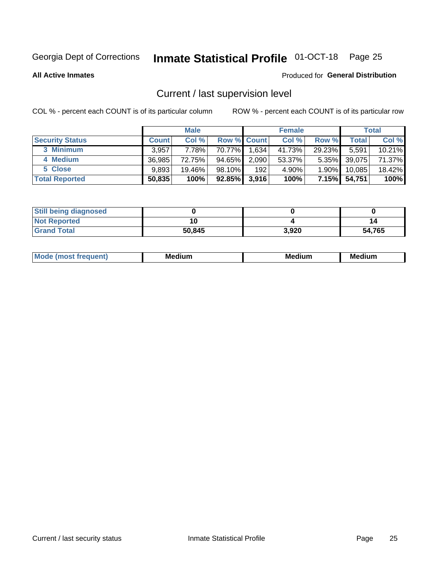## Inmate Statistical Profile 01-OCT-18 Page 25

**All Active Inmates** 

## Produced for General Distribution

## Current / last supervision level

COL % - percent each COUNT is of its particular column

|                        |              | <b>Male</b> |                    |       | <b>Female</b> |          |        | <b>Total</b> |
|------------------------|--------------|-------------|--------------------|-------|---------------|----------|--------|--------------|
| <b>Security Status</b> | <b>Count</b> | Col %       | <b>Row % Count</b> |       | Col %         | Row %    | Total  | Col %        |
| 3 Minimum              | 3,957        | 7.78%l      | 70.77%I            | 1,634 | 41.73%        | 29.23%   | 5,591  | 10.21%       |
| 4 Medium               | 36.985       | 72.75%      | 94.65%             | 2,090 | 53.37%        | $5.35\%$ | 39,075 | 71.37%       |
| 5 Close                | 9,893        | 19.46%      | $98.10\%$          | 192   | 4.90%         | $1.90\%$ | 10,085 | 18.42%       |
| <b>Total Reported</b>  | 50,835       | 100%        | $92.85\%$          | 3,916 | 100%          | $7.15\%$ | 54,751 | 100%         |

| <b>Still being diagnosed</b> |        |       |        |
|------------------------------|--------|-------|--------|
| <b>Not Reported</b>          |        |       |        |
| <b>Grand Total</b>           | 50,845 | 3,920 | 54,765 |

| M | M | . . |
|---|---|-----|
|   |   |     |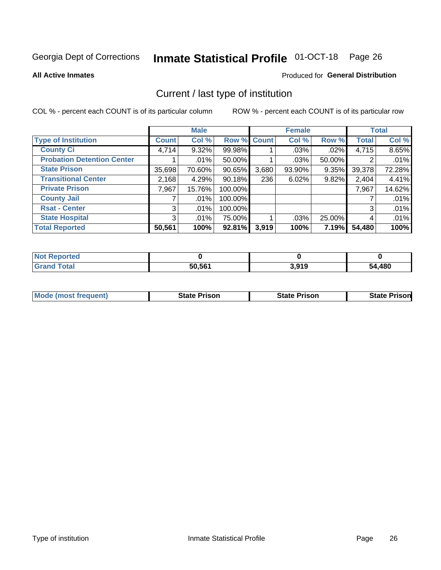## Inmate Statistical Profile 01-OCT-18 Page 26

**All Active Inmates** 

## Produced for General Distribution

## Current / last type of institution

COL % - percent each COUNT is of its particular column

|                                   |                | <b>Male</b> |             |       | <b>Female</b> |        |              | <b>Total</b> |
|-----------------------------------|----------------|-------------|-------------|-------|---------------|--------|--------------|--------------|
| <b>Type of Institution</b>        | <b>Count</b>   | Col %       | Row % Count |       | Col %         | Row %  | <b>Total</b> | Col %        |
| <b>County Ci</b>                  | 4,714          | $9.32\%$    | 99.98%      |       | $.03\%$       | .02%   | 4,715        | 8.65%        |
| <b>Probation Detention Center</b> |                | .01%        | 50.00%      |       | .03%          | 50.00% |              | .01%         |
| <b>State Prison</b>               | 35,698         | 70.60%      | $90.65\%$   | 3,680 | 93.90%        | 9.35%  | 39,378       | 72.28%       |
| <b>Transitional Center</b>        | 2,168          | 4.29%       | $90.18\%$   | 236   | 6.02%         | 9.82%  | 2,404        | 4.41%        |
| <b>Private Prison</b>             | 7,967          | 15.76%      | 100.00%     |       |               |        | 7,967        | 14.62%       |
| <b>County Jail</b>                |                | .01%        | 100.00%     |       |               |        |              | .01%         |
| <b>Rsat - Center</b>              | 3 <sup>1</sup> | $.01\%$     | 100.00%     |       |               |        | 3            | .01%         |
| <b>State Hospital</b>             | 3 <sup>1</sup> | $.01\%$     | 75.00%      |       | .03%          | 25.00% | 4            | .01%         |
| <b>Total Reported</b>             | 50,561         | 100%        | 92.81%      | 3,919 | 100%          | 7.19%  | 54,480       | 100%         |

| <b>Not</b><br>Reported |        |       |        |
|------------------------|--------|-------|--------|
| Total                  | 50,561 | 3,919 | 54,480 |

| Mode (most frequent) | <b>State Prison</b> | <b>State Prison</b> | <b>State Prisonl</b> |
|----------------------|---------------------|---------------------|----------------------|
|                      |                     |                     |                      |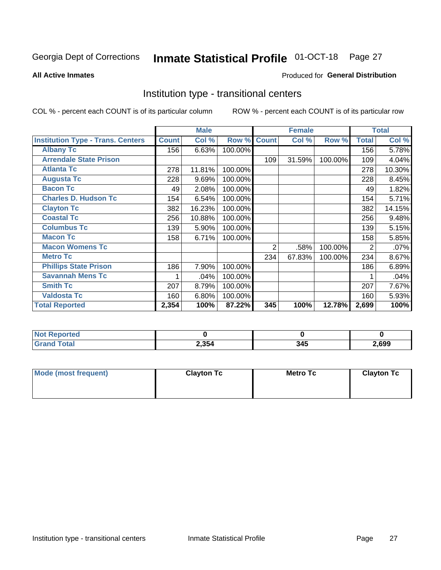## Inmate Statistical Profile 01-OCT-18 Page 27

### **All Active Inmates**

## Produced for General Distribution

## Institution type - transitional centers

COL % - percent each COUNT is of its particular column

|                                          |              | <b>Male</b> |         |                | <b>Female</b> |         |              | <b>Total</b> |
|------------------------------------------|--------------|-------------|---------|----------------|---------------|---------|--------------|--------------|
| <b>Institution Type - Trans. Centers</b> | <b>Count</b> | Col %       | Row %   | <b>Count</b>   | Col %         | Row %   | <b>Total</b> | Col %        |
| <b>Albany Tc</b>                         | 156          | 6.63%       | 100.00% |                |               |         | 156          | 5.78%        |
| <b>Arrendale State Prison</b>            |              |             |         | 109            | 31.59%        | 100.00% | 109          | 4.04%        |
| <b>Atlanta Tc</b>                        | 278          | 11.81%      | 100.00% |                |               |         | 278          | 10.30%       |
| <b>Augusta Tc</b>                        | 228          | 9.69%       | 100.00% |                |               |         | 228          | 8.45%        |
| <b>Bacon Tc</b>                          | 49           | 2.08%       | 100.00% |                |               |         | 49           | 1.82%        |
| <b>Charles D. Hudson Tc</b>              | 154          | 6.54%       | 100.00% |                |               |         | 154          | 5.71%        |
| <b>Clayton Tc</b>                        | 382          | 16.23%      | 100.00% |                |               |         | 382          | 14.15%       |
| <b>Coastal Tc</b>                        | 256          | 10.88%      | 100.00% |                |               |         | 256          | 9.48%        |
| <b>Columbus Tc</b>                       | 139          | 5.90%       | 100.00% |                |               |         | 139          | 5.15%        |
| <b>Macon Tc</b>                          | 158          | 6.71%       | 100.00% |                |               |         | 158          | 5.85%        |
| <b>Macon Womens Tc</b>                   |              |             |         | $\overline{2}$ | .58%          | 100.00% | 2            | .07%         |
| <b>Metro Tc</b>                          |              |             |         | 234            | 67.83%        | 100.00% | 234          | 8.67%        |
| <b>Phillips State Prison</b>             | 186          | 7.90%       | 100.00% |                |               |         | 186          | 6.89%        |
| <b>Savannah Mens Tc</b>                  | 1            | .04%        | 100.00% |                |               |         |              | .04%         |
| <b>Smith Tc</b>                          | 207          | 8.79%       | 100.00% |                |               |         | 207          | 7.67%        |
| <b>Valdosta Tc</b>                       | 160          | 6.80%       | 100.00% |                |               |         | 160          | 5.93%        |
| <b>Total Reported</b>                    | 2,354        | 100%        | 87.22%  | 345            | 100%          | 12.78%  | 2,699        | 100%         |

| <b>Reported</b><br><b>NOT</b> |       |     |      |
|-------------------------------|-------|-----|------|
| ™otal                         | 2,354 | 345 | ,699 |

| Mode (most frequent) | <b>Clayton Tc</b> | Metro Tc | <b>Clayton Tc</b> |
|----------------------|-------------------|----------|-------------------|
|                      |                   |          |                   |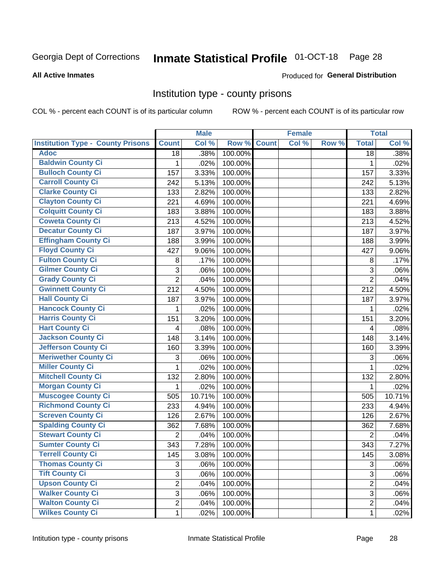## Inmate Statistical Profile 01-OCT-18 Page 28

### **All Active Inmates**

### Produced for General Distribution

## Institution type - county prisons

COL % - percent each COUNT is of its particular column

|                                          |                | <b>Male</b> |         |              | <b>Female</b> |       |                | <b>Total</b> |
|------------------------------------------|----------------|-------------|---------|--------------|---------------|-------|----------------|--------------|
| <b>Institution Type - County Prisons</b> | <b>Count</b>   | Col %       | Row %   | <b>Count</b> | Col %         | Row % | <b>Total</b>   | Col %        |
| <b>Adoc</b>                              | 18             | .38%        | 100.00% |              |               |       | 18             | .38%         |
| <b>Baldwin County Ci</b>                 | 1              | .02%        | 100.00% |              |               |       | 1              | .02%         |
| <b>Bulloch County Ci</b>                 | 157            | 3.33%       | 100.00% |              |               |       | 157            | 3.33%        |
| <b>Carroll County Ci</b>                 | 242            | 5.13%       | 100.00% |              |               |       | 242            | 5.13%        |
| <b>Clarke County Ci</b>                  | 133            | 2.82%       | 100.00% |              |               |       | 133            | 2.82%        |
| <b>Clayton County Ci</b>                 | 221            | 4.69%       | 100.00% |              |               |       | 221            | 4.69%        |
| <b>Colquitt County Ci</b>                | 183            | 3.88%       | 100.00% |              |               |       | 183            | 3.88%        |
| <b>Coweta County Ci</b>                  | 213            | 4.52%       | 100.00% |              |               |       | 213            | 4.52%        |
| <b>Decatur County Ci</b>                 | 187            | 3.97%       | 100.00% |              |               |       | 187            | 3.97%        |
| <b>Effingham County Ci</b>               | 188            | 3.99%       | 100.00% |              |               |       | 188            | 3.99%        |
| <b>Floyd County Ci</b>                   | 427            | 9.06%       | 100.00% |              |               |       | 427            | 9.06%        |
| <b>Fulton County Ci</b>                  | 8              | .17%        | 100.00% |              |               |       | 8              | .17%         |
| <b>Gilmer County Ci</b>                  | 3              | .06%        | 100.00% |              |               |       | 3              | .06%         |
| <b>Grady County Ci</b>                   | $\overline{2}$ | .04%        | 100.00% |              |               |       | $\overline{2}$ | .04%         |
| <b>Gwinnett County Ci</b>                | 212            | 4.50%       | 100.00% |              |               |       | 212            | 4.50%        |
| <b>Hall County Ci</b>                    | 187            | 3.97%       | 100.00% |              |               |       | 187            | 3.97%        |
| <b>Hancock County Ci</b>                 | 1              | .02%        | 100.00% |              |               |       | 1              | .02%         |
| <b>Harris County Ci</b>                  | 151            | 3.20%       | 100.00% |              |               |       | 151            | 3.20%        |
| <b>Hart County Ci</b>                    | 4              | .08%        | 100.00% |              |               |       | 4              | .08%         |
| <b>Jackson County Ci</b>                 | 148            | 3.14%       | 100.00% |              |               |       | 148            | 3.14%        |
| <b>Jefferson County Ci</b>               | 160            | 3.39%       | 100.00% |              |               |       | 160            | 3.39%        |
| <b>Meriwether County Ci</b>              | 3              | .06%        | 100.00% |              |               |       | 3              | .06%         |
| <b>Miller County Ci</b>                  | $\mathbf{1}$   | .02%        | 100.00% |              |               |       | $\mathbf{1}$   | .02%         |
| <b>Mitchell County Ci</b>                | 132            | 2.80%       | 100.00% |              |               |       | 132            | 2.80%        |
| <b>Morgan County Ci</b>                  | 1              | .02%        | 100.00% |              |               |       | 1              | .02%         |
| <b>Muscogee County Ci</b>                | 505            | 10.71%      | 100.00% |              |               |       | 505            | 10.71%       |
| <b>Richmond County Ci</b>                | 233            | 4.94%       | 100.00% |              |               |       | 233            | 4.94%        |
| <b>Screven County Ci</b>                 | 126            | 2.67%       | 100.00% |              |               |       | 126            | 2.67%        |
| <b>Spalding County Ci</b>                | 362            | 7.68%       | 100.00% |              |               |       | 362            | 7.68%        |
| <b>Stewart County Ci</b>                 | $\overline{2}$ | .04%        | 100.00% |              |               |       | $\overline{2}$ | .04%         |
| <b>Sumter County Ci</b>                  | 343            | 7.28%       | 100.00% |              |               |       | 343            | 7.27%        |
| <b>Terrell County Ci</b>                 | 145            | 3.08%       | 100.00% |              |               |       | 145            | 3.08%        |
| <b>Thomas County Ci</b>                  | 3              | .06%        | 100.00% |              |               |       | 3              | .06%         |
| <b>Tift County Ci</b>                    | 3              | .06%        | 100.00% |              |               |       | 3              | .06%         |
| <b>Upson County Ci</b>                   | $\overline{2}$ | .04%        | 100.00% |              |               |       | $\overline{2}$ | .04%         |
| <b>Walker County Ci</b>                  | 3              | .06%        | 100.00% |              |               |       | 3              | .06%         |
| <b>Walton County Ci</b>                  | $\overline{2}$ | .04%        | 100.00% |              |               |       | $\overline{2}$ | .04%         |
| <b>Wilkes County Ci</b>                  | 1              | .02%        | 100.00% |              |               |       | $\mathbf{1}$   | .02%         |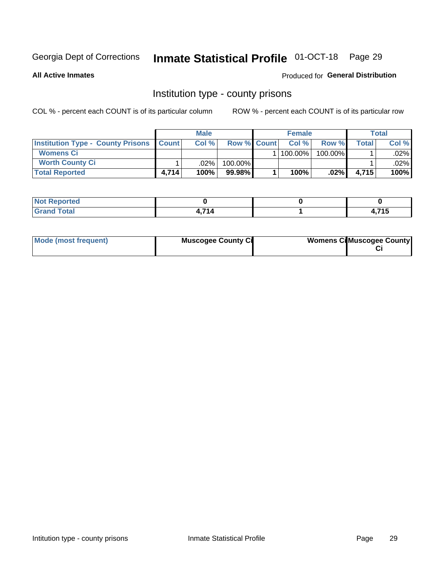## Inmate Statistical Profile 01-OCT-18 Page 29

**All Active Inmates** 

## Produced for General Distribution

## Institution type - county prisons

COL % - percent each COUNT is of its particular column

|                                                    | <b>Male</b> |         |                    | <b>Female</b> |            |            | <b>Total</b> |         |
|----------------------------------------------------|-------------|---------|--------------------|---------------|------------|------------|--------------|---------|
| <b>Institution Type - County Prisons   Count  </b> |             | Col %   | <b>Row % Count</b> |               | Col%       | Row %      | Total        | Col %   |
| <b>Womens Ci</b>                                   |             |         |                    |               | $100.00\%$ | $100.00\%$ |              | $.02\%$ |
| <b>Worth County Ci</b>                             |             | $.02\%$ | 100.00%            |               |            |            |              | .02% l  |
| <b>Total Reported</b>                              | 4.714       | 100%    | $99.98\%$          |               | 100%       | $.02\%$    | 4,715        | 100%    |

| ported<br><b>NOT</b> |     |            |
|----------------------|-----|------------|
| <b>otal</b>          | 74A | 74E<br>. . |

| Mode (most frequent) | <b>Muscogee County Ci</b> | <b>Womens Ci</b> Muscogee County |
|----------------------|---------------------------|----------------------------------|
|----------------------|---------------------------|----------------------------------|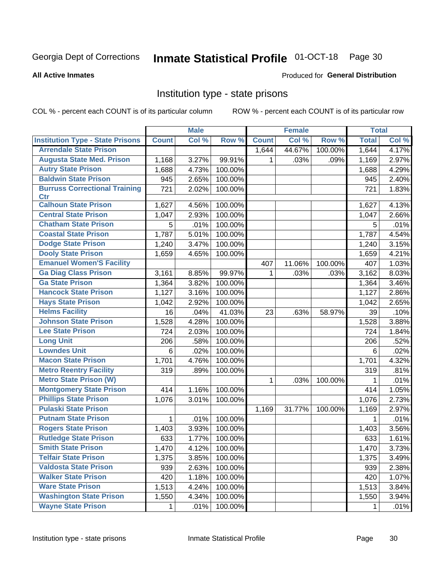## Inmate Statistical Profile 01-OCT-18 Page 30

### **All Active Inmates**

## Produced for General Distribution

## Institution type - state prisons

COL % - percent each COUNT is of its particular column

|                                         |              | <b>Male</b> |         |              | <b>Female</b> |         | <b>Total</b> |       |
|-----------------------------------------|--------------|-------------|---------|--------------|---------------|---------|--------------|-------|
| <b>Institution Type - State Prisons</b> | <b>Count</b> | Col %       | Row %   | <b>Count</b> | Col %         | Row %   | <b>Total</b> | Col % |
| <b>Arrendale State Prison</b>           |              |             |         | 1,644        | 44.67%        | 100.00% | 1,644        | 4.17% |
| <b>Augusta State Med. Prison</b>        | 1,168        | 3.27%       | 99.91%  | 1.           | .03%          | .09%    | 1,169        | 2.97% |
| <b>Autry State Prison</b>               | 1,688        | 4.73%       | 100.00% |              |               |         | 1,688        | 4.29% |
| <b>Baldwin State Prison</b>             | 945          | 2.65%       | 100.00% |              |               |         | 945          | 2.40% |
| <b>Burruss Correctional Training</b>    | 721          | 2.02%       | 100.00% |              |               |         | 721          | 1.83% |
| <b>Ctr</b>                              |              |             |         |              |               |         |              |       |
| <b>Calhoun State Prison</b>             | 1,627        | 4.56%       | 100.00% |              |               |         | 1,627        | 4.13% |
| <b>Central State Prison</b>             | 1,047        | 2.93%       | 100.00% |              |               |         | 1,047        | 2.66% |
| <b>Chatham State Prison</b>             | 5            | .01%        | 100.00% |              |               |         | 5            | .01%  |
| <b>Coastal State Prison</b>             | 1,787        | 5.01%       | 100.00% |              |               |         | 1,787        | 4.54% |
| <b>Dodge State Prison</b>               | 1,240        | 3.47%       | 100.00% |              |               |         | 1,240        | 3.15% |
| <b>Dooly State Prison</b>               | 1,659        | 4.65%       | 100.00% |              |               |         | 1,659        | 4.21% |
| <b>Emanuel Women'S Facility</b>         |              |             |         | 407          | 11.06%        | 100.00% | 407          | 1.03% |
| <b>Ga Diag Class Prison</b>             | 3,161        | 8.85%       | 99.97%  | $\mathbf 1$  | .03%          | .03%    | 3,162        | 8.03% |
| <b>Ga State Prison</b>                  | 1,364        | 3.82%       | 100.00% |              |               |         | 1,364        | 3.46% |
| <b>Hancock State Prison</b>             | 1,127        | 3.16%       | 100.00% |              |               |         | 1,127        | 2.86% |
| <b>Hays State Prison</b>                | 1,042        | 2.92%       | 100.00% |              |               |         | 1,042        | 2.65% |
| <b>Helms Facility</b>                   | 16           | .04%        | 41.03%  | 23           | .63%          | 58.97%  | 39           | .10%  |
| <b>Johnson State Prison</b>             | 1,528        | 4.28%       | 100.00% |              |               |         | 1,528        | 3.88% |
| <b>Lee State Prison</b>                 | 724          | 2.03%       | 100.00% |              |               |         | 724          | 1.84% |
| <b>Long Unit</b>                        | 206          | .58%        | 100.00% |              |               |         | 206          | .52%  |
| <b>Lowndes Unit</b>                     | 6            | .02%        | 100.00% |              |               |         | 6            | .02%  |
| <b>Macon State Prison</b>               | 1,701        | 4.76%       | 100.00% |              |               |         | 1,701        | 4.32% |
| <b>Metro Reentry Facility</b>           | 319          | .89%        | 100.00% |              |               |         | 319          | .81%  |
| <b>Metro State Prison (W)</b>           |              |             |         | 1            | .03%          | 100.00% | 1            | .01%  |
| <b>Montgomery State Prison</b>          | 414          | 1.16%       | 100.00% |              |               |         | 414          | 1.05% |
| <b>Phillips State Prison</b>            | 1,076        | 3.01%       | 100.00% |              |               |         | 1,076        | 2.73% |
| <b>Pulaski State Prison</b>             |              |             |         | 1,169        | 31.77%        | 100.00% | 1,169        | 2.97% |
| <b>Putnam State Prison</b>              | $\mathbf{1}$ | .01%        | 100.00% |              |               |         | 1            | .01%  |
| <b>Rogers State Prison</b>              | 1,403        | 3.93%       | 100.00% |              |               |         | 1,403        | 3.56% |
| <b>Rutledge State Prison</b>            | 633          | 1.77%       | 100.00% |              |               |         | 633          | 1.61% |
| <b>Smith State Prison</b>               | 1,470        | 4.12%       | 100.00% |              |               |         | 1,470        | 3.73% |
| <b>Telfair State Prison</b>             | 1,375        | 3.85%       | 100.00% |              |               |         | 1,375        | 3.49% |
| <b>Valdosta State Prison</b>            | 939          | 2.63%       | 100.00% |              |               |         | 939          | 2.38% |
| <b>Walker State Prison</b>              | 420          | 1.18%       | 100.00% |              |               |         | 420          | 1.07% |
| <b>Ware State Prison</b>                | 1,513        | 4.24%       | 100.00% |              |               |         | 1,513        | 3.84% |
| <b>Washington State Prison</b>          | 1,550        | 4.34%       | 100.00% |              |               |         | 1,550        | 3.94% |
| <b>Wayne State Prison</b>               | 1            | .01%        | 100.00% |              |               |         | 1            | .01%  |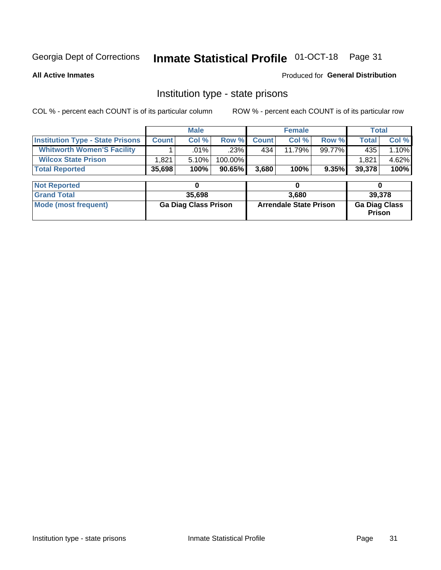## Inmate Statistical Profile 01-OCT-18 Page 31

**All Active Inmates** 

Produced for General Distribution

## Institution type - state prisons

COL % - percent each COUNT is of its particular column ROW % - percent each COUNT is of its particular row

|                                         | <b>Male</b>                 |         |         | <b>Female</b>                 |        |        | <b>Total</b>                   |       |
|-----------------------------------------|-----------------------------|---------|---------|-------------------------------|--------|--------|--------------------------------|-------|
| <b>Institution Type - State Prisons</b> | <b>Count</b>                | Col %   | Row %   | <b>Count</b>                  | Col %  | Row %  | <b>Total</b>                   | Col % |
| <b>Whitworth Women'S Facility</b>       |                             | $.01\%$ | .23%    | 434                           | 11.79% | 99.77% | 435                            | 1.10% |
| <b>Wilcox State Prison</b>              | 1,821                       | 5.10%   | 100.00% |                               |        |        | 1,821                          | 4.62% |
| <b>Total Reported</b>                   | 35,698                      | 100%    | 90.65%  | 3,680                         | 100%   | 9.35%  | 39,378                         | 100%  |
|                                         |                             |         |         |                               |        |        |                                |       |
| <b>Not Reported</b>                     |                             | 0       |         |                               | 0      |        | 0                              |       |
| <b>Grand Total</b>                      | 35,698                      |         |         | 3,680                         |        |        | 39,378                         |       |
| <b>Mode (most frequent)</b>             | <b>Ga Diag Class Prison</b> |         |         | <b>Arrendale State Prison</b> |        |        | <b>Ga Diag Class</b><br>Prison |       |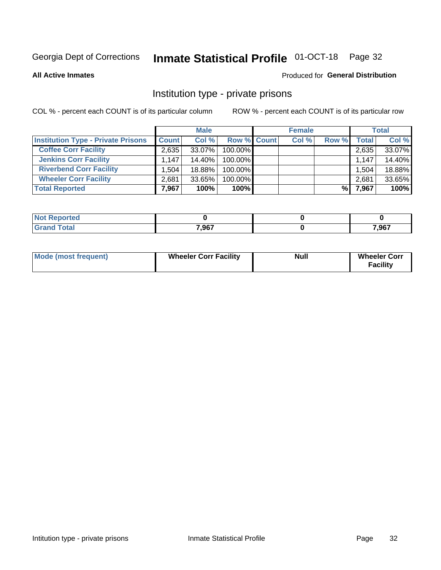## Inmate Statistical Profile 01-OCT-18 Page 32

**All Active Inmates** 

## Produced for General Distribution

## Institution type - private prisons

COL % - percent each COUNT is of its particular column

|                                           | <b>Male</b>  |        |                    | <b>Female</b> |       |       | <b>Total</b> |        |
|-------------------------------------------|--------------|--------|--------------------|---------------|-------|-------|--------------|--------|
| <b>Institution Type - Private Prisons</b> | <b>Count</b> | Col %  | <b>Row % Count</b> |               | Col % | Row % | Total        | Col %  |
| <b>Coffee Corr Facility</b>               | 2.635        | 33.07% | 100.00%            |               |       |       | 2,635        | 33.07% |
| <b>Jenkins Corr Facility</b>              | 1.147        | 14.40% | 100.00%            |               |       |       | 1,147        | 14.40% |
| <b>Riverbend Corr Facility</b>            | 1.504        | 18.88% | 100.00%            |               |       |       | 1,504        | 18.88% |
| <b>Wheeler Corr Facility</b>              | 2.681        | 33.65% | 100.00%            |               |       |       | 2,681        | 33.65% |
| <b>Total Reported</b>                     | 7,967        | 100%   | $100\%$            |               |       | %     | 7,967        | 100%   |

| <b>Not</b><br><b>Reported</b> |       |       |
|-------------------------------|-------|-------|
| <b>otal</b>                   | 7,967 | 7,967 |

| <b>Mode (most frequent)</b> | <b>Wheeler Corr Facility</b> | <b>Null</b> | <b>Wheeler Corr</b><br><b>Facility</b> |
|-----------------------------|------------------------------|-------------|----------------------------------------|
|-----------------------------|------------------------------|-------------|----------------------------------------|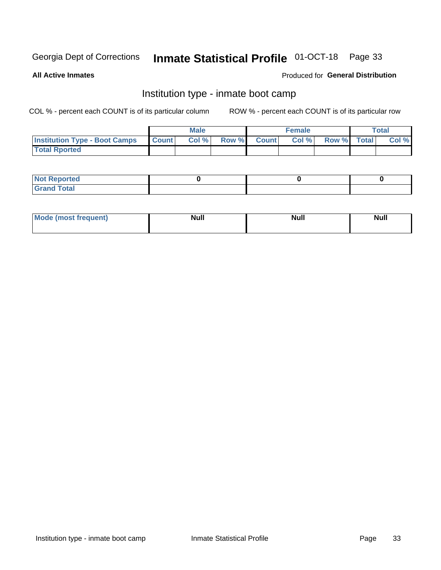#### **Inmate Statistical Profile 01-OCT-18** Page 33

**All Active Inmates** 

## Produced for General Distribution

## Institution type - inmate boot camp

COL % - percent each COUNT is of its particular column

|                                      |              | <b>Male</b> |               |              | <b>Female</b> |             | <b>Total</b> |
|--------------------------------------|--------------|-------------|---------------|--------------|---------------|-------------|--------------|
| <b>Institution Type - Boot Camps</b> | <b>Count</b> | Col %       | <b>Row %I</b> | <b>Count</b> | Col %         | Row % Total | Col %        |
| <b>Total Rported</b>                 |              |             |               |              |               |             |              |

| <b>Not Reported</b>            |  |  |
|--------------------------------|--|--|
| <b>Total</b><br>C <sub>r</sub> |  |  |

| Mod<br>uamo | Nul.<br>$- - - - - -$ | <b>Null</b> | <br>uu.<br>------ |
|-------------|-----------------------|-------------|-------------------|
|             |                       |             |                   |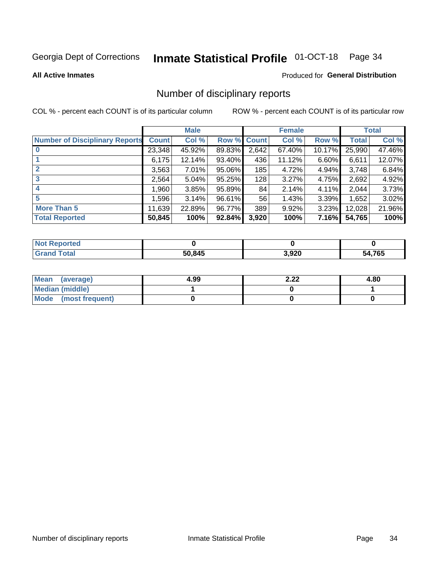## Inmate Statistical Profile 01-OCT-18 Page 34

### **All Active Inmates**

## Produced for General Distribution

## Number of disciplinary reports

COL % - percent each COUNT is of its particular column

|                                       | <b>Male</b>  |          | <b>Female</b> |              |        | <b>Total</b> |        |        |
|---------------------------------------|--------------|----------|---------------|--------------|--------|--------------|--------|--------|
| <b>Number of Disciplinary Reports</b> | <b>Count</b> | Col %    | Row %         | <b>Count</b> | Col %  | Row %        | Total  | Col %  |
|                                       | 23,348       | 45.92%   | 89.83%        | 2,642        | 67.40% | 10.17%       | 25,990 | 47.46% |
|                                       | 6,175        | 12.14%   | 93.40%        | 436          | 11.12% | 6.60%        | 6,611  | 12.07% |
|                                       | 3,563        | $7.01\%$ | 95.06%        | 185          | 4.72%  | 4.94%        | 3,748  | 6.84%  |
| 3                                     | 2,564        | 5.04%    | 95.25%        | 128          | 3.27%  | 4.75%        | 2,692  | 4.92%  |
| 4                                     | 1,960        | 3.85%    | 95.89%        | 84           | 2.14%  | $4.11\%$     | 2,044  | 3.73%  |
| 5                                     | 1,596        | 3.14%    | 96.61%        | 56           | 1.43%  | 3.39%        | 1,652  | 3.02%  |
| <b>More Than 5</b>                    | 11,639       | 22.89%   | 96.77%        | 389          | 9.92%  | $3.23\%$     | 12,028 | 21.96% |
| <b>Total Reported</b>                 | 50,845       | 100%     | 92.84%        | 3,920        | 100%   | 7.16%        | 54,765 | 100%   |

| orted<br><b>NOT</b> |        |       |            |
|---------------------|--------|-------|------------|
| Total               | 50.845 | 3,920 | ,765<br>54 |

| Mean (average)       | 4.99 | ר ר<br>Z.ZZ | 4.80 |
|----------------------|------|-------------|------|
| Median (middle)      |      |             |      |
| Mode (most frequent) |      |             |      |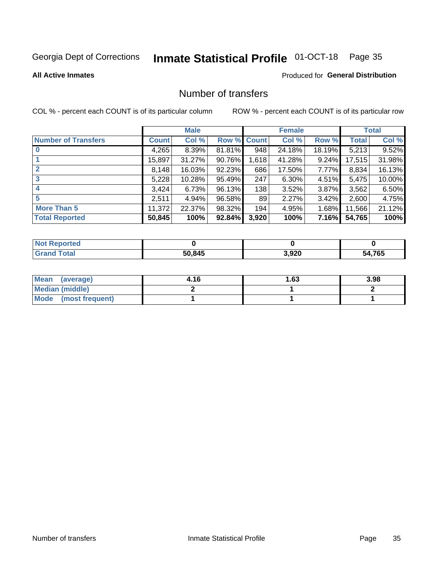## Inmate Statistical Profile 01-OCT-18 Page 35

## **All Active Inmates**

## Produced for General Distribution

## Number of transfers

COL % - percent each COUNT is of its particular column

|                            | <b>Male</b> |        | <b>Female</b> |       |        | <b>Total</b> |              |        |
|----------------------------|-------------|--------|---------------|-------|--------|--------------|--------------|--------|
| <b>Number of Transfers</b> | Count l     | Col %  | Row % Count   |       | Col %  | Row %        | <b>Total</b> | Col %  |
|                            | 4,265       | 8.39%  | 81.81%        | 948   | 24.18% | 18.19%       | 5,213        | 9.52%  |
|                            | 15,897      | 31.27% | 90.76%        | 1,618 | 41.28% | $9.24\%$     | 17,515       | 31.98% |
| $\mathbf{2}$               | 8,148       | 16.03% | 92.23%        | 686   | 17.50% | 7.77%        | 8,834        | 16.13% |
| 3                          | 5,228       | 10.28% | 95.49%        | 247   | 6.30%  | $4.51\%$     | 5,475        | 10.00% |
|                            | 3,424       | 6.73%  | 96.13%        | 138   | 3.52%  | $3.87\%$     | 3,562        | 6.50%  |
| 5                          | 2,511       | 4.94%  | 96.58%        | 89    | 2.27%  | $3.42\%$     | 2,600        | 4.75%  |
| <b>More Than 5</b>         | 11,372      | 22.37% | 98.32%        | 194   | 4.95%  | 1.68%        | 11,566       | 21.12% |
| <b>Total Reported</b>      | 50,845      | 100%   | 92.84%        | 3,920 | 100%   | 7.16%        | 54,765       | 100%   |

| orted<br><b>NOT</b> |        |       |            |
|---------------------|--------|-------|------------|
| Total               | 50.845 | 3,920 | ,765<br>54 |

| Mean (average)         | 4.16 | l.63 | 3.98 |
|------------------------|------|------|------|
| <b>Median (middle)</b> |      |      |      |
| Mode (most frequent)   |      |      |      |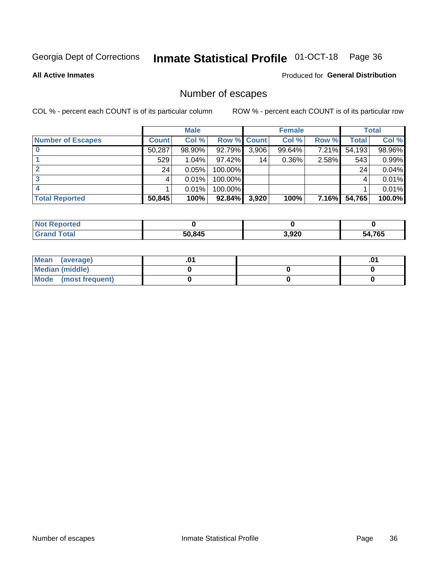## Inmate Statistical Profile 01-OCT-18 Page 36

**All Active Inmates** 

Produced for General Distribution

## Number of escapes

COL % - percent each COUNT is of its particular column

|                          | <b>Male</b>  |        | <b>Female</b> |       |          | <b>Total</b> |        |        |
|--------------------------|--------------|--------|---------------|-------|----------|--------------|--------|--------|
| <b>Number of Escapes</b> | <b>Count</b> | Col %  | Row % Count   |       | Col %    | Row %        | Total  | Col %  |
|                          | 50,287       | 98.90% | 92.79%        | 3,906 | 99.64%   | 7.21%        | 54,193 | 98.96% |
|                          | 529          | 1.04%  | 97.42%        | 14    | $0.36\%$ | 2.58%        | 543    | 0.99%  |
|                          | 24           | 0.05%  | 100.00%       |       |          |              | 24     | 0.04%  |
|                          |              | 0.01%  | $100.00\%$    |       |          |              |        | 0.01%  |
|                          |              | 0.01%  | 100.00%       |       |          |              |        | 0.01%  |
| <b>Total Reported</b>    | 50,845       | 100%   | 92.84%        | 3,920 | 100%     | <b>7.16%</b> | 54,765 | 100.0% |

| <b>rted</b> |        |       |        |
|-------------|--------|-------|--------|
|             | 50,845 | 3,920 | 54,765 |

| Mean (average)       |  | .0 <sup>1</sup> |
|----------------------|--|-----------------|
| Median (middle)      |  |                 |
| Mode (most frequent) |  |                 |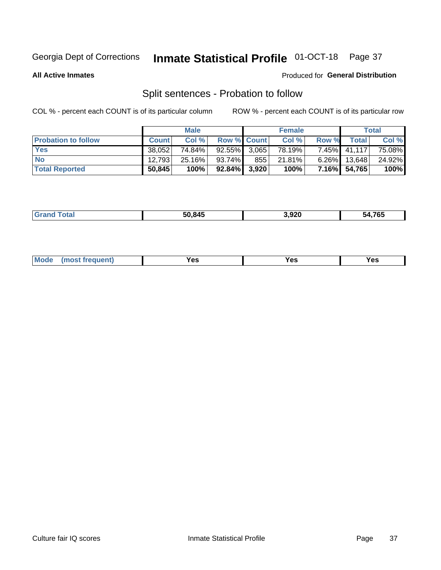## Inmate Statistical Profile 01-OCT-18 Page 37

**All Active Inmates** 

## Produced for General Distribution

## Split sentences - Probation to follow

COL % - percent each COUNT is of its particular column

|                            | <b>Male</b>  |           |                    | <b>Female</b> |        |          | <b>Total</b> |        |
|----------------------------|--------------|-----------|--------------------|---------------|--------|----------|--------------|--------|
| <b>Probation to follow</b> | <b>Count</b> | Col%      | <b>Row % Count</b> |               | Col %  | Row %    | Total        | Col %  |
| <b>Yes</b>                 | 38.052       | 74.84%    | $92.55\%$ 3.065    |               | 78.19% | $7.45\%$ | 41,117       | 75.08% |
| <b>No</b>                  | 12.793       | $25.16\%$ | 93.74%             | 855           | 21.81% | $6.26\%$ | 13.648       | 24.92% |
| <b>Total Reported</b>      | 50,845       | 100%      | $92.84\%$ 3,920    |               | 100%   | $7.16\%$ | 54,765       | 100%   |

|  |  | 50.845 | 3,920 | 54.765<br>'nΔ |
|--|--|--------|-------|---------------|
|--|--|--------|-------|---------------|

| <b>Mode</b><br>reauent)<br>Yes<br>v.c<br>0٥<br>.<br>. .<br>$\sim$ |
|-------------------------------------------------------------------|
|-------------------------------------------------------------------|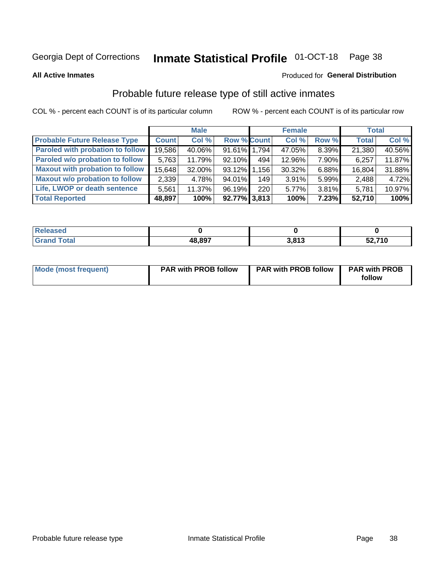## Inmate Statistical Profile 01-OCT-18 Page 38

**All Active Inmates** 

## Produced for General Distribution

## Probable future release type of still active inmates

COL % - percent each COUNT is of its particular column

|                                         |              | <b>Male</b> |                    |     | <b>Female</b> |          | <b>Total</b> |        |
|-----------------------------------------|--------------|-------------|--------------------|-----|---------------|----------|--------------|--------|
| <b>Probable Future Release Type</b>     | <b>Count</b> | Col %       | <b>Row % Count</b> |     | Col %         | Row %    | <b>Total</b> | Col %  |
| <b>Paroled with probation to follow</b> | 19,586       | 40.06%      | 91.61% 1.794       |     | 47.05%        | 8.39%    | 21,380       | 40.56% |
| Paroled w/o probation to follow         | 5,763        | 11.79%      | $92.10\%$          | 494 | 12.96%        | 7.90%    | 6,257        | 11.87% |
| <b>Maxout with probation to follow</b>  | 15,648       | 32.00%      | 93.12% 1.156       |     | 30.32%        | 6.88%    | 16,804       | 31.88% |
| <b>Maxout w/o probation to follow</b>   | 2,339        | 4.78%       | 94.01%             | 149 | 3.91%         | 5.99%    | 2,488        | 4.72%  |
| Life, LWOP or death sentence            | 5,561        | 11.37%      | 96.19%             | 220 | 5.77%         | $3.81\%$ | 5,781        | 10.97% |
| <b>Total Reported</b>                   | 48,897       | 100%        | $92.77\%$ 3,813    |     | 100%          | 7.23%    | 52,710       | 100%   |

| eleased     |        |             |                     |
|-------------|--------|-------------|---------------------|
| <b>otal</b> | 48.897 | 2012<br>. . | - 710<br>טו<br>JZ,I |

| Mode (most frequent) | <b>PAR with PROB follow</b> | <b>PAR with PROB follow</b> | <b>PAR with PROB</b> |
|----------------------|-----------------------------|-----------------------------|----------------------|
|                      |                             |                             | follow               |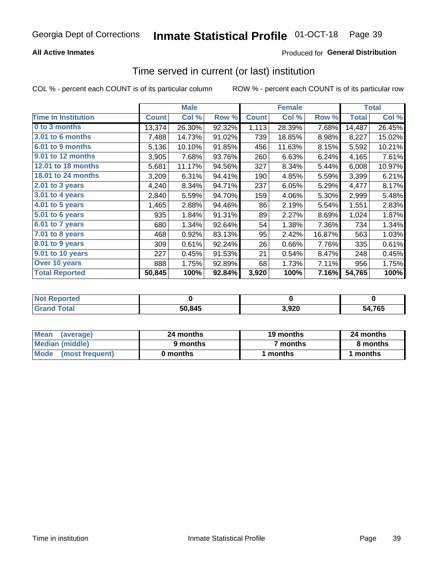### **All Active Inmates**

### Produced for General Distribution

# Time served in current (or last) institution

COL % - percent each COUNT is of its particular column

|                            |              | <b>Male</b> |        |              | <b>Female</b> |        |              | <b>Total</b> |
|----------------------------|--------------|-------------|--------|--------------|---------------|--------|--------------|--------------|
| <b>Time In Institution</b> | <b>Count</b> | Col %       | Row %  | <b>Count</b> | Col %         | Row %  | <b>Total</b> | Col %        |
| 0 to 3 months              | 13,374       | 26.30%      | 92.32% | 1,113        | 28.39%        | 7.68%  | 14,487       | 26.45%       |
| <b>3.01 to 6 months</b>    | 7,488        | 14.73%      | 91.02% | 739          | 18.85%        | 8.98%  | 8,227        | 15.02%       |
| 6.01 to 9 months           | 5,136        | 10.10%      | 91.85% | 456          | 11.63%        | 8.15%  | 5,592        | 10.21%       |
| 9.01 to 12 months          | 3,905        | 7.68%       | 93.76% | 260          | 6.63%         | 6.24%  | 4,165        | 7.61%        |
| <b>12.01 to 18 months</b>  | 5,681        | 11.17%      | 94.56% | 327          | 8.34%         | 5.44%  | 6,008        | 10.97%       |
| <b>18.01 to 24 months</b>  | 3,209        | 6.31%       | 94.41% | 190          | 4.85%         | 5.59%  | 3,399        | 6.21%        |
| $2.01$ to 3 years          | 4,240        | 8.34%       | 94.71% | 237          | 6.05%         | 5.29%  | 4,477        | 8.17%        |
| $3.01$ to 4 years          | 2,840        | 5.59%       | 94.70% | 159          | 4.06%         | 5.30%  | 2,999        | 5.48%        |
| 4.01 to 5 years            | 1,465        | 2.88%       | 94.46% | 86           | 2.19%         | 5.54%  | 1,551        | 2.83%        |
| 5.01 to 6 years            | 935          | 1.84%       | 91.31% | 89           | 2.27%         | 8.69%  | 1,024        | 1.87%        |
| 6.01 to 7 years            | 680          | 1.34%       | 92.64% | 54           | 1.38%         | 7.36%  | 734          | 1.34%        |
| $7.01$ to 8 years          | 468          | 0.92%       | 83.13% | 95           | 2.42%         | 16.87% | 563          | 1.03%        |
| 8.01 to 9 years            | 309          | 0.61%       | 92.24% | 26           | 0.66%         | 7.76%  | 335          | 0.61%        |
| 9.01 to 10 years           | 227          | 0.45%       | 91.53% | 21           | 0.54%         | 8.47%  | 248          | 0.45%        |
| Over 10 years              | 888          | 1.75%       | 92.89% | 68           | 1.73%         | 7.11%  | 956          | 1.75%        |
| <b>Total Reported</b>      | 50,845       | 100%        | 92.84% | 3,920        | 100%          | 7.16%  | 54,765       | 100%         |

| <b>Penorted</b><br><b>Not</b> |        |      |            |
|-------------------------------|--------|------|------------|
| ⊺ิ∩tal                        | 50.845 | ,920 | ,765<br>54 |

| <b>Mean</b><br>(average) | 24 months | 19 months | 24 months |
|--------------------------|-----------|-----------|-----------|
| Median (middle)          | 9 months  | 7 months  | 8 months  |
| Mode (most frequent)     | 0 months  | months    | 1 months  |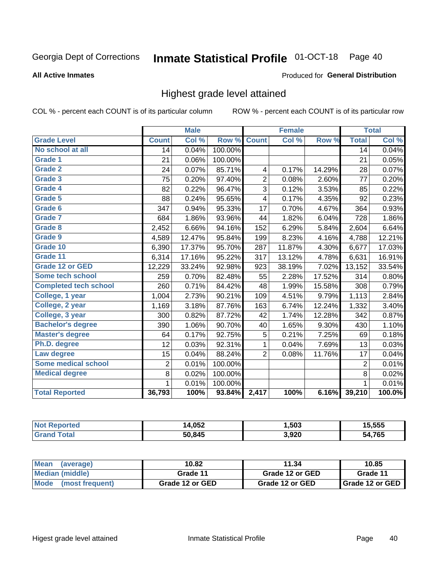#### Inmate Statistical Profile 01-OCT-18 Page 40

#### **All Active Inmates**

#### Produced for General Distribution

## Highest grade level attained

COL % - percent each COUNT is of its particular column

|                              |                 | <b>Male</b> |         |                | <b>Female</b> |        |                 | <b>Total</b> |
|------------------------------|-----------------|-------------|---------|----------------|---------------|--------|-----------------|--------------|
| <b>Grade Level</b>           | <b>Count</b>    | Col %       | Row %   | <b>Count</b>   | Col %         | Row %  | <b>Total</b>    | Col %        |
| No school at all             | $\overline{14}$ | 0.04%       | 100.00% |                |               |        | $\overline{14}$ | 0.04%        |
| <b>Grade 1</b>               | 21              | 0.06%       | 100.00% |                |               |        | 21              | 0.05%        |
| <b>Grade 2</b>               | 24              | 0.07%       | 85.71%  | 4              | 0.17%         | 14.29% | 28              | 0.07%        |
| Grade 3                      | 75              | 0.20%       | 97.40%  | $\overline{2}$ | 0.08%         | 2.60%  | 77              | 0.20%        |
| Grade 4                      | 82              | 0.22%       | 96.47%  | 3              | 0.12%         | 3.53%  | 85              | 0.22%        |
| Grade 5                      | 88              | 0.24%       | 95.65%  | 4              | 0.17%         | 4.35%  | 92              | 0.23%        |
| Grade 6                      | 347             | 0.94%       | 95.33%  | 17             | 0.70%         | 4.67%  | 364             | 0.93%        |
| <b>Grade 7</b>               | 684             | 1.86%       | 93.96%  | 44             | 1.82%         | 6.04%  | 728             | 1.86%        |
| Grade 8                      | 2,452           | 6.66%       | 94.16%  | 152            | 6.29%         | 5.84%  | 2,604           | 6.64%        |
| Grade 9                      | 4,589           | 12.47%      | 95.84%  | 199            | 8.23%         | 4.16%  | 4,788           | 12.21%       |
| Grade 10                     | 6,390           | 17.37%      | 95.70%  | 287            | 11.87%        | 4.30%  | 6,677           | 17.03%       |
| Grade 11                     | 6,314           | 17.16%      | 95.22%  | 317            | 13.12%        | 4.78%  | 6,631           | 16.91%       |
| <b>Grade 12 or GED</b>       | 12,229          | 33.24%      | 92.98%  | 923            | 38.19%        | 7.02%  | 13,152          | 33.54%       |
| <b>Some tech school</b>      | 259             | 0.70%       | 82.48%  | 55             | 2.28%         | 17.52% | 314             | 0.80%        |
| <b>Completed tech school</b> | 260             | 0.71%       | 84.42%  | 48             | 1.99%         | 15.58% | 308             | 0.79%        |
| College, 1 year              | 1,004           | 2.73%       | 90.21%  | 109            | 4.51%         | 9.79%  | 1,113           | 2.84%        |
| College, 2 year              | 1,169           | 3.18%       | 87.76%  | 163            | 6.74%         | 12.24% | 1,332           | 3.40%        |
| College, 3 year              | 300             | 0.82%       | 87.72%  | 42             | 1.74%         | 12.28% | 342             | 0.87%        |
| <b>Bachelor's degree</b>     | 390             | 1.06%       | 90.70%  | 40             | 1.65%         | 9.30%  | 430             | 1.10%        |
| <b>Master's degree</b>       | 64              | 0.17%       | 92.75%  | 5              | 0.21%         | 7.25%  | 69              | 0.18%        |
| Ph.D. degree                 | 12              | 0.03%       | 92.31%  | 1              | 0.04%         | 7.69%  | 13              | 0.03%        |
| Law degree                   | 15              | 0.04%       | 88.24%  | $\overline{2}$ | 0.08%         | 11.76% | 17              | 0.04%        |
| <b>Some medical school</b>   | $\overline{2}$  | 0.01%       | 100.00% |                |               |        | 2               | 0.01%        |
| <b>Medical degree</b>        | 8               | 0.02%       | 100.00% |                |               |        | 8               | 0.02%        |
|                              | 1               | 0.01%       | 100.00% |                |               |        | 1               | 0.01%        |
| <b>Total Reported</b>        | 36,793          | 100%        | 93.84%  | 2,417          | 100%          | 6.16%  | 39,210          | 100.0%       |

| <b>OF<sub>2</sub></b><br>∡טרי | 503. ا         | 5.555 |
|-------------------------------|----------------|-------|
| 50.845                        | חרם כ<br>J,JŁU | ,765  |

| <b>Mean</b><br>(average) | 10.82           | 11.34           | 10.85           |
|--------------------------|-----------------|-----------------|-----------------|
| Median (middle)          | Grade 11        | Grade 12 or GED | Grade 11        |
| Mode<br>(most frequent)  | Grade 12 or GED | Grade 12 or GED | Grade 12 or GED |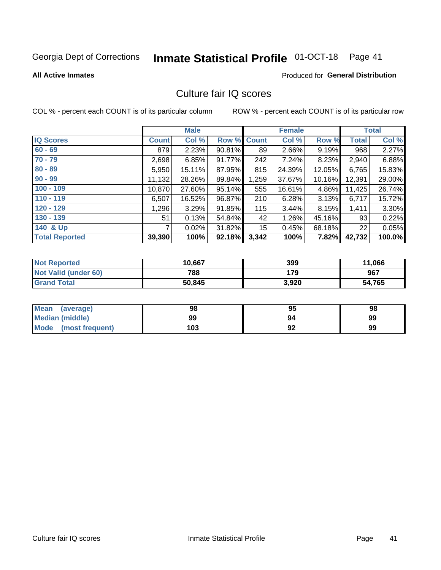# Inmate Statistical Profile 01-OCT-18 Page 41

#### **All Active Inmates**

### **Produced for General Distribution**

## Culture fair IQ scores

COL % - percent each COUNT is of its particular column

|                       |              | <b>Male</b> |             |       | <b>Female</b> |        |              | <b>Total</b> |
|-----------------------|--------------|-------------|-------------|-------|---------------|--------|--------------|--------------|
| <b>IQ Scores</b>      | <b>Count</b> | Col %       | Row % Count |       | Col %         | Row %  | <b>Total</b> | Col %        |
| $60 - 69$             | 879          | 2.23%       | 90.81%      | 89    | 2.66%         | 9.19%  | 968          | 2.27%        |
| $70 - 79$             | 2,698        | 6.85%       | 91.77%      | 242   | 7.24%         | 8.23%  | 2,940        | 6.88%        |
| $80 - 89$             | 5,950        | 15.11%      | 87.95%      | 815   | 24.39%        | 12.05% | 6,765        | 15.83%       |
| $90 - 99$             | 11,132       | 28.26%      | 89.84%      | 1,259 | 37.67%        | 10.16% | 12,391       | 29.00%       |
| $100 - 109$           | 10,870       | 27.60%      | 95.14%      | 555   | 16.61%        | 4.86%  | 11,425       | 26.74%       |
| $110 - 119$           | 6,507        | 16.52%      | 96.87%      | 210   | 6.28%         | 3.13%  | 6,717        | 15.72%       |
| $120 - 129$           | 1,296        | 3.29%       | 91.85%      | 115   | 3.44%         | 8.15%  | 1,411        | 3.30%        |
| $130 - 139$           | 51           | 0.13%       | 54.84%      | 42    | 1.26%         | 45.16% | 93           | 0.22%        |
| 140 & Up              | 7            | 0.02%       | 31.82%      | 15    | 0.45%         | 68.18% | 22           | 0.05%        |
| <b>Total Reported</b> | 39,390       | 100%        | 92.18%      | 3,342 | 100%          | 7.82%  | 42,732       | 100.0%       |

| <b>Not Reported</b>         | 10,667 | 399   | 11,066 |
|-----------------------------|--------|-------|--------|
| <b>Not Valid (under 60)</b> | 788    | 179   | 967    |
| <b>Grand Total</b>          | 50,845 | 3,920 | 54,765 |

| <b>Mean</b><br>(average)       | 98  | 95 | 98 |
|--------------------------------|-----|----|----|
| Median (middle)                | 99  | 94 | 99 |
| <b>Mode</b><br>(most frequent) | 103 | 92 | 99 |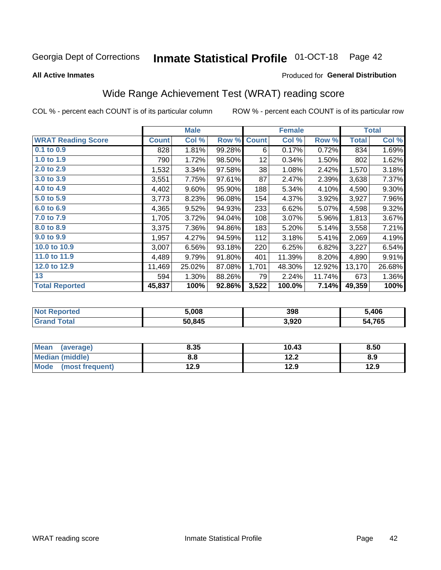#### **Inmate Statistical Profile 01-OCT-18** Page 42

#### **All Active Inmates**

#### Produced for General Distribution

## Wide Range Achievement Test (WRAT) reading score

COL % - percent each COUNT is of its particular column

|                           |              | <b>Male</b> |        |              | <b>Female</b> |        |              | <b>Total</b> |
|---------------------------|--------------|-------------|--------|--------------|---------------|--------|--------------|--------------|
| <b>WRAT Reading Score</b> | <b>Count</b> | Col %       | Row %  | <b>Count</b> | Col %         | Row %  | <b>Total</b> | Col %        |
| $0.1$ to $0.9$            | 828          | 1.81%       | 99.28% | 6            | 0.17%         | 0.72%  | 834          | 1.69%        |
| 1.0 to 1.9                | 790          | 1.72%       | 98.50% | 12           | 0.34%         | 1.50%  | 802          | 1.62%        |
| 2.0 to 2.9                | 1,532        | 3.34%       | 97.58% | 38           | 1.08%         | 2.42%  | 1,570        | 3.18%        |
| 3.0 to 3.9                | 3,551        | 7.75%       | 97.61% | 87           | 2.47%         | 2.39%  | 3,638        | 7.37%        |
| 4.0 to 4.9                | 4,402        | 9.60%       | 95.90% | 188          | 5.34%         | 4.10%  | 4,590        | 9.30%        |
| 5.0 to 5.9                | 3,773        | 8.23%       | 96.08% | 154          | 4.37%         | 3.92%  | 3,927        | 7.96%        |
| 6.0 to 6.9                | 4,365        | 9.52%       | 94.93% | 233          | 6.62%         | 5.07%  | 4,598        | 9.32%        |
| 7.0 to 7.9                | 1,705        | 3.72%       | 94.04% | 108          | 3.07%         | 5.96%  | 1,813        | 3.67%        |
| 8.0 to 8.9                | 3,375        | 7.36%       | 94.86% | 183          | 5.20%         | 5.14%  | 3,558        | 7.21%        |
| 9.0 to 9.9                | 1,957        | 4.27%       | 94.59% | 112          | 3.18%         | 5.41%  | 2,069        | 4.19%        |
| 10.0 to 10.9              | 3,007        | 6.56%       | 93.18% | 220          | 6.25%         | 6.82%  | 3,227        | 6.54%        |
| 11.0 to 11.9              | 4,489        | 9.79%       | 91.80% | 401          | 11.39%        | 8.20%  | 4,890        | 9.91%        |
| 12.0 to 12.9              | 11,469       | 25.02%      | 87.08% | 1,701        | 48.30%        | 12.92% | 13,170       | 26.68%       |
| 13                        | 594          | 1.30%       | 88.26% | 79           | 2.24%         | 11.74% | 673          | 1.36%        |
| <b>Total Reported</b>     | 45,837       | 100%        | 92.86% | 3,522        | 100.0%        | 7.14%  | 49,359       | 100%         |

| 'Tet.<br>NO | 5.008  | 398   | ,406       |
|-------------|--------|-------|------------|
|             | 50.845 | 3,920 | .765<br>מא |

| <b>Mean</b><br>(average) | 8.35 | 10.43 | 8.50 |
|--------------------------|------|-------|------|
| Median (middle)          | 8.8  | 12.2  | 8.9  |
| Mode<br>(most frequent)  | 12.9 | 12.9  | 12.9 |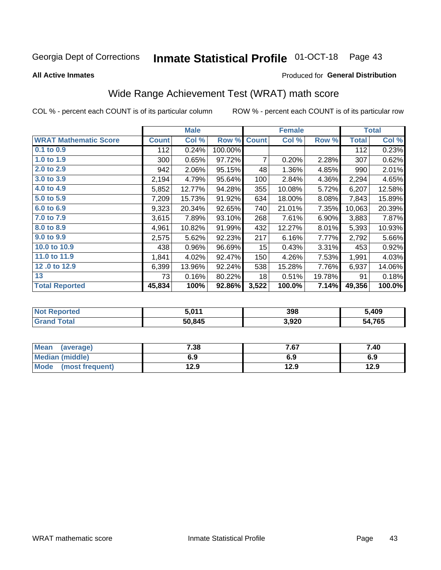#### **Inmate Statistical Profile 01-OCT-18** Page 43

**All Active Inmates** 

#### Produced for General Distribution

## Wide Range Achievement Test (WRAT) math score

COL % - percent each COUNT is of its particular column

|                              |              | <b>Male</b> |         |                 | <b>Female</b> |        |              | <b>Total</b> |
|------------------------------|--------------|-------------|---------|-----------------|---------------|--------|--------------|--------------|
| <b>WRAT Mathematic Score</b> | <b>Count</b> | Col %       | Row %   | <b>Count</b>    | Col %         | Row %  | <b>Total</b> | Col %        |
| $0.1$ to $0.9$               | 112          | 0.24%       | 100.00% |                 |               |        | 112          | 0.23%        |
| 1.0 to 1.9                   | 300          | 0.65%       | 97.72%  | 7               | 0.20%         | 2.28%  | 307          | 0.62%        |
| 2.0 to 2.9                   | 942          | 2.06%       | 95.15%  | 48              | 1.36%         | 4.85%  | 990          | 2.01%        |
| 3.0 to 3.9                   | 2,194        | 4.79%       | 95.64%  | 100             | 2.84%         | 4.36%  | 2,294        | 4.65%        |
| 4.0 to 4.9                   | 5,852        | 12.77%      | 94.28%  | 355             | 10.08%        | 5.72%  | 6,207        | 12.58%       |
| 5.0 to 5.9                   | 7,209        | 15.73%      | 91.92%  | 634             | 18.00%        | 8.08%  | 7,843        | 15.89%       |
| 6.0 to 6.9                   | 9,323        | 20.34%      | 92.65%  | 740             | 21.01%        | 7.35%  | 10,063       | 20.39%       |
| 7.0 to 7.9                   | 3,615        | 7.89%       | 93.10%  | 268             | 7.61%         | 6.90%  | 3,883        | 7.87%        |
| 8.0 to 8.9                   | 4,961        | 10.82%      | 91.99%  | 432             | 12.27%        | 8.01%  | 5,393        | 10.93%       |
| 9.0 to 9.9                   | 2,575        | 5.62%       | 92.23%  | 217             | 6.16%         | 7.77%  | 2,792        | 5.66%        |
| 10.0 to 10.9                 | 438          | 0.96%       | 96.69%  | 15 <sub>1</sub> | 0.43%         | 3.31%  | 453          | 0.92%        |
| 11.0 to 11.9                 | 1,841        | 4.02%       | 92.47%  | 150             | 4.26%         | 7.53%  | 1,991        | 4.03%        |
| 12.0 to 12.9                 | 6,399        | 13.96%      | 92.24%  | 538             | 15.28%        | 7.76%  | 6,937        | 14.06%       |
| 13                           | 73           | 0.16%       | 80.22%  | 18              | 0.51%         | 19.78% | 91           | 0.18%        |
| <b>Total Reported</b>        | 45,834       | 100%        | 92.86%  | 3,522           | 100.0%        | 7.14%  | 49,356       | 100.0%       |

| <b>Not</b><br>Reported | 5.011  | 398   | 409,د        |
|------------------------|--------|-------|--------------|
| <b>Total</b>           | 50,845 | 3,920 | 4,765<br>במ. |

| <b>Mean</b><br>(average) | 7.38 | 7.67 | 7.40 |
|--------------------------|------|------|------|
| Median (middle)          | 6.9  | 6.9  | 6.9  |
| Mode<br>(most frequent)  | 12.9 | 12.9 | 12.9 |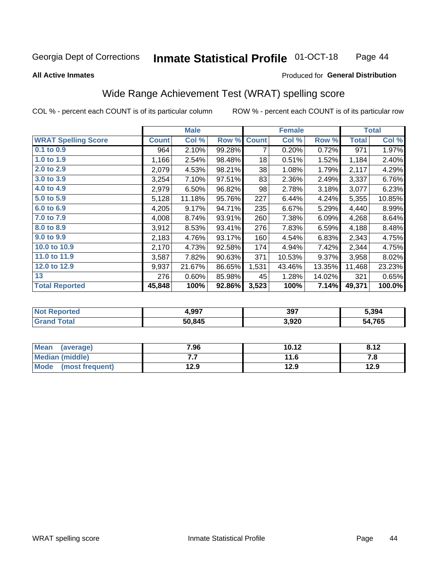#### **Inmate Statistical Profile 01-OCT-18** Page 44

Produced for General Distribution

#### **All Active Inmates**

# Wide Range Achievement Test (WRAT) spelling score

COL % - percent each COUNT is of its particular column

|                            |              | <b>Male</b> |        |              | <b>Female</b> |        |              | <b>Total</b> |
|----------------------------|--------------|-------------|--------|--------------|---------------|--------|--------------|--------------|
| <b>WRAT Spelling Score</b> | <b>Count</b> | Col %       | Row %  | <b>Count</b> | Col %         | Row %  | <b>Total</b> | Col %        |
| 0.1 to 0.9                 | 964          | 2.10%       | 99.28% | 7            | 0.20%         | 0.72%  | 971          | 1.97%        |
| 1.0 to 1.9                 | 1,166        | 2.54%       | 98.48% | 18           | 0.51%         | 1.52%  | 1,184        | 2.40%        |
| 2.0 to 2.9                 | 2,079        | 4.53%       | 98.21% | 38           | 1.08%         | 1.79%  | 2,117        | 4.29%        |
| 3.0 to 3.9                 | 3,254        | 7.10%       | 97.51% | 83           | 2.36%         | 2.49%  | 3,337        | 6.76%        |
| 4.0 to 4.9                 | 2,979        | 6.50%       | 96.82% | 98           | 2.78%         | 3.18%  | 3,077        | 6.23%        |
| 5.0 to 5.9                 | 5,128        | 11.18%      | 95.76% | 227          | 6.44%         | 4.24%  | 5,355        | 10.85%       |
| 6.0 to 6.9                 | 4,205        | 9.17%       | 94.71% | 235          | 6.67%         | 5.29%  | 4,440        | 8.99%        |
| 7.0 to 7.9                 | 4,008        | 8.74%       | 93.91% | 260          | 7.38%         | 6.09%  | 4,268        | 8.64%        |
| 8.0 to 8.9                 | 3,912        | 8.53%       | 93.41% | 276          | 7.83%         | 6.59%  | 4,188        | 8.48%        |
| 9.0 to 9.9                 | 2,183        | 4.76%       | 93.17% | 160          | 4.54%         | 6.83%  | 2,343        | 4.75%        |
| 10.0 to 10.9               | 2,170        | 4.73%       | 92.58% | 174          | 4.94%         | 7.42%  | 2,344        | 4.75%        |
| 11.0 to 11.9               | 3,587        | 7.82%       | 90.63% | 371          | 10.53%        | 9.37%  | 3,958        | 8.02%        |
| 12.0 to 12.9               | 9,937        | 21.67%      | 86.65% | 1,531        | 43.46%        | 13.35% | 11,468       | 23.23%       |
| 13                         | 276          | 0.60%       | 85.98% | 45           | 1.28%         | 14.02% | 321          | 0.65%        |
| <b>Total Reported</b>      | 45,848       | 100%        | 92.86% | 3,523        | 100%          | 7.14%  | 49,371       | 100.0%       |

| ≧rteα<br>NO | 4,997  | 397   | 5.394       |
|-------------|--------|-------|-------------|
|             | 50,845 | 3,920 | 4,765<br>מי |

| Mean<br>7.96<br>(average) |      | 10.12 | 8.12 |
|---------------------------|------|-------|------|
| Median (middle)           | .    | 11.6  | ه. ، |
| Mode (most frequent)      | 12.9 | 12.9  | 12.9 |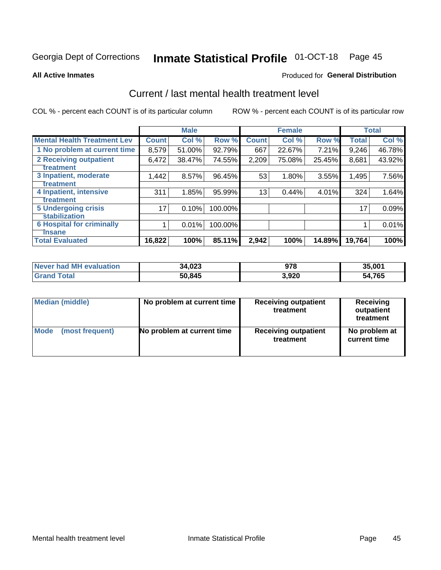# Inmate Statistical Profile 01-OCT-18 Page 45

#### **All Active Inmates**

#### **Produced for General Distribution**

## Current / last mental health treatment level

COL % - percent each COUNT is of its particular column

|                                    |              | <b>Male</b> |         |              | <b>Female</b> |        |              | <b>Total</b> |
|------------------------------------|--------------|-------------|---------|--------------|---------------|--------|--------------|--------------|
| <b>Mental Health Treatment Lev</b> | <b>Count</b> | Col %       | Row %   | <b>Count</b> | Col %         | Row %  | <b>Total</b> | Col %        |
| 1 No problem at current time       | 8,579        | 51.00%      | 92.79%  | 667          | 22.67%        | 7.21%  | 9,246        | 46.78%       |
| 2 Receiving outpatient             | 6,472        | 38.47%      | 74.55%  | 2,209        | 75.08%        | 25.45% | 8,681        | 43.92%       |
| <b>Treatment</b>                   |              |             |         |              |               |        |              |              |
| 3 Inpatient, moderate              | 1,442        | 8.57%       | 96.45%  | 53           | 1.80%         | 3.55%  | 1,495        | 7.56%        |
| Treatment                          |              |             |         |              |               |        |              |              |
| 4 Inpatient, intensive             | 311          | 1.85%       | 95.99%  | 13           | 0.44%         | 4.01%  | 324          | 1.64%        |
| <b>Treatment</b>                   |              |             |         |              |               |        |              |              |
| <b>5 Undergoing crisis</b>         | 17           | 0.10%       | 100.00% |              |               |        | 17           | 0.09%        |
| <b>Stabilization</b>               |              |             |         |              |               |        |              |              |
| <b>6 Hospital for criminally</b>   |              | 0.01%       | 100.00% |              |               |        |              | 0.01%        |
| <b>Tinsane</b>                     |              |             |         |              |               |        |              |              |
| <b>Total Evaluated</b>             | 16,822       | 100%        | 85.11%  | 2,942        | 100%          | 14.89% | 19,764       | 100%         |

| Never had MH evaluation | 34,023 | 978   | 35,001 |
|-------------------------|--------|-------|--------|
| <b>Grand Total</b>      | 50,845 | 3,920 | 54,765 |

| Median (middle) | No problem at current time | <b>Receiving outpatient</b><br>treatment | <b>Receiving</b><br>outpatient<br>treatment |
|-----------------|----------------------------|------------------------------------------|---------------------------------------------|
| <b>Mode</b>     | No problem at current time | <b>Receiving outpatient</b>              | No problem at                               |
| (most frequent) |                            | treatment                                | current time                                |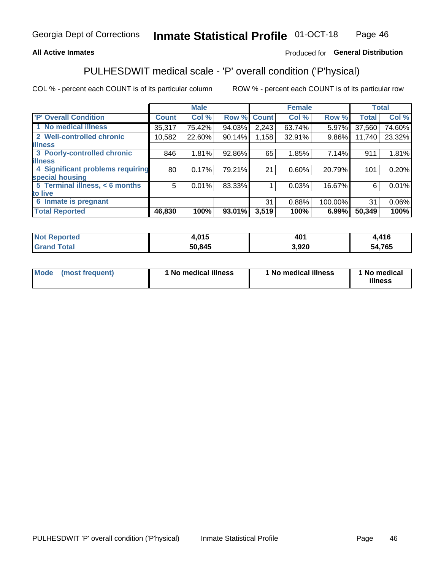### **All Active Inmates**

### Produced for General Distribution

## PULHESDWIT medical scale - 'P' overall condition ('P'hysical)

COL % - percent each COUNT is of its particular column

|                                  |              | <b>Male</b> |        |              | <b>Female</b> |         |              | <b>Total</b> |
|----------------------------------|--------------|-------------|--------|--------------|---------------|---------|--------------|--------------|
| 'P' Overall Condition            | <b>Count</b> | Col %       | Row %  | <b>Count</b> | Col %         | Row %   | <b>Total</b> | Col %        |
| 1 No medical illness             | 35,317       | 75.42%      | 94.03% | 2,243        | 63.74%        | 5.97%   | 37,560       | 74.60%       |
| 2 Well-controlled chronic        | 10,582       | 22.60%      | 90.14% | 1,158        | 32.91%        | 9.86%   | 11,740       | 23.32%       |
| <b>lillness</b>                  |              |             |        |              |               |         |              |              |
| 3 Poorly-controlled chronic      | 846          | 1.81%       | 92.86% | 65           | 1.85%         | 7.14%   | 911          | 1.81%        |
| <b>lillness</b>                  |              |             |        |              |               |         |              |              |
| 4 Significant problems requiring | 80           | 0.17%       | 79.21% | 21           | 0.60%         | 20.79%  | 101          | 0.20%        |
| special housing                  |              |             |        |              |               |         |              |              |
| 5 Terminal illness, < 6 months   | 5            | 0.01%       | 83.33% |              | 0.03%         | 16.67%  | 6            | 0.01%        |
| to live                          |              |             |        |              |               |         |              |              |
| 6 Inmate is pregnant             |              |             |        | 31           | 0.88%         | 100.00% | 31           | $0.06\%$     |
| <b>Total Reported</b>            | 46,830       | 100%        | 93.01% | 3,519        | 100%          | 6.99%   | 50,349       | 100%         |

| orted | 1 N 5<br>v.v | 40 <sup>′</sup> | 11C          |
|-------|--------------|-----------------|--------------|
|       | 50.845       | ,920            | 4,765<br>- 4 |

| Mode | (most frequent) | 1 No medical illness | 1 No medical illness | 1 No medical<br>illness |
|------|-----------------|----------------------|----------------------|-------------------------|
|------|-----------------|----------------------|----------------------|-------------------------|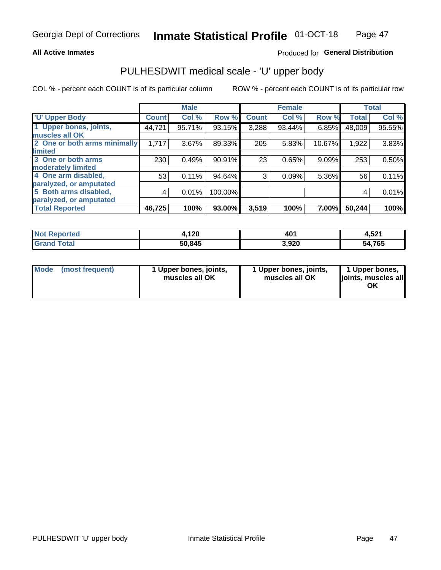### **All Active Inmates**

### Produced for General Distribution

# PULHESDWIT medical scale - 'U' upper body

COL % - percent each COUNT is of its particular column

|                              |               | <b>Male</b> |         |              | <b>Female</b> |        |              | <b>Total</b> |
|------------------------------|---------------|-------------|---------|--------------|---------------|--------|--------------|--------------|
| <b>U' Upper Body</b>         | <b>Count!</b> | Col %       | Row %   | <b>Count</b> | Col %         | Row %  | <b>Total</b> | Col %        |
| 1 Upper bones, joints,       | 44,721        | 95.71%      | 93.15%  | 3,288        | 93.44%        | 6.85%  | 48,009       | 95.55%       |
| muscles all OK               |               |             |         |              |               |        |              |              |
| 2 One or both arms minimally | 1,717         | 3.67%       | 89.33%  | 205          | 5.83%         | 10.67% | 1,922        | 3.83%        |
| limited                      |               |             |         |              |               |        |              |              |
| 3 One or both arms           | 230           | 0.49%       | 90.91%  | 23           | 0.65%         | 9.09%  | 253          | 0.50%        |
| <b>moderately limited</b>    |               |             |         |              |               |        |              |              |
| 4 One arm disabled,          | 53            | 0.11%       | 94.64%  | 3            | 0.09%         | 5.36%  | 56           | 0.11%        |
| paralyzed, or amputated      |               |             |         |              |               |        |              |              |
| 5 Both arms disabled,        | 4             | 0.01%       | 100.00% |              |               |        | 4            | 0.01%        |
| paralyzed, or amputated      |               |             |         |              |               |        |              |              |
| <b>Total Reported</b>        | 46,725        | 100%        | 93.00%  | 3,519        | 100%          | 7.00%  | 50,244       | 100%         |

| <b>Not Reported</b>   | 4,120  | 401   | 4,521  |
|-----------------------|--------|-------|--------|
| <b>Total</b><br>Grand | 50,845 | 3,920 | 54,765 |

| Mode (most frequent) | 1 Upper bones, joints,<br>muscles all OK | 1 Upper bones, joints,<br>muscles all OK | 1 Upper bones,<br>joints, muscles all<br>ΟK |
|----------------------|------------------------------------------|------------------------------------------|---------------------------------------------|
|----------------------|------------------------------------------|------------------------------------------|---------------------------------------------|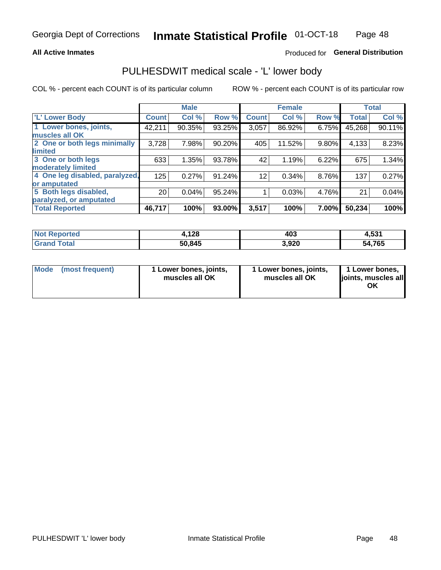### **All Active Inmates**

### Produced for General Distribution

## PULHESDWIT medical scale - 'L' lower body

COL % - percent each COUNT is of its particular column

|                                |                 | <b>Male</b> |        |              | <b>Female</b> |       |              | <b>Total</b> |
|--------------------------------|-----------------|-------------|--------|--------------|---------------|-------|--------------|--------------|
| 'L' Lower Body                 | <b>Count</b>    | Col %       | Row %  | <b>Count</b> | Col %         | Row % | <b>Total</b> | Col %        |
| 1 Lower bones, joints,         | 42,211          | 90.35%      | 93.25% | 3,057        | 86.92%        | 6.75% | 45,268       | 90.11%       |
| muscles all OK                 |                 |             |        |              |               |       |              |              |
| 2 One or both legs minimally   | 3,728           | 7.98%       | 90.20% | 405          | 11.52%        | 9.80% | 4,133        | 8.23%        |
| limited                        |                 |             |        |              |               |       |              |              |
| 3 One or both legs             | 633             | 1.35%       | 93.78% | 42           | 1.19%         | 6.22% | 675          | 1.34%        |
| moderately limited             |                 |             |        |              |               |       |              |              |
| 4 One leg disabled, paralyzed, | 125             | 0.27%       | 91.24% | 12           | 0.34%         | 8.76% | 137          | 0.27%        |
| or amputated                   |                 |             |        |              |               |       |              |              |
| 5 Both legs disabled,          | 20 <sub>1</sub> | 0.04%       | 95.24% |              | 0.03%         | 4.76% | 21           | 0.04%        |
| paralyzed, or amputated        |                 |             |        |              |               |       |              |              |
| <b>Total Reported</b>          | 46,717          | 100%        | 93.00% | 3,517        | 100%          | 7.00% | 50,234       | 100%         |

| <b>Not Reported</b>   | 4,128  | 403   | 4,531  |
|-----------------------|--------|-------|--------|
| <b>Total</b><br>Grand | 50,845 | 3,920 | 54,765 |

| Mode | (most frequent) | 1 Lower bones, joints,<br>muscles all OK | I Lower bones, joints,<br>muscles all OK | 1 Lower bones,<br>joints, muscles all<br>ΟK |
|------|-----------------|------------------------------------------|------------------------------------------|---------------------------------------------|
|------|-----------------|------------------------------------------|------------------------------------------|---------------------------------------------|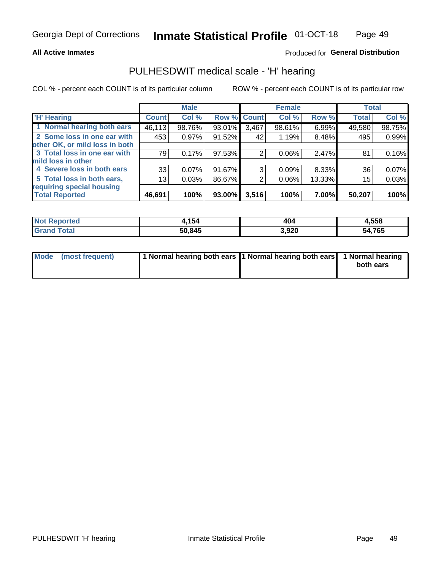### **All Active Inmates**

### Produced for General Distribution

## PULHESDWIT medical scale - 'H' hearing

COL % - percent each COUNT is of its particular column

|                                |              | <b>Male</b> |             |       | <b>Female</b> |        | <b>Total</b> |        |
|--------------------------------|--------------|-------------|-------------|-------|---------------|--------|--------------|--------|
| <b>'H' Hearing</b>             | <b>Count</b> | Col %       | Row % Count |       | Col %         | Row %  | <b>Total</b> | Col %  |
| 1 Normal hearing both ears     | 46,113       | 98.76%      | 93.01%      | 3,467 | 98.61%        | 6.99%  | 49,580       | 98.75% |
| 2 Some loss in one ear with    | 453          | 0.97%       | 91.52%      | 42    | 1.19%         | 8.48%  | 495          | 0.99%  |
| other OK, or mild loss in both |              |             |             |       |               |        |              |        |
| 3 Total loss in one ear with   | 79           | 0.17%       | 97.53%      | 2     | 0.06%         | 2.47%  | 81           | 0.16%  |
| mild loss in other             |              |             |             |       |               |        |              |        |
| 4 Severe loss in both ears     | 33           | $0.07\%$    | 91.67%      | 3     | 0.09%         | 8.33%  | 36           | 0.07%  |
| 5 Total loss in both ears,     | 13           | 0.03%       | 86.67%      | 2     | $0.06\%$      | 13.33% | 15           | 0.03%  |
| requiring special housing      |              |             |             |       |               |        |              |        |
| <b>Total Reported</b>          | 46,691       | 100%        | 93.00%      | 3,516 | 100%          | 7.00%  | 50,207       | 100%   |

| <b>orted</b><br><b>NOT</b> | , 154  | 404   | 1,558  |
|----------------------------|--------|-------|--------|
| $F \wedge f \wedge f$      | 50,845 | 3,920 | 54,765 |

| Mode (most frequent) | 1 Normal hearing both ears 1 Normal hearing both ears 1 Normal hearing | both ears |
|----------------------|------------------------------------------------------------------------|-----------|
|                      |                                                                        |           |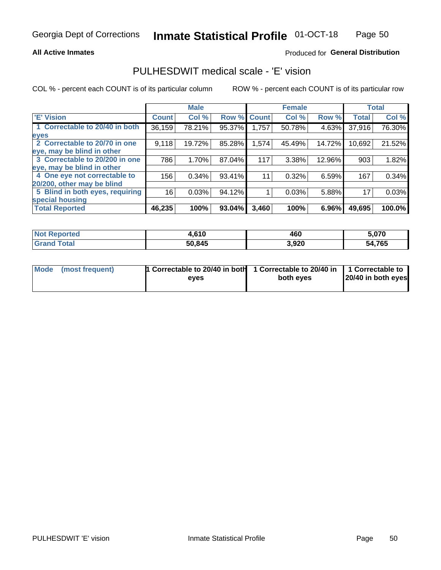### **All Active Inmates**

### Produced for General Distribution

## PULHESDWIT medical scale - 'E' vision

COL % - percent each COUNT is of its particular column

|                                 |              | <b>Male</b> |        |              | <b>Female</b> |        |              | <b>Total</b> |
|---------------------------------|--------------|-------------|--------|--------------|---------------|--------|--------------|--------------|
| 'E' Vision                      | <b>Count</b> | Col %       | Row %  | <b>Count</b> | Col %         | Row %  | <b>Total</b> | Col %        |
| 1 Correctable to 20/40 in both  | 36,159       | 78.21%      | 95.37% | 1,757        | 50.78%        | 4.63%  | 37,916       | 76.30%       |
| eyes                            |              |             |        |              |               |        |              |              |
| 2 Correctable to 20/70 in one   | 9,118        | 19.72%      | 85.28% | 1,574        | 45.49%        | 14.72% | 10,692       | 21.52%       |
| eye, may be blind in other      |              |             |        |              |               |        |              |              |
| 3 Correctable to 20/200 in one  | 786          | 1.70%       | 87.04% | 117          | 3.38%         | 12.96% | 903          | 1.82%        |
| eye, may be blind in other      |              |             |        |              |               |        |              |              |
| 4 One eye not correctable to    | 156          | 0.34%       | 93.41% | 11           | 0.32%         | 6.59%  | 167          | 0.34%        |
| 20/200, other may be blind      |              |             |        |              |               |        |              |              |
| 5 Blind in both eyes, requiring | 16           | 0.03%       | 94.12% |              | 0.03%         | 5.88%  | 17           | 0.03%        |
| special housing                 |              |             |        |              |               |        |              |              |
| <b>Total Reported</b>           | 46,235       | 100%        | 93.04% | 3,460        | 100%          | 6.96%  | 49,695       | 100.0%       |

| <b>Not Reported</b> | .610،  | 460   | 5,070       |
|---------------------|--------|-------|-------------|
| 「otal               | 50,845 | 3,920 | ,765<br>54. |

| Mode (most frequent) | 1 Correctable to 20/40 in both<br>eves | 1 Correctable to 20/40 in   1 Correctable to  <br>both eves | 20/40 in both eyes |
|----------------------|----------------------------------------|-------------------------------------------------------------|--------------------|
|                      |                                        |                                                             |                    |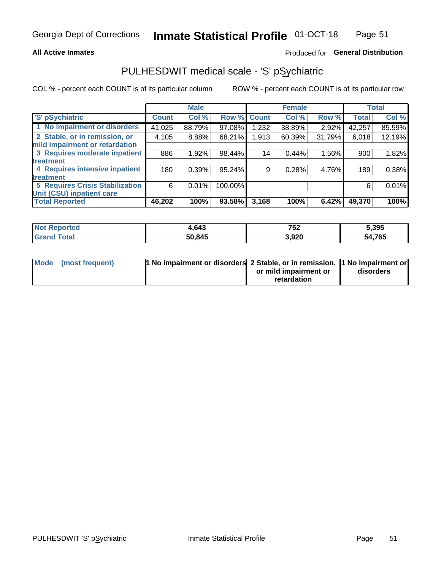### **All Active Inmates**

### Produced for General Distribution

## PULHESDWIT medical scale - 'S' pSychiatric

COL % - percent each COUNT is of its particular column

|                                        |              | <b>Male</b> |           |              | <b>Female</b> |        |              | <b>Total</b> |
|----------------------------------------|--------------|-------------|-----------|--------------|---------------|--------|--------------|--------------|
| 'S' pSychiatric                        | <b>Count</b> | Col %       | Row %     | <b>Count</b> | Col %         | Row %  | <b>Total</b> | Col %        |
| 1 No impairment or disorders           | 41,025       | 88.79%      | 97.08%    | .232         | 38.89%        | 2.92%  | 42,257       | 85.59%       |
| 2 Stable, or in remission, or          | 4,105        | 8.88%       | 68.21%    | 1,913        | 60.39%        | 31.79% | 6,018        | 12.19%       |
| mild impairment or retardation         |              |             |           |              |               |        |              |              |
| 3 Requires moderate inpatient          | 886          | 1.92%       | 98.44%    | 14           | 0.44%         | 1.56%  | 900          | 1.82%        |
| treatment                              |              |             |           |              |               |        |              |              |
| 4 Requires intensive inpatient         | 180          | 0.39%       | $95.24\%$ | 9            | 0.28%         | 4.76%  | 189          | 0.38%        |
| treatment                              |              |             |           |              |               |        |              |              |
| <b>5 Requires Crisis Stabilization</b> | 6            | 0.01%       | 100.00%   |              |               |        | 6            | 0.01%        |
| Unit (CSU) inpatient care              |              |             |           |              |               |        |              |              |
| <b>Total Reported</b>                  | 46,202       | 100%        | 93.58%    | 3,168        | 100%          | 6.42%  | 49,370       | 100%         |

| <b>Not Reported</b>    | 1,643  | 752   | 5,395         |
|------------------------|--------|-------|---------------|
| $\tau$ otal<br>' Grand | 50,845 | 3,920 | 54,765<br>54. |

| Mode (most frequent) | <b>1 No impairment or disorders</b> 2 Stable, or in remission, 1 No impairment or |                       |           |
|----------------------|-----------------------------------------------------------------------------------|-----------------------|-----------|
|                      |                                                                                   | or mild impairment or | disorders |
|                      |                                                                                   | retardation           |           |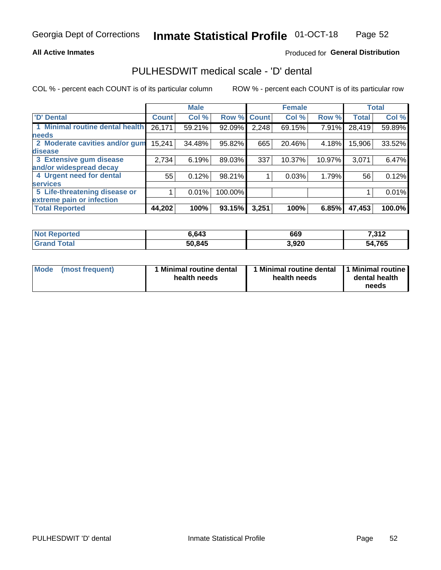### **All Active Inmates**

### Produced for General Distribution

## PULHESDWIT medical scale - 'D' dental

COL % - percent each COUNT is of its particular column

|                                 |               | <b>Male</b> |         |              | <b>Female</b> |        |              | <b>Total</b> |
|---------------------------------|---------------|-------------|---------|--------------|---------------|--------|--------------|--------------|
| <b>D'</b> Dental                | <b>Count!</b> | Col %       | Row %   | <b>Count</b> | Col %         | Row %  | <b>Total</b> | Col %        |
| 1 Minimal routine dental health | 26,171        | 59.21%      | 92.09%  | 2,248        | 69.15%        | 7.91%  | 28,419       | 59.89%       |
| <b>needs</b>                    |               |             |         |              |               |        |              |              |
| 2 Moderate cavities and/or gum  | 15,241        | 34.48%      | 95.82%  | 665          | 20.46%        | 4.18%  | 15,906       | 33.52%       |
| disease                         |               |             |         |              |               |        |              |              |
| 3 Extensive gum disease         | 2,734         | 6.19%       | 89.03%  | 337          | 10.37%        | 10.97% | 3,071        | 6.47%        |
| and/or widespread decay         |               |             |         |              |               |        |              |              |
| 4 Urgent need for dental        | 55            | 0.12%       | 98.21%  |              | 0.03%         | 1.79%  | 56           | 0.12%        |
| <b>services</b>                 |               |             |         |              |               |        |              |              |
| 5 Life-threatening disease or   |               | 0.01%       | 100.00% |              |               |        |              | 0.01%        |
| extreme pain or infection       |               |             |         |              |               |        |              |              |
| <b>Total Reported</b>           | 44,202        | 100%        | 93.15%  | 3,251        | 100%          | 6.85%  | 47,453       | 100.0%       |

| <b>Not Reported</b>     | 6.643  | 669   | 7,312  |
|-------------------------|--------|-------|--------|
| <b>Total</b><br>' Grand | 50,845 | 3,920 | 54,765 |

| Mode<br><b>Minimal routine dental</b><br>(most frequent)<br>health needs | 1 Minimal routine dental<br>health needs | 1 Minimal routine<br>dental health<br>needs |
|--------------------------------------------------------------------------|------------------------------------------|---------------------------------------------|
|--------------------------------------------------------------------------|------------------------------------------|---------------------------------------------|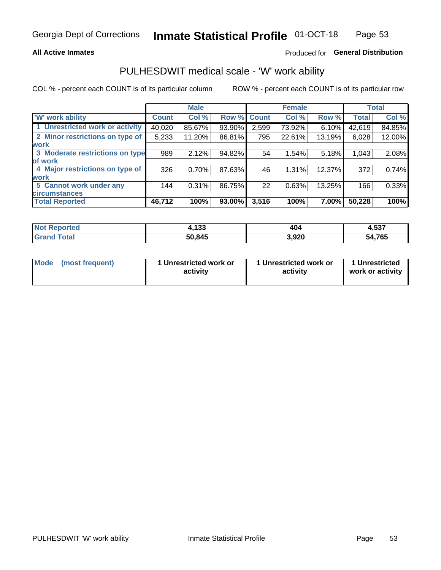### **All Active Inmates**

### Produced for General Distribution

## PULHESDWIT medical scale - 'W' work ability

COL % - percent each COUNT is of its particular column

|                                 |              | <b>Male</b> |        |             | <b>Female</b> |        |              | <b>Total</b> |
|---------------------------------|--------------|-------------|--------|-------------|---------------|--------|--------------|--------------|
| 'W' work ability                | <b>Count</b> | Col %       |        | Row % Count | Col %         | Row %  | <b>Total</b> | Col %        |
| 1 Unrestricted work or activity | 40,020       | 85.67%      | 93.90% | 2,599       | 73.92%        | 6.10%  | 42,619       | 84.85%       |
| 2 Minor restrictions on type of | 5,233        | 11.20%      | 86.81% | 795         | 22.61%        | 13.19% | 6,028        | 12.00%       |
| <b>work</b>                     |              |             |        |             |               |        |              |              |
| 3 Moderate restrictions on type | 989          | 2.12%       | 94.82% | 54          | 1.54%         | 5.18%  | 1,043        | 2.08%        |
| lof work                        |              |             |        |             |               |        |              |              |
| 4 Major restrictions on type of | 326          | 0.70%       | 87.63% | 46          | 1.31%         | 12.37% | 372          | 0.74%        |
| <b>work</b>                     |              |             |        |             |               |        |              |              |
| 5 Cannot work under any         | 144          | 0.31%       | 86.75% | 22          | 0.63%         | 13.25% | 166          | 0.33%        |
| <b>circumstances</b>            |              |             |        |             |               |        |              |              |
| <b>Total Reported</b>           | 46,712       | 100%        | 93.00% | 3,516       | 100%          | 7.00%  | 50,228       | 100%         |

| <b>Not Reported</b>   | 4,133  | 404   | 4,537  |
|-----------------------|--------|-------|--------|
| Total<br><b>Grand</b> | 50,845 | 3,920 | 54,765 |

| Mode            | 1 Unrestricted work or | 1 Unrestricted work or | 1 Unrestricted   |
|-----------------|------------------------|------------------------|------------------|
| (most frequent) | activity               | activity               | work or activity |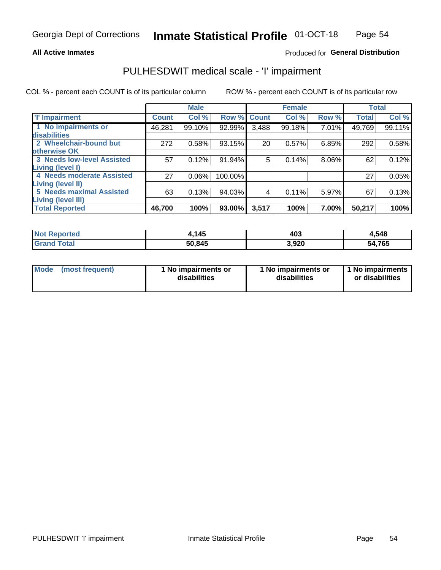### **All Active Inmates**

### Produced for General Distribution

## PULHESDWIT medical scale - 'I' impairment

COL % - percent each COUNT is of its particular column

|                                                              |              | <b>Male</b> |             |       | <b>Female</b> |       |              | <b>Total</b> |
|--------------------------------------------------------------|--------------|-------------|-------------|-------|---------------|-------|--------------|--------------|
| <b>T' Impairment</b>                                         | <b>Count</b> | Col %       | Row % Count |       | Col %         | Row % | <b>Total</b> | Col %        |
| 1 No impairments or<br>disabilities                          | 46,281       | 99.10%      | 92.99%      | 3,488 | 99.18%        | 7.01% | 49,769       | 99.11%       |
| 2 Wheelchair-bound but                                       | 272          | 0.58%       | 93.15%      | 20    | 0.57%         | 6.85% | 292          | 0.58%        |
| otherwise OK<br><b>3 Needs low-level Assisted</b>            | 57           | 0.12%       | 91.94%      | 5     | 0.14%         | 8.06% | 62           | 0.12%        |
| Living (level I)<br>4 Needs moderate Assisted                | 27           | 0.06%       | 100.00%     |       |               |       | 27           | 0.05%        |
| <b>Living (level II)</b>                                     |              |             |             |       |               |       |              |              |
| <b>5 Needs maximal Assisted</b><br><b>Living (level III)</b> | 63           | 0.13%       | 94.03%      | 4     | 0.11%         | 5.97% | 67           | 0.13%        |
| <b>Total Reported</b>                                        | 46,700       | 100%        | $93.00\%$   | 3,517 | 100%          | 7.00% | 50,217       | 100%         |

| $^{\mathrm{t}}$ Not $_{\mathrm{L}}$<br><b>Reported</b> | ,145   | 403   | 4,548  |
|--------------------------------------------------------|--------|-------|--------|
| <b>Total</b><br><b>Grand</b>                           | 50,845 | 3,920 | 54,765 |

| Mode | (most frequent) | 1 No impairments or<br>disabilities | 1 No impairments or<br>disabilities | 1 No impairments<br>or disabilities |
|------|-----------------|-------------------------------------|-------------------------------------|-------------------------------------|
|------|-----------------|-------------------------------------|-------------------------------------|-------------------------------------|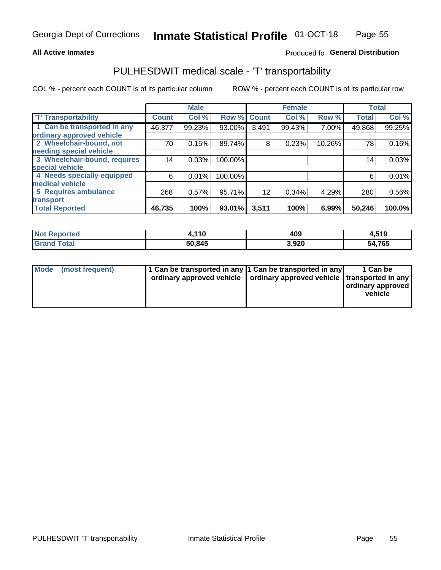#### **All Active Inmates**

### Produced fo General Distribution

## PULHESDWIT medical scale - 'T' transportability

COL % - percent each COUNT is of its particular column

|                              |              | <b>Male</b> |         |              | <b>Female</b> |        |              | <b>Total</b> |
|------------------------------|--------------|-------------|---------|--------------|---------------|--------|--------------|--------------|
| <b>T' Transportability</b>   | <b>Count</b> | Col %       | Row %   | <b>Count</b> | Col %         | Row %  | <b>Total</b> | Col %        |
| 1 Can be transported in any  | 46,377       | 99.23%      | 93.00%  | 3,491        | 99.43%        | 7.00%  | 49,868       | 99.25%       |
| ordinary approved vehicle    |              |             |         |              |               |        |              |              |
| 2 Wheelchair-bound, not      | 70           | 0.15%       | 89.74%  | 8            | 0.23%         | 10.26% | 78           | 0.16%        |
| needing special vehicle      |              |             |         |              |               |        |              |              |
| 3 Wheelchair-bound, requires | 14           | 0.03%       | 100.00% |              |               |        | 14           | 0.03%        |
| special vehicle              |              |             |         |              |               |        |              |              |
| 4 Needs specially-equipped   | 6            | 0.01%       | 100.00% |              |               |        | 6            | 0.01%        |
| medical vehicle              |              |             |         |              |               |        |              |              |
| <b>5 Requires ambulance</b>  | 268          | 0.57%       | 95.71%  | 12           | 0.34%         | 4.29%  | 280          | 0.56%        |
| transport                    |              |             |         |              |               |        |              |              |
| <b>Total Reported</b>        | 46,735       | 100%        | 93.01%  | 3,511        | 100%          | 6.99%  | 50,246       | 100.0%       |

| $^{\dagger}$ Not $\ddagger$<br>Reported | <b>440</b><br>. . u | 409   | 4,519       |
|-----------------------------------------|---------------------|-------|-------------|
| <b>Total</b>                            | 50.845              | 3,920 | 4,765<br>54 |

|  | Mode (most frequent) | 1 Can be transported in any 1 Can be transported in any<br>ordinary approved vehicle   ordinary approved vehicle   transported in any |  | 1 Can be<br>  ordinary approved  <br>vehicle |
|--|----------------------|---------------------------------------------------------------------------------------------------------------------------------------|--|----------------------------------------------|
|--|----------------------|---------------------------------------------------------------------------------------------------------------------------------------|--|----------------------------------------------|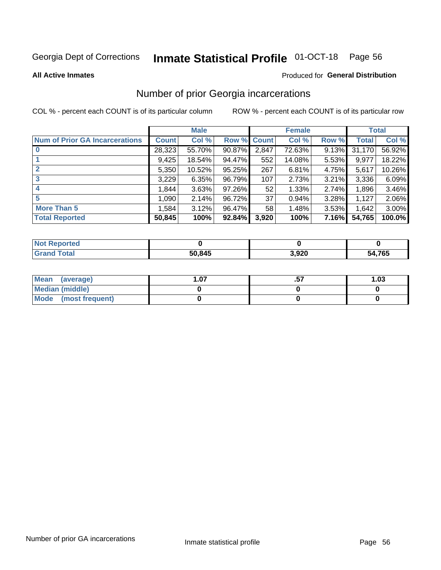#### **Inmate Statistical Profile 01-OCT-18** Page 56

**All Active Inmates** 

#### Produced for General Distribution

## Number of prior Georgia incarcerations

COL % - percent each COUNT is of its particular column

|                                       |              | <b>Male</b> |                    |                 | <b>Female</b> |       |        | <b>Total</b> |
|---------------------------------------|--------------|-------------|--------------------|-----------------|---------------|-------|--------|--------------|
| <b>Num of Prior GA Incarcerations</b> | <b>Count</b> | Col %       | <b>Row % Count</b> |                 | Col %         | Row % | Total  | Col %        |
|                                       | 28,323       | 55.70%      | 90.87%             | 2,847           | 72.63%        | 9.13% | 31,170 | 56.92%       |
|                                       | 9,425        | 18.54%      | 94.47%             | 552             | 14.08%        | 5.53% | 9,977  | 18.22%       |
| $\overline{2}$                        | 5,350        | 10.52%      | 95.25%             | 267             | 6.81%         | 4.75% | 5,617  | 10.26%       |
| 3                                     | 3,229        | 6.35%       | 96.79%             | 107             | 2.73%         | 3.21% | 3,336  | 6.09%        |
| 4                                     | 1,844        | 3.63%       | 97.26%             | 52              | 1.33%         | 2.74% | 1,896  | 3.46%        |
| 5                                     | 1,090        | 2.14%       | 96.72%             | 37 <sup>2</sup> | 0.94%         | 3.28% | 1,127  | 2.06%        |
| <b>More Than 5</b>                    | 1.584        | 3.12%       | 96.47%             | 58              | 1.48%         | 3.53% | 1,642  | $3.00\%$     |
| <b>Total Reported</b>                 | 50,845       | 100%        | 92.84%             | 3,920           | 100%          | 7.16% | 54,765 | 100.0%       |

| <b>Not</b><br>Reported |        |       |        |
|------------------------|--------|-------|--------|
| Total<br>"Gran∟        | 50,845 | 3,920 | 54,765 |

| Mean (average)       | .07 | 1.03 |
|----------------------|-----|------|
| Median (middle)      |     |      |
| Mode (most frequent) |     |      |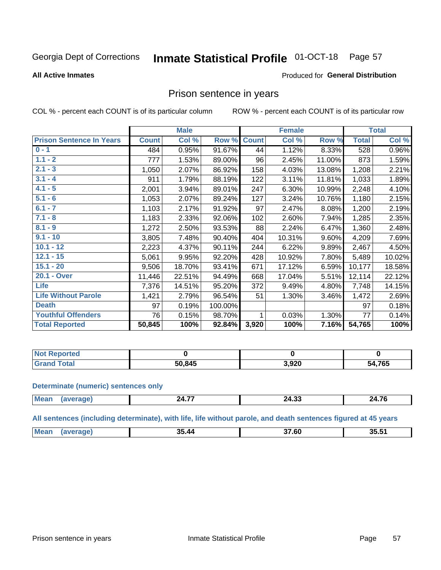#### Inmate Statistical Profile 01-OCT-18 Page 57

#### **All Active Inmates**

#### Produced for General Distribution

### Prison sentence in years

COL % - percent each COUNT is of its particular column

ROW % - percent each COUNT is of its particular row

|                                 |              | <b>Male</b> |         |              | <b>Female</b> |        |              | <b>Total</b> |
|---------------------------------|--------------|-------------|---------|--------------|---------------|--------|--------------|--------------|
| <b>Prison Sentence In Years</b> | <b>Count</b> | Col %       | Row %   | <b>Count</b> | Col %         | Row %  | <b>Total</b> | Col %        |
| $0 - 1$                         | 484          | 0.95%       | 91.67%  | 44           | 1.12%         | 8.33%  | 528          | 0.96%        |
| $1.1 - 2$                       | 777          | 1.53%       | 89.00%  | 96           | 2.45%         | 11.00% | 873          | 1.59%        |
| $2.1 - 3$                       | 1,050        | 2.07%       | 86.92%  | 158          | 4.03%         | 13.08% | 1,208        | 2.21%        |
| $3.1 - 4$                       | 911          | 1.79%       | 88.19%  | 122          | 3.11%         | 11.81% | 1,033        | 1.89%        |
| $4.1 - 5$                       | 2,001        | 3.94%       | 89.01%  | 247          | 6.30%         | 10.99% | 2,248        | 4.10%        |
| $5.1 - 6$                       | 1,053        | 2.07%       | 89.24%  | 127          | 3.24%         | 10.76% | 1,180        | 2.15%        |
| $6.1 - 7$                       | 1,103        | 2.17%       | 91.92%  | 97           | 2.47%         | 8.08%  | 1,200        | 2.19%        |
| $7.1 - 8$                       | 1,183        | 2.33%       | 92.06%  | 102          | 2.60%         | 7.94%  | 1,285        | 2.35%        |
| $8.1 - 9$                       | 1,272        | 2.50%       | 93.53%  | 88           | 2.24%         | 6.47%  | 1,360        | 2.48%        |
| $9.1 - 10$                      | 3,805        | 7.48%       | 90.40%  | 404          | 10.31%        | 9.60%  | 4,209        | 7.69%        |
| $10.1 - 12$                     | 2,223        | 4.37%       | 90.11%  | 244          | 6.22%         | 9.89%  | 2,467        | 4.50%        |
| $12.1 - 15$                     | 5,061        | 9.95%       | 92.20%  | 428          | 10.92%        | 7.80%  | 5,489        | 10.02%       |
| $15.1 - 20$                     | 9,506        | 18.70%      | 93.41%  | 671          | 17.12%        | 6.59%  | 10,177       | 18.58%       |
| 20.1 - Over                     | 11,446       | 22.51%      | 94.49%  | 668          | 17.04%        | 5.51%  | 12,114       | 22.12%       |
| <b>Life</b>                     | 7,376        | 14.51%      | 95.20%  | 372          | 9.49%         | 4.80%  | 7,748        | 14.15%       |
| <b>Life Without Parole</b>      | 1,421        | 2.79%       | 96.54%  | 51           | 1.30%         | 3.46%  | 1,472        | 2.69%        |
| <b>Death</b>                    | 97           | 0.19%       | 100.00% |              |               |        | 97           | 0.18%        |
| <b>Youthful Offenders</b>       | 76           | 0.15%       | 98.70%  |              | 0.03%         | 1.30%  | 77           | 0.14%        |
| <b>Total Reported</b>           | 50,845       | 100%        | 92.84%  | 3,920        | 100%          | 7.16%  | 54,765       | 100%         |

| <b>Not Reported</b> |        |       |            |
|---------------------|--------|-------|------------|
| $\sim$<br>. Cars    | 50.845 | . രാറ | ,765<br>54 |

#### **Determinate (numeric) sentences only**

| Me:<br>$\sim$ 70<br>.<br>$\sim$<br>,,<br>24.JJ<br>---<br>---- |  |  |  |
|---------------------------------------------------------------|--|--|--|
|                                                               |  |  |  |

All sentences (including determinate), with life, life without parole, and death sentences figured at 45 years

| <b>Me</b><br><br>25 51<br>- -<br>35 44<br>35.5<br>$ -$ |  |  |  |
|--------------------------------------------------------|--|--|--|
|                                                        |  |  |  |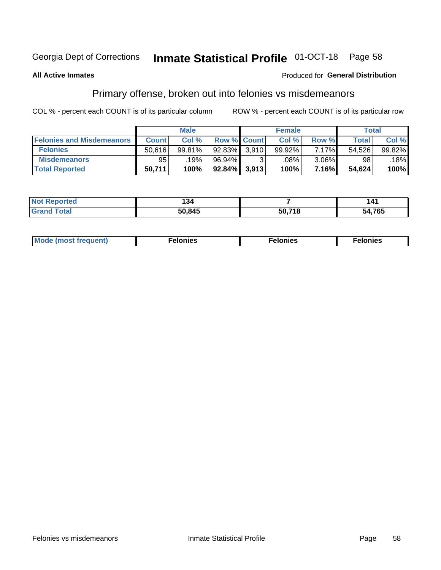#### **Inmate Statistical Profile 01-OCT-18** Page 58

#### **All Active Inmates**

#### **Produced for General Distribution**

## Primary offense, broken out into felonies vs misdemeanors

COL % - percent each COUNT is of its particular column

|                                  |              | <b>Male</b> |           |                    | <b>Female</b> |          | Total  |        |
|----------------------------------|--------------|-------------|-----------|--------------------|---------------|----------|--------|--------|
| <b>Felonies and Misdemeanors</b> | <b>Count</b> | Col%        |           | <b>Row % Count</b> | Col%          | Row %    | Total, | Col %  |
| <b>Felonies</b>                  | 50,616       | 99.81%      | $92.83\%$ | 3,910              | 99.92%        | 7.17%    | 54,526 | 99.82% |
| <b>Misdemeanors</b>              | 95           | 19%         | 96.94%    |                    | .08%          | $3.06\%$ | 98     | .18%   |
| <b>Total Reported</b>            | 50,711       | 100%        | $92.84\%$ | 3,913              | 100%          | 7.16%    | 54,624 | 100%   |

| <b>Not</b><br>Reported | 34ء،   |        | . .    |
|------------------------|--------|--------|--------|
| ™otaï<br><b>Grand</b>  | 50,845 | 50.71S | 54,765 |

| Mo | ____ | 11 C.S<br>. | onies<br>. |
|----|------|-------------|------------|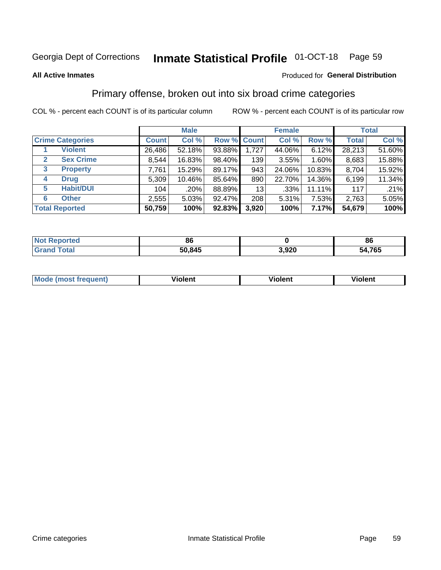#### **Inmate Statistical Profile 01-OCT-18** Page 59

#### **All Active Inmates**

#### Produced for General Distribution

## Primary offense, broken out into six broad crime categories

COL % - percent each COUNT is of its particular column

|                                 |              | <b>Male</b> |           |             | <b>Female</b> |        | <b>Total</b> |        |  |
|---------------------------------|--------------|-------------|-----------|-------------|---------------|--------|--------------|--------|--|
| <b>Crime Categories</b>         | <b>Count</b> | Col %       |           | Row % Count | Col %         | Row %  | <b>Total</b> | Col %  |  |
| <b>Violent</b>                  | 26,486       | 52.18%      | 93.88%    | 1,727       | 44.06%        | 6.12%  | 28,213       | 51.60% |  |
| <b>Sex Crime</b><br>2           | 8,544        | 16.83%      | 98.40%    | 139         | 3.55%         | 1.60%  | 8,683        | 15.88% |  |
| $\mathbf{3}$<br><b>Property</b> | 7,761        | 15.29%      | 89.17%    | 943         | 24.06%        | 10.83% | 8,704        | 15.92% |  |
| <b>Drug</b><br>4                | 5,309        | 10.46%      | 85.64%    | 890         | 22.70%        | 14.36% | 6,199        | 11.34% |  |
| <b>Habit/DUI</b><br>5           | 104          | .20%        | 88.89%    | 13          | $.33\%$       | 11.11% | 117          | .21%   |  |
| <b>Other</b><br>6               | 2,555        | 5.03%       | 92.47%    | 208         | 5.31%         | 7.53%  | 2,763        | 5.05%  |  |
| <b>Total Reported</b>           | 50,759       | 100%        | $92.83\%$ | 3,920       | 100%          | 7.17%  | 54,679       | 100%   |  |

| Reported<br><b>NOT</b> | 86     |       | 86     |
|------------------------|--------|-------|--------|
| <b>Total</b>           | 50,845 | 3,920 | 54,765 |

| M | - --<br>1010111 | .<br><b>VIOIGIIL</b> | 1.91311 |
|---|-----------------|----------------------|---------|
|   |                 |                      |         |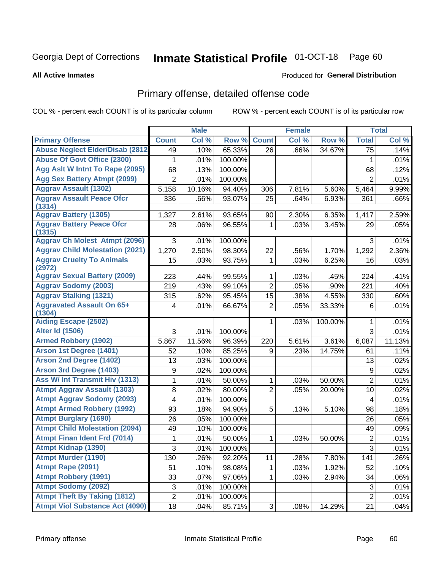#### **Inmate Statistical Profile 01-OCT-18** Page 60

#### **All Active Inmates**

### **Produced for General Distribution**

## Primary offense, detailed offense code

COL % - percent each COUNT is of its particular column

|                                            |                | <b>Male</b> |         |                | <b>Female</b> |         |                  | <b>Total</b> |
|--------------------------------------------|----------------|-------------|---------|----------------|---------------|---------|------------------|--------------|
| <b>Primary Offense</b>                     | <b>Count</b>   | Col %       | Row %   | <b>Count</b>   | Col %         | Row %   | <b>Total</b>     | Col %        |
| <b>Abuse Neglect Elder/Disab (2812)</b>    | 49             | .10%        | 65.33%  | 26             | .66%          | 34.67%  | $\overline{75}$  | .14%         |
| <b>Abuse Of Govt Office (2300)</b>         | 1              | .01%        | 100.00% |                |               |         | 1                | .01%         |
| Agg Aslt W Intnt To Rape (2095)            | 68             | .13%        | 100.00% |                |               |         | 68               | .12%         |
| <b>Agg Sex Battery Atmpt (2099)</b>        | $\overline{2}$ | .01%        | 100.00% |                |               |         | $\overline{2}$   | .01%         |
| <b>Aggrav Assault (1302)</b>               | 5,158          | 10.16%      | 94.40%  | 306            | 7.81%         | 5.60%   | 5,464            | 9.99%        |
| <b>Aggrav Assault Peace Ofcr</b><br>(1314) | 336            | .66%        | 93.07%  | 25             | .64%          | 6.93%   | 361              | .66%         |
| <b>Aggrav Battery (1305)</b>               | 1,327          | 2.61%       | 93.65%  | 90             | 2.30%         | 6.35%   | 1,417            | 2.59%        |
| <b>Aggrav Battery Peace Ofcr</b><br>(1315) | 28             | .06%        | 96.55%  | 1              | .03%          | 3.45%   | 29               | .05%         |
| <b>Aggrav Ch Molest Atmpt (2096)</b>       | 3              | .01%        | 100.00% |                |               |         | 3                | .01%         |
| <b>Aggrav Child Molestation (2021)</b>     | 1,270          | 2.50%       | 98.30%  | 22             | .56%          | 1.70%   | 1,292            | 2.36%        |
| <b>Aggrav Cruelty To Animals</b><br>(2972) | 15             | .03%        | 93.75%  | $\mathbf{1}$   | .03%          | 6.25%   | 16               | .03%         |
| <b>Aggrav Sexual Battery (2009)</b>        | 223            | .44%        | 99.55%  | 1              | .03%          | .45%    | 224              | .41%         |
| <b>Aggrav Sodomy (2003)</b>                | 219            | .43%        | 99.10%  | $\overline{2}$ | .05%          | .90%    | 221              | .40%         |
| <b>Aggrav Stalking (1321)</b>              | 315            | .62%        | 95.45%  | 15             | .38%          | 4.55%   | 330              | .60%         |
| <b>Aggravated Assault On 65+</b><br>(1304) | 4              | .01%        | 66.67%  | $\overline{2}$ | .05%          | 33.33%  | 6                | .01%         |
| <b>Aiding Escape (2502)</b>                |                |             |         | 1              | .03%          | 100.00% | 1                | .01%         |
| <b>Alter Id (1506)</b>                     | 3              | .01%        | 100.00% |                |               |         | 3                | .01%         |
| <b>Armed Robbery (1902)</b>                | 5,867          | 11.56%      | 96.39%  | 220            | 5.61%         | 3.61%   | 6,087            | 11.13%       |
| Arson 1st Degree (1401)                    | 52             | .10%        | 85.25%  | 9              | .23%          | 14.75%  | 61               | .11%         |
| <b>Arson 2nd Degree (1402)</b>             | 13             | .03%        | 100.00% |                |               |         | 13               | .02%         |
| <b>Arson 3rd Degree (1403)</b>             | 9              | .02%        | 100.00% |                |               |         | $\boldsymbol{9}$ | .02%         |
| Ass W/ Int Transmit Hiv (1313)             | $\mathbf{1}$   | .01%        | 50.00%  | $\mathbf{1}$   | .03%          | 50.00%  | $\overline{2}$   | .01%         |
| <b>Atmpt Aggrav Assault (1303)</b>         | 8              | .02%        | 80.00%  | $\overline{2}$ | .05%          | 20.00%  | 10               | .02%         |
| <b>Atmpt Aggrav Sodomy (2093)</b>          | 4              | .01%        | 100.00% |                |               |         | 4                | .01%         |
| <b>Atmpt Armed Robbery (1992)</b>          | 93             | .18%        | 94.90%  | 5              | .13%          | 5.10%   | 98               | .18%         |
| <b>Atmpt Burglary (1690)</b>               | 26             | .05%        | 100.00% |                |               |         | 26               | .05%         |
| <b>Atmpt Child Molestation (2094)</b>      | 49             | .10%        | 100.00% |                |               |         | 49               | .09%         |
| <b>Atmpt Finan Ident Frd (7014)</b>        | 1              | .01%        | 50.00%  | 1              | .03%          | 50.00%  | $\overline{2}$   | .01%         |
| <b>Atmpt Kidnap (1390)</b>                 | $\overline{3}$ | .01%        | 100.00% |                |               |         | $\overline{3}$   | .01%         |
| <b>Atmpt Murder (1190)</b>                 | 130            | .26%        | 92.20%  | 11             | .28%          | 7.80%   | 141              | .26%         |
| Atmpt Rape (2091)                          | 51             | .10%        | 98.08%  | 1              | .03%          | 1.92%   | 52               | .10%         |
| <b>Atmpt Robbery (1991)</b>                | 33             | .07%        | 97.06%  | $\mathbf{1}$   | .03%          | 2.94%   | 34               | .06%         |
| <b>Atmpt Sodomy (2092)</b>                 | 3              | .01%        | 100.00% |                |               |         | $\sqrt{3}$       | .01%         |
| <b>Atmpt Theft By Taking (1812)</b>        | $\overline{2}$ | .01%        | 100.00% |                |               |         | $\overline{2}$   | .01%         |
| <b>Atmpt Viol Substance Act (4090)</b>     | 18             | .04%        | 85.71%  | 3              | .08%          | 14.29%  | 21               | .04%         |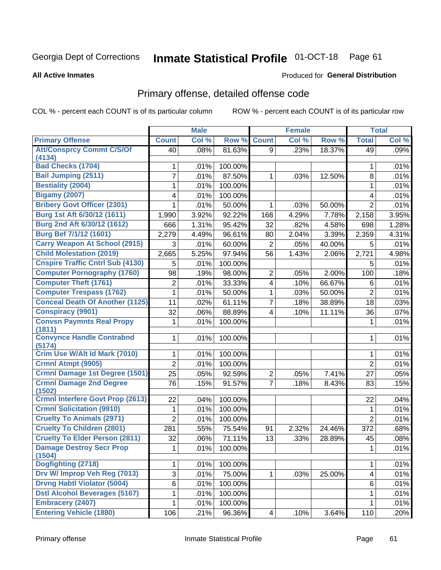# Inmate Statistical Profile 01-OCT-18 Page 61

#### **All Active Inmates**

#### **Produced for General Distribution**

## Primary offense, detailed offense code

COL % - percent each COUNT is of its particular column

|                                          |                | <b>Male</b> |         |                         | <b>Female</b> |        |                | <b>Total</b> |
|------------------------------------------|----------------|-------------|---------|-------------------------|---------------|--------|----------------|--------------|
| <b>Primary Offense</b>                   | <b>Count</b>   | Col %       | Row %   | <b>Count</b>            | Col %         | Row %  | <b>Total</b>   | Col %        |
| <b>Att/Consprcy Commt C/S/Of</b>         | 40             | .08%        | 81.63%  | 9                       | .23%          | 18.37% | 49             | .09%         |
| (4134)<br><b>Bad Checks (1704)</b>       | 1              | .01%        | 100.00% |                         |               |        | 1              | .01%         |
| Bail Jumping (2511)                      | 7              | .01%        | 87.50%  | 1                       | .03%          | 12.50% | 8              | .01%         |
| <b>Bestiality (2004)</b>                 | 1              | .01%        | 100.00% |                         |               |        | 1              | .01%         |
| <b>Bigamy (2007)</b>                     | 4              | .01%        | 100.00% |                         |               |        | 4              | .01%         |
| <b>Bribery Govt Officer (2301)</b>       | 1              | .01%        | 50.00%  | 1                       | .03%          | 50.00% | $\overline{2}$ | .01%         |
| Burg 1st Aft 6/30/12 (1611)              | 1,990          | 3.92%       | 92.22%  | 168                     | 4.29%         | 7.78%  | 2,158          | 3.95%        |
| Burg 2nd Aft 6/30/12 (1612)              | 666            | 1.31%       | 95.42%  | 32                      | .82%          | 4.58%  | 698            | 1.28%        |
| Burg Bef 7/1/12 (1601)                   | 2,279          | 4.49%       | 96.61%  | 80                      | 2.04%         | 3.39%  | 2,359          | 4.31%        |
| <b>Carry Weapon At School (2915)</b>     | 3              | .01%        | 60.00%  | $\overline{2}$          | .05%          | 40.00% | 5              | .01%         |
| <b>Child Molestation (2019)</b>          | 2,665          | 5.25%       | 97.94%  | 56                      | 1.43%         | 2.06%  | 2,721          | 4.98%        |
| <b>Cnspire Traffic Cntrl Sub (4130)</b>  | 5              | .01%        | 100.00% |                         |               |        | 5              | .01%         |
| <b>Computer Pornography (1760)</b>       | 98             | .19%        | 98.00%  | 2                       | .05%          | 2.00%  | 100            | .18%         |
| <b>Computer Theft (1761)</b>             | 2              | .01%        | 33.33%  | $\overline{\mathbf{4}}$ | .10%          | 66.67% | 6              | .01%         |
| <b>Computer Trespass (1762)</b>          | 1              | .01%        | 50.00%  | 1                       | .03%          | 50.00% | $\overline{2}$ | .01%         |
| <b>Conceal Death Of Another (1125)</b>   | 11             | .02%        | 61.11%  | $\overline{7}$          | .18%          | 38.89% | 18             | .03%         |
| <b>Conspiracy (9901)</b>                 | 32             | .06%        | 88.89%  | $\overline{\mathbf{4}}$ | .10%          | 11.11% | 36             | .07%         |
| <b>Convsn Paymnts Real Propy</b>         | 1              | .01%        | 100.00% |                         |               |        | 1              | .01%         |
| (1811)                                   |                |             |         |                         |               |        |                |              |
| <b>Convynce Handle Contrabnd</b>         | 1              | .01%        | 100.00% |                         |               |        | 1              | .01%         |
| (5174)                                   |                |             |         |                         |               |        |                |              |
| Crim Use W/Alt Id Mark (7010)            | 1              | .01%        | 100.00% |                         |               |        | 1              | .01%         |
| Crmnl Atmpt (9905)                       | $\overline{2}$ | .01%        | 100.00% |                         |               |        | $\overline{2}$ | .01%         |
| <b>Crmnl Damage 1st Degree (1501)</b>    | 25             | .05%        | 92.59%  | $\overline{c}$          | .05%          | 7.41%  | 27             | .05%         |
| <b>Crmnl Damage 2nd Degree</b><br>(1502) | 76             | .15%        | 91.57%  | $\overline{7}$          | .18%          | 8.43%  | 83             | .15%         |
| <b>Crmnl Interfere Govt Prop (2613)</b>  | 22             | .04%        | 100.00% |                         |               |        | 22             | .04%         |
| <b>Crmnl Solicitation (9910)</b>         | 1              | .01%        | 100.00% |                         |               |        | 1              | .01%         |
| <b>Cruelty To Animals (2971)</b>         | $\overline{2}$ | .01%        | 100.00% |                         |               |        | $\overline{2}$ | .01%         |
| <b>Cruelty To Children (2801)</b>        | 281            | .55%        | 75.54%  | 91                      | 2.32%         | 24.46% | 372            | .68%         |
| <b>Cruelty To Elder Person (2811)</b>    | 32             | .06%        | 71.11%  | 13                      | .33%          | 28.89% | 45             | .08%         |
| <b>Damage Destroy Secr Prop</b>          | $1\vert$       | .01%        | 100.00% |                         |               |        | $\mathbf 1$    | .01%         |
| (1504)                                   |                |             |         |                         |               |        |                |              |
| Dogfighting (2718)                       | 1              | .01%        | 100.00% |                         |               |        | 1              | .01%         |
| Drv W/ Improp Veh Reg (7013)             | 3              | .01%        | 75.00%  | 1                       | .03%          | 25.00% | 4              | .01%         |
| <b>Drvng Habtl Violator (5004)</b>       | 6              | .01%        | 100.00% |                         |               |        | 6              | .01%         |
| <b>Dstl Alcohol Beverages (5167)</b>     | 1              | .01%        | 100.00% |                         |               |        | 1              | .01%         |
| <b>Embracery (2407)</b>                  | 1              | .01%        | 100.00% |                         |               |        | 1              | .01%         |
| <b>Entering Vehicle (1880)</b>           | 106            | .21%        | 96.36%  | 4                       | .10%          | 3.64%  | 110            | .20%         |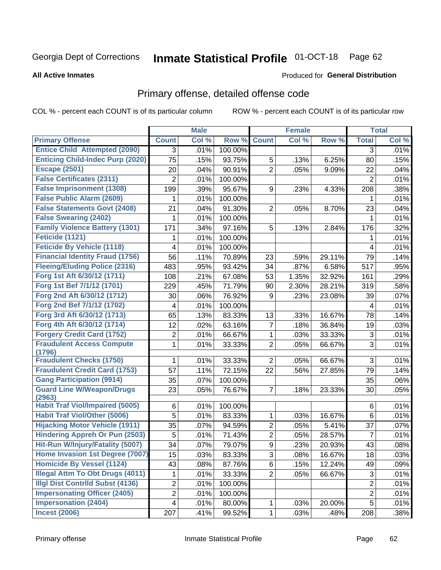# Inmate Statistical Profile 01-OCT-18 Page 62

#### **All Active Inmates**

#### **Produced for General Distribution**

## Primary offense, detailed offense code

COL % - percent each COUNT is of its particular column

|                                            |                         | <b>Male</b> |         |                | <b>Female</b> |        |                | <b>Total</b> |
|--------------------------------------------|-------------------------|-------------|---------|----------------|---------------|--------|----------------|--------------|
| <b>Primary Offense</b>                     | <b>Count</b>            | Col %       | Row %   | <b>Count</b>   | Col %         | Row %  | <b>Total</b>   | Col %        |
| <b>Entice Child Attempted (2090)</b>       | $\overline{3}$          | .01%        | 100.00% |                |               |        | 3              | .01%         |
| <b>Enticing Child-Indec Purp (2020)</b>    | $\overline{75}$         | .15%        | 93.75%  | 5              | .13%          | 6.25%  | 80             | .15%         |
| <b>Escape (2501)</b>                       | 20                      | .04%        | 90.91%  | $\overline{2}$ | .05%          | 9.09%  | 22             | .04%         |
| <b>False Certificates (2311)</b>           | $\overline{2}$          | .01%        | 100.00% |                |               |        | $\overline{2}$ | .01%         |
| <b>False Imprisonment (1308)</b>           | 199                     | .39%        | 95.67%  | 9              | .23%          | 4.33%  | 208            | .38%         |
| <b>False Public Alarm (2609)</b>           | 1                       | .01%        | 100.00% |                |               |        | 1              | .01%         |
| <b>False Statements Govt (2408)</b>        | 21                      | .04%        | 91.30%  | 2              | .05%          | 8.70%  | 23             | .04%         |
| <b>False Swearing (2402)</b>               | 1                       | .01%        | 100.00% |                |               |        | 1              | .01%         |
| <b>Family Violence Battery (1301)</b>      | 171                     | .34%        | 97.16%  | 5              | .13%          | 2.84%  | 176            | .32%         |
| Feticide (1121)                            | 1                       | .01%        | 100.00% |                |               |        | 1              | .01%         |
| <b>Feticide By Vehicle (1118)</b>          | 4                       | .01%        | 100.00% |                |               |        | 4              | .01%         |
| <b>Financial Identity Fraud (1756)</b>     | 56                      | .11%        | 70.89%  | 23             | .59%          | 29.11% | 79             | .14%         |
| <b>Fleeing/Eluding Police (2316)</b>       | 483                     | .95%        | 93.42%  | 34             | .87%          | 6.58%  | 517            | .95%         |
| Forg 1st Aft 6/30/12 (1711)                | 108                     | .21%        | 67.08%  | 53             | 1.35%         | 32.92% | 161            | .29%         |
| Forg 1st Bef 7/1/12 (1701)                 | 229                     | .45%        | 71.79%  | 90             | 2.30%         | 28.21% | 319            | .58%         |
| Forg 2nd Aft 6/30/12 (1712)                | 30                      | .06%        | 76.92%  | 9              | .23%          | 23.08% | 39             | .07%         |
| Forg 2nd Bef 7/1/12 (1702)                 | 4                       | .01%        | 100.00% |                |               |        | 4              | .01%         |
| Forg 3rd Aft 6/30/12 (1713)                | 65                      | .13%        | 83.33%  | 13             | .33%          | 16.67% | 78             | .14%         |
| Forg 4th Aft 6/30/12 (1714)                | 12                      | .02%        | 63.16%  | $\overline{7}$ | .18%          | 36.84% | 19             | .03%         |
| <b>Forgery Credit Card (1752)</b>          | $\boldsymbol{2}$        | .01%        | 66.67%  | 1              | .03%          | 33.33% | $\sqrt{3}$     | .01%         |
| <b>Fraudulent Access Compute</b><br>(1796) | 1                       | .01%        | 33.33%  | $\overline{2}$ | .05%          | 66.67% | 3              | .01%         |
| <b>Fraudulent Checks (1750)</b>            | 1                       | .01%        | 33.33%  | $\overline{2}$ | .05%          | 66.67% | 3              | .01%         |
| <b>Fraudulent Credit Card (1753)</b>       | 57                      | .11%        | 72.15%  | 22             | .56%          | 27.85% | 79             | .14%         |
| <b>Gang Participation (9914)</b>           | 35                      | .07%        | 100.00% |                |               |        | 35             | .06%         |
| <b>Guard Line W/Weapon/Drugs</b><br>(2963) | 23                      | .05%        | 76.67%  | $\overline{7}$ | .18%          | 23.33% | 30             | .05%         |
| <b>Habit Traf Viol/Impaired (5005)</b>     | 6                       | .01%        | 100.00% |                |               |        | $\,6$          | .01%         |
| <b>Habit Traf Viol/Other (5006)</b>        | 5                       | .01%        | 83.33%  | 1              | .03%          | 16.67% | 6              | .01%         |
| <b>Hijacking Motor Vehicle (1911)</b>      | 35                      | .07%        | 94.59%  | $\overline{2}$ | .05%          | 5.41%  | 37             | .07%         |
| <b>Hindering Appreh Or Pun (2503)</b>      | 5                       | .01%        | 71.43%  | $\overline{2}$ | .05%          | 28.57% | $\overline{7}$ | .01%         |
| Hit-Run W/Injury/Fatality (5007)           | 34                      | .07%        | 79.07%  | 9              | .23%          | 20.93% | 43             | .08%         |
| Home Invasion 1st Degree (7007)            | 15                      | .03%        | 83.33%  | 3              | .08%          | 16.67% | 18             | .03%         |
| <b>Homicide By Vessel (1124)</b>           | 43                      | .08%        | 87.76%  | 6              | .15%          | 12.24% | 49             | .09%         |
| <b>Illegal Attm To Obt Drugs (4011)</b>    | 1                       | .01%        | 33.33%  | $\overline{2}$ | .05%          | 66.67% | 3              | .01%         |
| <b>Illgl Dist Contrild Subst (4136)</b>    | $\overline{\mathbf{c}}$ | .01%        | 100.00% |                |               |        | $\overline{c}$ | .01%         |
| <b>Impersonating Officer (2405)</b>        | $\overline{c}$          | .01%        | 100.00% |                |               |        | $\overline{2}$ | .01%         |
| <b>Impersonation (2404)</b>                | $\overline{\mathbf{4}}$ | .01%        | 80.00%  | $\mathbf 1$    | .03%          | 20.00% | 5              | .01%         |
| <b>Incest (2006)</b>                       | 207                     | .41%        | 99.52%  | $\mathbf{1}$   | .03%          | .48%   | 208            | .38%         |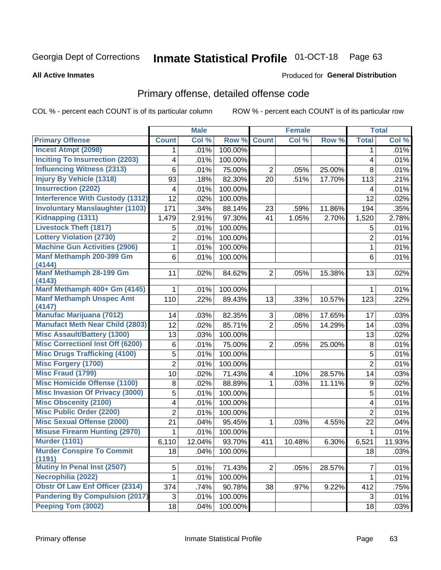# Inmate Statistical Profile 01-OCT-18 Page 63

#### **All Active Inmates**

#### **Produced for General Distribution**

## Primary offense, detailed offense code

COL % - percent each COUNT is of its particular column

|                                            |                         | <b>Male</b> |         |                         | <b>Female</b> |        |                | <b>Total</b> |
|--------------------------------------------|-------------------------|-------------|---------|-------------------------|---------------|--------|----------------|--------------|
| <b>Primary Offense</b>                     | <b>Count</b>            | Col %       | Row %   | <b>Count</b>            | Col %         | Row %  | <b>Total</b>   | Col %        |
| <b>Incest Atmpt (2098)</b>                 | 1                       | .01%        | 100.00% |                         |               |        | 1              | .01%         |
| <b>Inciting To Insurrection (2203)</b>     | 4                       | .01%        | 100.00% |                         |               |        | 4              | .01%         |
| <b>Influencing Witness (2313)</b>          | 6                       | .01%        | 75.00%  | $\overline{2}$          | .05%          | 25.00% | 8              | .01%         |
| <b>Injury By Vehicle (1318)</b>            | 93                      | .18%        | 82.30%  | 20                      | .51%          | 17.70% | 113            | .21%         |
| <b>Insurrection (2202)</b>                 | 4                       | .01%        | 100.00% |                         |               |        | 4              | .01%         |
| <b>Interference With Custody (1312)</b>    | 12                      | .02%        | 100.00% |                         |               |        | 12             | .02%         |
| <b>Involuntary Manslaughter (1103)</b>     | 171                     | .34%        | 88.14%  | 23                      | .59%          | 11.86% | 194            | .35%         |
| Kidnapping (1311)                          | 1,479                   | 2.91%       | 97.30%  | 41                      | 1.05%         | 2.70%  | 1,520          | 2.78%        |
| <b>Livestock Theft (1817)</b>              | 5                       | .01%        | 100.00% |                         |               |        | 5              | .01%         |
| <b>Lottery Violation (2730)</b>            | $\overline{\mathbf{c}}$ | .01%        | 100.00% |                         |               |        | $\overline{2}$ | .01%         |
| <b>Machine Gun Activities (2906)</b>       | 1                       | .01%        | 100.00% |                         |               |        | 1              | .01%         |
| Manf Methamph 200-399 Gm<br>(4144)         | 6                       | .01%        | 100.00% |                         |               |        | 6              | .01%         |
| <b>Manf Methamph 28-199 Gm</b><br>(4143)   | 11                      | .02%        | 84.62%  | 2                       | .05%          | 15.38% | 13             | .02%         |
| Manf Methamph 400+ Gm (4145)               | 1                       | .01%        | 100.00% |                         |               |        | 1              | .01%         |
| <b>Manf Methamph Unspec Amt</b><br>(4147)  | 110                     | .22%        | 89.43%  | 13                      | .33%          | 10.57% | 123            | .22%         |
| <b>Manufac Marijuana (7012)</b>            | 14                      | .03%        | 82.35%  | 3                       | .08%          | 17.65% | 17             | .03%         |
| <b>Manufact Meth Near Child (2803)</b>     | 12                      | .02%        | 85.71%  | $\overline{2}$          | .05%          | 14.29% | 14             | .03%         |
| <b>Misc Assault/Battery (1300)</b>         | 13                      | .03%        | 100.00% |                         |               |        | 13             | .02%         |
| <b>Misc Correctionl Inst Off (6200)</b>    | 6                       | .01%        | 75.00%  | $\overline{2}$          | .05%          | 25.00% | 8              | .01%         |
| <b>Misc Drugs Trafficking (4100)</b>       | 5                       | .01%        | 100.00% |                         |               |        | 5              | .01%         |
| <b>Misc Forgery (1700)</b>                 | $\overline{2}$          | .01%        | 100.00% |                         |               |        | $\overline{2}$ | .01%         |
| <b>Misc Fraud (1799)</b>                   | 10                      | .02%        | 71.43%  | $\overline{\mathbf{4}}$ | .10%          | 28.57% | 14             | .03%         |
| <b>Misc Homicide Offense (1100)</b>        | 8                       | .02%        | 88.89%  | $\mathbf{1}$            | .03%          | 11.11% | 9              | .02%         |
| <b>Misc Invasion Of Privacy (3000)</b>     | 5                       | .01%        | 100.00% |                         |               |        | 5              | .01%         |
| <b>Misc Obscenity (2100)</b>               | 4                       | .01%        | 100.00% |                         |               |        | 4              | .01%         |
| <b>Misc Public Order (2200)</b>            | $\overline{2}$          | .01%        | 100.00% |                         |               |        | $\overline{2}$ | .01%         |
| <b>Misc Sexual Offense (2000)</b>          | 21                      | .04%        | 95.45%  | $\mathbf{1}$            | .03%          | 4.55%  | 22             | .04%         |
| <b>Misuse Firearm Hunting (2970)</b>       | 1                       | .01%        | 100.00% |                         |               |        | 1              | .01%         |
| <b>Murder (1101)</b>                       | 6,110                   | 12.04%      | 93.70%  | 411                     | 10.48%        | 6.30%  | 6,521          | 11.93%       |
| <b>Murder Conspire To Commit</b><br>(1191) | 18                      | .04%        | 100.00% |                         |               |        | 18             | .03%         |
| Mutiny In Penal Inst (2507)                | 5                       | .01%        | 71.43%  | 2                       | .05%          | 28.57% | 7              | .01%         |
| Necrophilia (2022)                         | 1                       | .01%        | 100.00% |                         |               |        | 1              | .01%         |
| <b>Obstr Of Law Enf Officer (2314)</b>     | 374                     | .74%        | 90.78%  | 38                      | .97%          | 9.22%  | 412            | .75%         |
| <b>Pandering By Compulsion (2017)</b>      | 3                       | .01%        | 100.00% |                         |               |        | 3              | .01%         |
| Peeping Tom (3002)                         | 18                      | .04%        | 100.00% |                         |               |        | 18             | .03%         |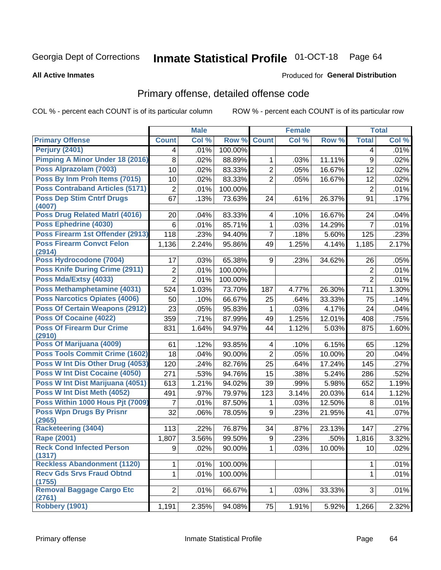# Inmate Statistical Profile 01-OCT-18 Page 64

#### **All Active Inmates**

### **Produced for General Distribution**

## Primary offense, detailed offense code

COL % - percent each COUNT is of its particular column

|                                            |                | <b>Male</b> |         |                | <b>Female</b> |        |                  | <b>Total</b> |
|--------------------------------------------|----------------|-------------|---------|----------------|---------------|--------|------------------|--------------|
| <b>Primary Offense</b>                     | <b>Count</b>   | Col %       | Row %   | <b>Count</b>   | Col %         | Row %  | <b>Total</b>     | Col %        |
| <b>Perjury (2401)</b>                      | 4              | .01%        | 100.00% |                |               |        | 4                | .01%         |
| <b>Pimping A Minor Under 18 (2016)</b>     | 8              | .02%        | 88.89%  | 1              | .03%          | 11.11% | $\boldsymbol{9}$ | .02%         |
| Poss Alprazolam (7003)                     | 10             | .02%        | 83.33%  | $\overline{2}$ | .05%          | 16.67% | 12               | .02%         |
| Poss By Inm Proh Items (7015)              | 10             | .02%        | 83.33%  | $\overline{2}$ | .05%          | 16.67% | 12               | .02%         |
| <b>Poss Contraband Articles (5171)</b>     | $\overline{2}$ | .01%        | 100.00% |                |               |        | $\overline{2}$   | .01%         |
| <b>Poss Dep Stim Cntrf Drugs</b><br>(4007) | 67             | .13%        | 73.63%  | 24             | .61%          | 26.37% | 91               | .17%         |
| Poss Drug Related Matrl (4016)             | 20             | .04%        | 83.33%  | 4              | .10%          | 16.67% | 24               | .04%         |
| Poss Ephedrine (4030)                      | 6              | .01%        | 85.71%  | 1              | .03%          | 14.29% | $\overline{7}$   | .01%         |
| Poss Firearm 1st Offender (2913)           | 118            | .23%        | 94.40%  | 7              | .18%          | 5.60%  | 125              | .23%         |
| <b>Poss Firearm Convct Felon</b><br>(2914) | 1,136          | 2.24%       | 95.86%  | 49             | 1.25%         | 4.14%  | 1,185            | 2.17%        |
| Poss Hydrocodone (7004)                    | 17             | .03%        | 65.38%  | 9              | .23%          | 34.62% | 26               | .05%         |
| Poss Knife During Crime (2911)             | 2              | .01%        | 100.00% |                |               |        | $\overline{2}$   | .01%         |
| Poss Mda/Extsy (4033)                      | $\overline{2}$ | .01%        | 100.00% |                |               |        | $\overline{2}$   | .01%         |
| Poss Methamphetamine (4031)                | 524            | 1.03%       | 73.70%  | 187            | 4.77%         | 26.30% | 711              | 1.30%        |
| <b>Poss Narcotics Opiates (4006)</b>       | 50             | .10%        | 66.67%  | 25             | .64%          | 33.33% | 75               | .14%         |
| <b>Poss Of Certain Weapons (2912)</b>      | 23             | .05%        | 95.83%  | 1              | .03%          | 4.17%  | 24               | .04%         |
| <b>Poss Of Cocaine (4022)</b>              | 359            | .71%        | 87.99%  | 49             | 1.25%         | 12.01% | 408              | .75%         |
| <b>Poss Of Firearm Dur Crime</b><br>(2910) | 831            | 1.64%       | 94.97%  | 44             | 1.12%         | 5.03%  | 875              | 1.60%        |
| Poss Of Marijuana (4009)                   | 61             | .12%        | 93.85%  | 4              | .10%          | 6.15%  | 65               | .12%         |
| <b>Poss Tools Commit Crime (1602)</b>      | 18             | .04%        | 90.00%  | $\overline{2}$ | .05%          | 10.00% | 20               | .04%         |
| Poss W Int Dis Other Drug (4053)           | 120            | .24%        | 82.76%  | 25             | .64%          | 17.24% | 145              | .27%         |
| Poss W Int Dist Cocaine (4050)             | 271            | .53%        | 94.76%  | 15             | .38%          | 5.24%  | 286              | .52%         |
| Poss W Int Dist Marijuana (4051)           | 613            | 1.21%       | 94.02%  | 39             | .99%          | 5.98%  | 652              | 1.19%        |
| Poss W Int Dist Meth (4052)                | 491            | .97%        | 79.97%  | 123            | 3.14%         | 20.03% | 614              | 1.12%        |
| Poss Within 1000 Hous Pjt (7009)           | 7              | .01%        | 87.50%  | 1              | .03%          | 12.50% | 8                | .01%         |
| <b>Poss Wpn Drugs By Prisnr</b><br>(2965)  | 32             | .06%        | 78.05%  | 9              | .23%          | 21.95% | 41               | .07%         |
| <b>Racketeering (3404)</b>                 | 113            | .22%        | 76.87%  | 34             | .87%          | 23.13% | 147              | .27%         |
| <b>Rape (2001)</b>                         | 1,807          | 3.56%       | 99.50%  | 9              | .23%          | .50%   | 1,816            | 3.32%        |
| <b>Reck Cond Infected Person</b><br>(1317) | 9              | .02%        | 90.00%  | $\mathbf{1}$   | .03%          | 10.00% | 10               | .02%         |
| <b>Reckless Abandonment (1120)</b>         | 1              | .01%        | 100.00% |                |               |        | 1                | .01%         |
| <b>Recv Gds Srvs Fraud Obtnd</b><br>(1755) | $\mathbf{1}$   | .01%        | 100.00% |                |               |        | $\mathbf{1}$     | .01%         |
| <b>Removal Baggage Cargo Etc</b><br>(2761) | $\overline{2}$ | .01%        | 66.67%  | 1              | .03%          | 33.33% | 3                | .01%         |
| Robbery (1901)                             | 1,191          | 2.35%       | 94.08%  | 75             | 1.91%         | 5.92%  | 1,266            | 2.32%        |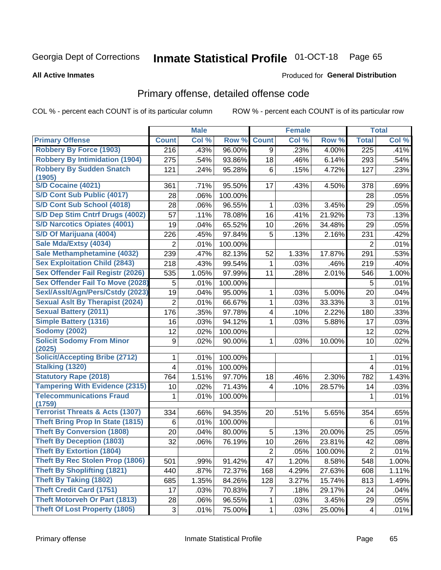# Inmate Statistical Profile 01-OCT-18 Page 65

#### **All Active Inmates**

#### **Produced for General Distribution**

## Primary offense, detailed offense code

COL % - percent each COUNT is of its particular column

|                                            |                | <b>Male</b> |         |                | <b>Female</b> |         |                  | <b>Total</b> |
|--------------------------------------------|----------------|-------------|---------|----------------|---------------|---------|------------------|--------------|
| <b>Primary Offense</b>                     | <b>Count</b>   | Col %       | Row %   | <b>Count</b>   | Col %         | Row %   | <b>Total</b>     | Col %        |
| <b>Robbery By Force (1903)</b>             | 216            | .43%        | 96.00%  | 9              | .23%          | 4.00%   | $\overline{225}$ | .41%         |
| <b>Robbery By Intimidation (1904)</b>      | 275            | .54%        | 93.86%  | 18             | .46%          | 6.14%   | 293              | .54%         |
| <b>Robbery By Sudden Snatch</b>            | 121            | .24%        | 95.28%  | 6              | .15%          | 4.72%   | 127              | .23%         |
| (1905)                                     |                |             |         |                |               |         |                  |              |
| S/D Cocaine (4021)                         | 361            | .71%        | 95.50%  | 17             | .43%          | 4.50%   | 378              | .69%         |
| S/D Cont Sub Public (4017)                 | 28             | .06%        | 100.00% |                |               |         | 28               | .05%         |
| S/D Cont Sub School (4018)                 | 28             | .06%        | 96.55%  | 1              | .03%          | 3.45%   | 29               | .05%         |
| S/D Dep Stim Cntrf Drugs (4002)            | 57             | .11%        | 78.08%  | 16             | .41%          | 21.92%  | 73               | .13%         |
| <b>S/D Narcotics Opiates (4001)</b>        | 19             | .04%        | 65.52%  | 10             | .26%          | 34.48%  | 29               | .05%         |
| S/D Of Marijuana (4004)                    | 226            | .45%        | 97.84%  | 5              | .13%          | 2.16%   | 231              | .42%         |
| Sale Mda/Extsy (4034)                      | $\overline{2}$ | .01%        | 100.00% |                |               |         | $\overline{2}$   | .01%         |
| Sale Methamphetamine (4032)                | 239            | .47%        | 82.13%  | 52             | 1.33%         | 17.87%  | 291              | .53%         |
| <b>Sex Exploitation Child (2843)</b>       | 218            | .43%        | 99.54%  | 1              | .03%          | .46%    | 219              | .40%         |
| <b>Sex Offender Fail Registr (2026)</b>    | 535            | 1.05%       | 97.99%  | 11             | .28%          | 2.01%   | 546              | 1.00%        |
| <b>Sex Offender Fail To Move (2028)</b>    | 5              | .01%        | 100.00% |                |               |         | 5                | .01%         |
| Sexl/Asslt/Agn/Pers/Cstdy (2023)           | 19             | .04%        | 95.00%  | 1              | .03%          | 5.00%   | 20               | .04%         |
| <b>Sexual Aslt By Therapist (2024)</b>     | $\overline{2}$ | .01%        | 66.67%  | 1              | .03%          | 33.33%  | 3                | .01%         |
| <b>Sexual Battery (2011)</b>               | 176            | .35%        | 97.78%  | 4              | .10%          | 2.22%   | 180              | .33%         |
| <b>Simple Battery (1316)</b>               | 16             | .03%        | 94.12%  | 1              | .03%          | 5.88%   | 17               | .03%         |
| <b>Sodomy (2002)</b>                       | 12             | .02%        | 100.00% |                |               |         | 12               | .02%         |
| <b>Solicit Sodomy From Minor</b>           | 9              | .02%        | 90.00%  | 1              | .03%          | 10.00%  | 10               | .02%         |
| (2025)                                     |                |             |         |                |               |         |                  |              |
| <b>Solicit/Accepting Bribe (2712)</b>      | 1              | .01%        | 100.00% |                |               |         | 1                | .01%         |
| <b>Stalking (1320)</b>                     | 4              | .01%        | 100.00% |                |               |         | $\overline{4}$   | .01%         |
| <b>Statutory Rape (2018)</b>               | 764            | 1.51%       | 97.70%  | 18             | .46%          | 2.30%   | 782              | 1.43%        |
| <b>Tampering With Evidence (2315)</b>      | 10             | .02%        | 71.43%  | 4              | .10%          | 28.57%  | 14               | .03%         |
| <b>Telecommunications Fraud</b><br>(1759)  | 1              | .01%        | 100.00% |                |               |         | 1                | .01%         |
| <b>Terrorist Threats &amp; Acts (1307)</b> | 334            | .66%        | 94.35%  | 20             | .51%          | 5.65%   | 354              | .65%         |
| <b>Theft Bring Prop In State (1815)</b>    | 6              | .01%        | 100.00% |                |               |         | 6                | .01%         |
| <b>Theft By Conversion (1808)</b>          | 20             | .04%        | 80.00%  | 5              | .13%          | 20.00%  | 25               | .05%         |
| <b>Theft By Deception (1803)</b>           | 32             | .06%        | 76.19%  | 10             | .26%          | 23.81%  | 42               | .08%         |
| <b>Theft By Extortion (1804)</b>           |                |             |         | $\overline{c}$ | .05%          | 100.00% | $\overline{2}$   | .01%         |
| Theft By Rec Stolen Prop (1806)            | 501            | .99%        | 91.42%  | 47             | 1.20%         | 8.58%   | 548              | 1.00%        |
| <b>Theft By Shoplifting (1821)</b>         | 440            | .87%        | 72.37%  | 168            | 4.29%         | 27.63%  | 608              | 1.11%        |
| <b>Theft By Taking (1802)</b>              | 685            | 1.35%       | 84.26%  | 128            | 3.27%         | 15.74%  | 813              | 1.49%        |
| <b>Theft Credit Card (1751)</b>            | 17             | .03%        | 70.83%  | 7              | .18%          | 29.17%  | 24               | .04%         |
| <b>Theft Motorveh Or Part (1813)</b>       | 28             | .06%        | 96.55%  | 1              | .03%          | 3.45%   | 29               | .05%         |
| <b>Theft Of Lost Property (1805)</b>       | $\sqrt{3}$     | .01%        | 75.00%  | 1              | .03%          | 25.00%  | 4                | .01%         |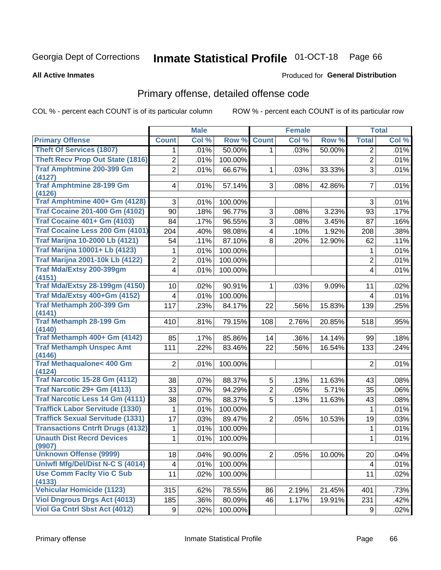# Inmate Statistical Profile 01-OCT-18 Page 66

#### **All Active Inmates**

#### **Produced for General Distribution**

## Primary offense, detailed offense code

COL % - percent each COUNT is of its particular column

|                                               |                | <b>Male</b> |         |                         | <b>Female</b> |        |                | <b>Total</b> |
|-----------------------------------------------|----------------|-------------|---------|-------------------------|---------------|--------|----------------|--------------|
| <b>Primary Offense</b>                        | <b>Count</b>   | Col %       | Row %   | <b>Count</b>            | Col %         | Row %  | <b>Total</b>   | Col %        |
| <b>Theft Of Services (1807)</b>               | $\mathbf 1$    | .01%        | 50.00%  | $\mathbf{1}$            | .03%          | 50.00% | $\overline{2}$ | .01%         |
| <b>Theft Recv Prop Out State (1816)</b>       | $\overline{2}$ | .01%        | 100.00% |                         |               |        | $\overline{2}$ | .01%         |
| <b>Traf Amphtmine 200-399 Gm</b><br>(4127)    | $\overline{2}$ | .01%        | 66.67%  | 1                       | .03%          | 33.33% | $\overline{3}$ | .01%         |
| <b>Traf Amphtmine 28-199 Gm</b>               | 4              | .01%        | 57.14%  | 3 <sup>1</sup>          | .08%          | 42.86% | $\overline{7}$ | .01%         |
| (4126)                                        |                |             |         |                         |               |        |                |              |
| Traf Amphtmine 400+ Gm (4128)                 | 3              | .01%        | 100.00% |                         |               |        | 3              | .01%         |
| <b>Traf Cocaine 201-400 Gm (4102)</b>         | 90             | .18%        | 96.77%  | 3                       | .08%          | 3.23%  | 93             | .17%         |
| <b>Traf Cocaine 401+ Gm (4103)</b>            | 84             | .17%        | 96.55%  | 3                       | .08%          | 3.45%  | 87             | .16%         |
| Traf Cocaine Less 200 Gm (4101)               | 204            | .40%        | 98.08%  | $\overline{\mathbf{4}}$ | .10%          | 1.92%  | 208            | .38%         |
| <b>Traf Marijna 10-2000 Lb (4121)</b>         | 54             | .11%        | 87.10%  | 8                       | .20%          | 12.90% | 62             | .11%         |
| <b>Traf Marijna 10001+ Lb (4123)</b>          | 1              | .01%        | 100.00% |                         |               |        | 1              | .01%         |
| <b>Traf Marijna 2001-10k Lb (4122)</b>        | $\overline{c}$ | .01%        | 100.00% |                         |               |        | $\overline{c}$ | .01%         |
| <b>Traf Mda/Extsy 200-399gm</b>               | 4              | .01%        | 100.00% |                         |               |        | 4              | .01%         |
| (4151)                                        |                |             |         |                         |               |        |                |              |
| <b>Traf Mda/Extsy 28-199gm (4150)</b>         | 10             | .02%        | 90.91%  | 1                       | .03%          | 9.09%  | 11             | .02%         |
| Traf Mda/Extsy 400+Gm (4152)                  | 4              | .01%        | 100.00% |                         |               |        | 4              | .01%         |
| Traf Methamph 200-399 Gm<br>(4141)            | 117            | .23%        | 84.17%  | 22                      | .56%          | 15.83% | 139            | .25%         |
| <b>Traf Methamph 28-199 Gm</b>                | 410            | .81%        | 79.15%  | 108                     | 2.76%         | 20.85% | 518            | .95%         |
| (4140)                                        |                |             |         |                         |               |        |                |              |
| Traf Methamph 400+ Gm (4142)                  | 85             | .17%        | 85.86%  | 14                      | .36%          | 14.14% | 99             | .18%         |
| <b>Traf Methamph Unspec Amt</b><br>(4146)     | 111            | .22%        | 83.46%  | 22                      | .56%          | 16.54% | 133            | .24%         |
| <b>Traf Methaqualone&lt; 400 Gm</b><br>(4124) | $\overline{2}$ | .01%        | 100.00% |                         |               |        | $\overline{2}$ | .01%         |
| <b>Traf Narcotic 15-28 Gm (4112)</b>          | 38             | .07%        | 88.37%  | 5                       | .13%          | 11.63% | 43             | .08%         |
| Traf Narcotic 29+ Gm (4113)                   | 33             | .07%        | 94.29%  | $\overline{2}$          | .05%          | 5.71%  | 35             | .06%         |
| <b>Traf Narcotic Less 14 Gm (4111)</b>        | 38             | .07%        | 88.37%  | $\overline{5}$          | .13%          | 11.63% | 43             | .08%         |
| <b>Traffick Labor Servitude (1330)</b>        | 1              | .01%        | 100.00% |                         |               |        | 1              | .01%         |
| <b>Traffick Sexual Servitude (1331)</b>       | 17             | .03%        | 89.47%  | $\overline{2}$          | .05%          | 10.53% | 19             | .03%         |
| <b>Transactions Cntrft Drugs (4132)</b>       | 1              | .01%        | 100.00% |                         |               |        | 1              | .01%         |
| <b>Unauth Dist Recrd Devices</b>              | 1              | .01%        | 100.00% |                         |               |        | 1              | .01%         |
| (9907)                                        |                |             |         |                         |               |        |                |              |
| <b>Unknown Offense (9999)</b>                 | 18             | .04%        | 90.00%  | 2                       | .05%          | 10.00% | 20             | .04%         |
| Uniwfl Mfg/Del/Dist N-C S (4014)              | 4              | .01%        | 100.00% |                         |               |        | 4              | .01%         |
| <b>Use Comm Facity Vio C Sub</b><br>(4133)    | 11             | .02%        | 100.00% |                         |               |        | 11             | .02%         |
| <b>Vehicular Homicide (1123)</b>              | 315            | .62%        | 78.55%  | 86                      | 2.19%         | 21.45% | 401            | .73%         |
| <b>Viol Dngrous Drgs Act (4013)</b>           | 185            | .36%        | 80.09%  | 46                      | 1.17%         | 19.91% | 231            | .42%         |
| Viol Ga Cntrl Sbst Act (4012)                 | 9              | .02%        | 100.00% |                         |               |        | 9              | .02%         |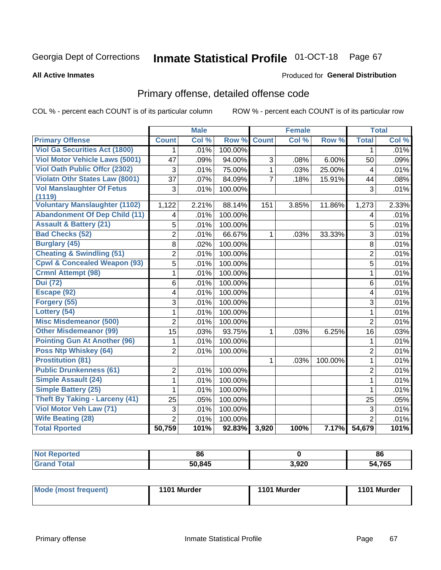#### **Inmate Statistical Profile 01-OCT-18** Page 67

#### **All Active Inmates**

#### **Produced for General Distribution**

## Primary offense, detailed offense code

COL % - percent each COUNT is of its particular column

|                                         |                 | <b>Male</b> |         |                | <b>Female</b> |         |                | <b>Total</b> |
|-----------------------------------------|-----------------|-------------|---------|----------------|---------------|---------|----------------|--------------|
| <b>Primary Offense</b>                  | <b>Count</b>    | Col %       | Row %   | <b>Count</b>   | Col %         | Row %   | <b>Total</b>   | Col %        |
| <b>Viol Ga Securities Act (1800)</b>    | $\mathbf{1}$    | .01%        | 100.00% |                |               |         | 1              | .01%         |
| <b>Viol Motor Vehicle Laws (5001)</b>   | 47              | .09%        | 94.00%  | 3              | .08%          | 6.00%   | 50             | .09%         |
| <b>Viol Oath Public Offer (2302)</b>    | 3               | .01%        | 75.00%  | $\mathbf{1}$   | .03%          | 25.00%  | 4              | .01%         |
| <b>Violatn Othr States Law (8001)</b>   | $\overline{37}$ | .07%        | 84.09%  | $\overline{7}$ | .18%          | 15.91%  | 44             | .08%         |
| <b>Vol Manslaughter Of Fetus</b>        | 3               | .01%        | 100.00% |                |               |         | 3              | .01%         |
| (1119)                                  |                 |             |         |                |               |         |                |              |
| <b>Voluntary Manslaughter (1102)</b>    | 1,122           | 2.21%       | 88.14%  | 151            | 3.85%         | 11.86%  | 1,273          | 2.33%        |
| <b>Abandonment Of Dep Child (11)</b>    | 4               | .01%        | 100.00% |                |               |         | 4              | .01%         |
| <b>Assault &amp; Battery (21)</b>       | 5               | .01%        | 100.00% |                |               |         | 5              | .01%         |
| <b>Bad Checks (52)</b>                  | $\overline{2}$  | .01%        | 66.67%  | 1              | .03%          | 33.33%  | $\overline{3}$ | .01%         |
| <b>Burglary (45)</b>                    | 8               | .02%        | 100.00% |                |               |         | 8              | .01%         |
| <b>Cheating &amp; Swindling (51)</b>    | $\overline{2}$  | .01%        | 100.00% |                |               |         | $\overline{2}$ | .01%         |
| <b>Cpwl &amp; Concealed Weapon (93)</b> | $\overline{5}$  | .01%        | 100.00% |                |               |         | $\overline{5}$ | .01%         |
| <b>Crmnl Attempt (98)</b>               | 1               | .01%        | 100.00% |                |               |         | $\mathbf{1}$   | .01%         |
| <b>Dui</b> (72)                         | $\,6$           | .01%        | 100.00% |                |               |         | 6              | .01%         |
| Escape (92)                             | 4               | .01%        | 100.00% |                |               |         | 4              | .01%         |
| Forgery (55)                            | 3               | .01%        | 100.00% |                |               |         | 3              | .01%         |
| Lottery (54)                            | 1               | .01%        | 100.00% |                |               |         | $\mathbf{1}$   | .01%         |
| <b>Misc Misdemeanor (500)</b>           | $\overline{2}$  | .01%        | 100.00% |                |               |         | $\overline{2}$ | .01%         |
| <b>Other Misdemeanor (99)</b>           | 15              | .03%        | 93.75%  | 1              | .03%          | 6.25%   | 16             | .03%         |
| <b>Pointing Gun At Another (96)</b>     | 1               | .01%        | 100.00% |                |               |         | 1              | .01%         |
| <b>Poss Ntp Whiskey (64)</b>            | $\overline{2}$  | .01%        | 100.00% |                |               |         | $\overline{2}$ | .01%         |
| <b>Prostitution (81)</b>                |                 |             |         | 1              | .03%          | 100.00% | $\mathbf{1}$   | .01%         |
| <b>Public Drunkenness (61)</b>          | $\overline{2}$  | .01%        | 100.00% |                |               |         | $\overline{2}$ | .01%         |
| <b>Simple Assault (24)</b>              | $\mathbf{1}$    | .01%        | 100.00% |                |               |         | $\mathbf{1}$   | .01%         |
| <b>Simple Battery (25)</b>              | 1               | .01%        | 100.00% |                |               |         | 1              | .01%         |
| <b>Theft By Taking - Larceny (41)</b>   | 25              | .05%        | 100.00% |                |               |         | 25             | .05%         |
| Viol Motor Veh Law (71)                 | 3               | .01%        | 100.00% |                |               |         | 3              | .01%         |
| <b>Wife Beating (28)</b>                | $\overline{2}$  | .01%        | 100.00% |                |               |         | $\overline{2}$ | .01%         |
| <b>Total Rported</b>                    | 50,759          | 101%        | 92.83%  | 3,920          | 100%          | 7.17%   | 54,679         | 101%         |

| Reported<br>' NOT | 86     |       | 86     |
|-------------------|--------|-------|--------|
| ™ota.             | 50,845 | 3,920 | 54,765 |

| Mode (most frequent) | 1101 Murder | 1101 Murder | 1101 Murder |
|----------------------|-------------|-------------|-------------|
|                      |             |             |             |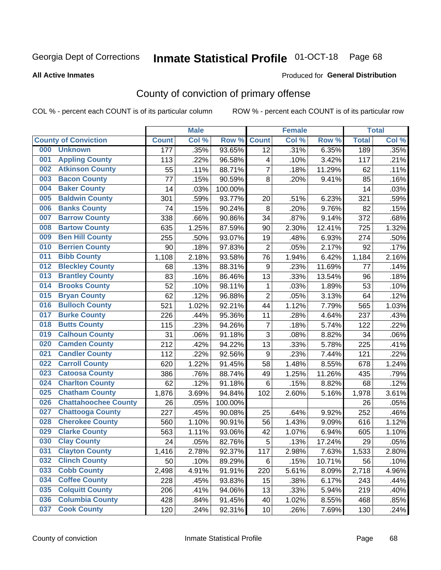# Inmate Statistical Profile 01-OCT-18 Page 68

#### **All Active Inmates**

#### Produced for General Distribution

## County of conviction of primary offense

COL % - percent each COUNT is of its particular column

|     |                             |              | <b>Male</b> |         |                  | <b>Female</b> |        |              | <b>Total</b> |
|-----|-----------------------------|--------------|-------------|---------|------------------|---------------|--------|--------------|--------------|
|     | <b>County of Conviction</b> | <b>Count</b> | Col %       | Row %   | <b>Count</b>     | Col %         | Row %  | <b>Total</b> | Col %        |
| 000 | <b>Unknown</b>              | 177          | .35%        | 93.65%  | 12               | .31%          | 6.35%  | 189          | .35%         |
| 001 | <b>Appling County</b>       | 113          | .22%        | 96.58%  | 4                | .10%          | 3.42%  | 117          | .21%         |
| 002 | <b>Atkinson County</b>      | 55           | .11%        | 88.71%  | $\overline{7}$   | .18%          | 11.29% | 62           | .11%         |
| 003 | <b>Bacon County</b>         | 77           | .15%        | 90.59%  | 8                | .20%          | 9.41%  | 85           | .16%         |
| 004 | <b>Baker County</b>         | 14           | .03%        | 100.00% |                  |               |        | 14           | .03%         |
| 005 | <b>Baldwin County</b>       | 301          | .59%        | 93.77%  | 20               | .51%          | 6.23%  | 321          | .59%         |
| 006 | <b>Banks County</b>         | 74           | .15%        | 90.24%  | 8                | .20%          | 9.76%  | 82           | .15%         |
| 007 | <b>Barrow County</b>        | 338          | .66%        | 90.86%  | 34               | .87%          | 9.14%  | 372          | .68%         |
| 008 | <b>Bartow County</b>        | 635          | 1.25%       | 87.59%  | 90               | 2.30%         | 12.41% | 725          | 1.32%        |
| 009 | <b>Ben Hill County</b>      | 255          | .50%        | 93.07%  | 19               | .48%          | 6.93%  | 274          | .50%         |
| 010 | <b>Berrien County</b>       | 90           | .18%        | 97.83%  | $\overline{2}$   | .05%          | 2.17%  | 92           | .17%         |
| 011 | <b>Bibb County</b>          | 1,108        | 2.18%       | 93.58%  | 76               | 1.94%         | 6.42%  | 1,184        | 2.16%        |
| 012 | <b>Bleckley County</b>      | 68           | .13%        | 88.31%  | $\boldsymbol{9}$ | .23%          | 11.69% | 77           | .14%         |
| 013 | <b>Brantley County</b>      | 83           | .16%        | 86.46%  | 13               | .33%          | 13.54% | 96           | .18%         |
| 014 | <b>Brooks County</b>        | 52           | .10%        | 98.11%  | 1                | .03%          | 1.89%  | 53           | .10%         |
| 015 | <b>Bryan County</b>         | 62           | .12%        | 96.88%  | $\overline{2}$   | .05%          | 3.13%  | 64           | .12%         |
| 016 | <b>Bulloch County</b>       | 521          | 1.02%       | 92.21%  | 44               | 1.12%         | 7.79%  | 565          | 1.03%        |
| 017 | <b>Burke County</b>         | 226          | .44%        | 95.36%  | 11               | .28%          | 4.64%  | 237          | .43%         |
| 018 | <b>Butts County</b>         | 115          | .23%        | 94.26%  | $\overline{7}$   | .18%          | 5.74%  | 122          | .22%         |
| 019 | <b>Calhoun County</b>       | 31           | .06%        | 91.18%  | 3                | .08%          | 8.82%  | 34           | .06%         |
| 020 | <b>Camden County</b>        | 212          | .42%        | 94.22%  | 13               | .33%          | 5.78%  | 225          | .41%         |
| 021 | <b>Candler County</b>       | 112          | .22%        | 92.56%  | 9                | .23%          | 7.44%  | 121          | .22%         |
| 022 | <b>Carroll County</b>       | 620          | 1.22%       | 91.45%  | 58               | 1.48%         | 8.55%  | 678          | 1.24%        |
| 023 | <b>Catoosa County</b>       | 386          | .76%        | 88.74%  | 49               | 1.25%         | 11.26% | 435          | .79%         |
| 024 | <b>Charlton County</b>      | 62           | .12%        | 91.18%  | 6                | .15%          | 8.82%  | 68           | .12%         |
| 025 | <b>Chatham County</b>       | 1,876        | 3.69%       | 94.84%  | 102              | 2.60%         | 5.16%  | 1,978        | 3.61%        |
| 026 | <b>Chattahoochee County</b> | 26           | .05%        | 100.00% |                  |               |        | 26           | .05%         |
| 027 | <b>Chattooga County</b>     | 227          | .45%        | 90.08%  | 25               | .64%          | 9.92%  | 252          | .46%         |
| 028 | <b>Cherokee County</b>      | 560          | 1.10%       | 90.91%  | 56               | 1.43%         | 9.09%  | 616          | 1.12%        |
| 029 | <b>Clarke County</b>        | 563          | 1.11%       | 93.06%  | 42               | 1.07%         | 6.94%  | 605          | 1.10%        |
| 030 | <b>Clay County</b>          | 24           | .05%        | 82.76%  | 5                | .13%          | 17.24% | 29           | .05%         |
| 031 | <b>Clayton County</b>       | 1,416        | 2.78%       | 92.37%  | 117              | 2.98%         | 7.63%  | 1,533        | 2.80%        |
| 032 | <b>Clinch County</b>        | 50           | .10%        | 89.29%  | 6                | .15%          | 10.71% | 56           | .10%         |
| 033 | <b>Cobb County</b>          | 2,498        | 4.91%       | 91.91%  | 220              | 5.61%         | 8.09%  | 2,718        | 4.96%        |
| 034 | <b>Coffee County</b>        | 228          | .45%        | 93.83%  | 15               | .38%          | 6.17%  | 243          | .44%         |
| 035 | <b>Colquitt County</b>      | 206          | .41%        | 94.06%  | 13               | .33%          | 5.94%  | 219          | .40%         |
| 036 | <b>Columbia County</b>      | 428          | .84%        | 91.45%  | 40               | 1.02%         | 8.55%  | 468          | .85%         |
| 037 | <b>Cook County</b>          | 120          | .24%        | 92.31%  | 10               | .26%          | 7.69%  | 130          | .24%         |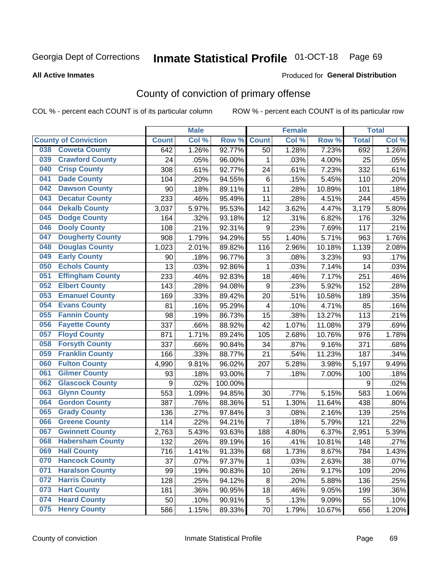# Inmate Statistical Profile 01-OCT-18 Page 69

#### **All Active Inmates**

#### Produced for General Distribution

## County of conviction of primary offense

COL % - percent each COUNT is of its particular column

|     |                             |              | <b>Male</b> |         |                  | <b>Female</b> |        |              | <b>Total</b> |
|-----|-----------------------------|--------------|-------------|---------|------------------|---------------|--------|--------------|--------------|
|     | <b>County of Conviction</b> | <b>Count</b> | Col %       | Row %   | <b>Count</b>     | Col %         | Row %  | <b>Total</b> | Col %        |
| 038 | <b>Coweta County</b>        | 642          | 1.26%       | 92.77%  | 50               | 1.28%         | 7.23%  | 692          | 1.26%        |
| 039 | <b>Crawford County</b>      | 24           | .05%        | 96.00%  | 1                | .03%          | 4.00%  | 25           | .05%         |
| 040 | <b>Crisp County</b>         | 308          | .61%        | 92.77%  | 24               | .61%          | 7.23%  | 332          | .61%         |
| 041 | <b>Dade County</b>          | 104          | .20%        | 94.55%  | 6                | .15%          | 5.45%  | 110          | .20%         |
| 042 | <b>Dawson County</b>        | 90           | .18%        | 89.11%  | 11               | .28%          | 10.89% | 101          | .18%         |
| 043 | <b>Decatur County</b>       | 233          | .46%        | 95.49%  | 11               | .28%          | 4.51%  | 244          | .45%         |
| 044 | <b>Dekalb County</b>        | 3,037        | 5.97%       | 95.53%  | 142              | 3.62%         | 4.47%  | 3,179        | 5.80%        |
| 045 | <b>Dodge County</b>         | 164          | .32%        | 93.18%  | 12               | .31%          | 6.82%  | 176          | .32%         |
| 046 | <b>Dooly County</b>         | 108          | .21%        | 92.31%  | $\boldsymbol{9}$ | .23%          | 7.69%  | 117          | .21%         |
| 047 | <b>Dougherty County</b>     | 908          | 1.79%       | 94.29%  | 55               | 1.40%         | 5.71%  | 963          | 1.76%        |
| 048 | <b>Douglas County</b>       | 1,023        | 2.01%       | 89.82%  | 116              | 2.96%         | 10.18% | 1,139        | 2.08%        |
| 049 | <b>Early County</b>         | 90           | .18%        | 96.77%  | 3                | .08%          | 3.23%  | 93           | .17%         |
| 050 | <b>Echols County</b>        | 13           | .03%        | 92.86%  | $\mathbf{1}$     | .03%          | 7.14%  | 14           | .03%         |
| 051 | <b>Effingham County</b>     | 233          | .46%        | 92.83%  | 18               | .46%          | 7.17%  | 251          | .46%         |
| 052 | <b>Elbert County</b>        | 143          | .28%        | 94.08%  | $\boldsymbol{9}$ | .23%          | 5.92%  | 152          | .28%         |
| 053 | <b>Emanuel County</b>       | 169          | .33%        | 89.42%  | 20               | .51%          | 10.58% | 189          | .35%         |
| 054 | <b>Evans County</b>         | 81           | .16%        | 95.29%  | 4                | .10%          | 4.71%  | 85           | .16%         |
| 055 | <b>Fannin County</b>        | 98           | .19%        | 86.73%  | 15               | .38%          | 13.27% | 113          | .21%         |
| 056 | <b>Fayette County</b>       | 337          | .66%        | 88.92%  | 42               | 1.07%         | 11.08% | 379          | .69%         |
| 057 | <b>Floyd County</b>         | 871          | 1.71%       | 89.24%  | 105              | 2.68%         | 10.76% | 976          | 1.78%        |
| 058 | <b>Forsyth County</b>       | 337          | .66%        | 90.84%  | 34               | .87%          | 9.16%  | 371          | .68%         |
| 059 | <b>Franklin County</b>      | 166          | .33%        | 88.77%  | 21               | .54%          | 11.23% | 187          | .34%         |
| 060 | <b>Fulton County</b>        | 4,990        | 9.81%       | 96.02%  | 207              | 5.28%         | 3.98%  | 5,197        | 9.49%        |
| 061 | <b>Gilmer County</b>        | 93           | .18%        | 93.00%  | $\overline{7}$   | .18%          | 7.00%  | 100          | .18%         |
| 062 | <b>Glascock County</b>      | 9            | .02%        | 100.00% |                  |               |        | 9            | .02%         |
| 063 | <b>Glynn County</b>         | 553          | 1.09%       | 94.85%  | 30               | .77%          | 5.15%  | 583          | 1.06%        |
| 064 | <b>Gordon County</b>        | 387          | .76%        | 88.36%  | 51               | 1.30%         | 11.64% | 438          | .80%         |
| 065 | <b>Grady County</b>         | 136          | .27%        | 97.84%  | 3                | .08%          | 2.16%  | 139          | .25%         |
| 066 | <b>Greene County</b>        | 114          | .22%        | 94.21%  | $\overline{7}$   | .18%          | 5.79%  | 121          | .22%         |
| 067 | <b>Gwinnett County</b>      | 2,763        | 5.43%       | 93.63%  | 188              | 4.80%         | 6.37%  | 2,951        | 5.39%        |
| 068 | <b>Habersham County</b>     | 132          | .26%        | 89.19%  | 16               | .41%          | 10.81% | 148          | .27%         |
| 069 | <b>Hall County</b>          | 716          | 1.41%       | 91.33%  | 68               | 1.73%         | 8.67%  | 784          | 1.43%        |
| 070 | <b>Hancock County</b>       | 37           | .07%        | 97.37%  | 1                | .03%          | 2.63%  | 38           | .07%         |
| 071 | <b>Haralson County</b>      | 99           | .19%        | 90.83%  | 10               | .26%          | 9.17%  | 109          | .20%         |
| 072 | <b>Harris County</b>        | 128          | .25%        | 94.12%  | 8                | .20%          | 5.88%  | 136          | .25%         |
| 073 | <b>Hart County</b>          | 181          | .36%        | 90.95%  | 18               | .46%          | 9.05%  | 199          | .36%         |
| 074 | <b>Heard County</b>         | 50           | .10%        | 90.91%  | 5                | .13%          | 9.09%  | 55           | .10%         |
| 075 | <b>Henry County</b>         | 586          | 1.15%       | 89.33%  | 70               | 1.79%         | 10.67% | 656          | 1.20%        |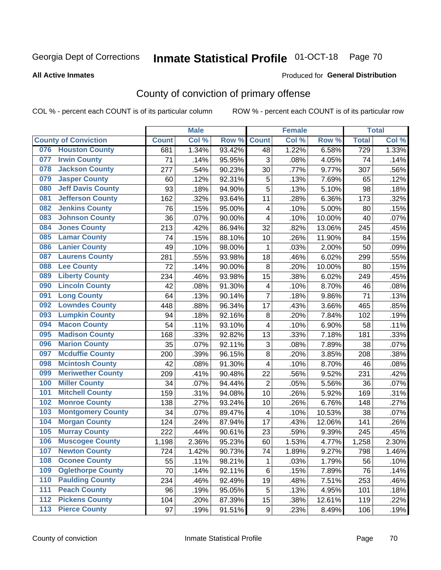# Inmate Statistical Profile 01-OCT-18 Page 70

#### **All Active Inmates**

#### Produced for General Distribution

## County of conviction of primary offense

COL % - percent each COUNT is of its particular column

|     |                             |              | <b>Male</b> |        |                           | <b>Female</b> |        |              | <b>Total</b> |
|-----|-----------------------------|--------------|-------------|--------|---------------------------|---------------|--------|--------------|--------------|
|     | <b>County of Conviction</b> | <b>Count</b> | Col %       | Row %  | <b>Count</b>              | Col %         | Row %  | <b>Total</b> | Col %        |
| 076 | <b>Houston County</b>       | 681          | 1.34%       | 93.42% | 48                        | 1.22%         | 6.58%  | 729          | 1.33%        |
| 077 | <b>Irwin County</b>         | 71           | .14%        | 95.95% | 3                         | .08%          | 4.05%  | 74           | .14%         |
| 078 | <b>Jackson County</b>       | 277          | .54%        | 90.23% | 30                        | .77%          | 9.77%  | 307          | .56%         |
| 079 | <b>Jasper County</b>        | 60           | .12%        | 92.31% | 5                         | .13%          | 7.69%  | 65           | .12%         |
| 080 | <b>Jeff Davis County</b>    | 93           | .18%        | 94.90% | 5                         | .13%          | 5.10%  | 98           | .18%         |
| 081 | <b>Jefferson County</b>     | 162          | .32%        | 93.64% | 11                        | .28%          | 6.36%  | 173          | .32%         |
| 082 | <b>Jenkins County</b>       | 76           | .15%        | 95.00% | $\overline{\mathbf{4}}$   | .10%          | 5.00%  | 80           | .15%         |
| 083 | <b>Johnson County</b>       | 36           | .07%        | 90.00% | 4                         | .10%          | 10.00% | 40           | .07%         |
| 084 | <b>Jones County</b>         | 213          | .42%        | 86.94% | 32                        | .82%          | 13.06% | 245          | .45%         |
| 085 | <b>Lamar County</b>         | 74           | .15%        | 88.10% | 10                        | .26%          | 11.90% | 84           | .15%         |
| 086 | <b>Lanier County</b>        | 49           | .10%        | 98.00% | 1                         | .03%          | 2.00%  | 50           | .09%         |
| 087 | <b>Laurens County</b>       | 281          | .55%        | 93.98% | 18                        | .46%          | 6.02%  | 299          | .55%         |
| 088 | <b>Lee County</b>           | 72           | .14%        | 90.00% | 8                         | .20%          | 10.00% | 80           | .15%         |
| 089 | <b>Liberty County</b>       | 234          | .46%        | 93.98% | 15                        | .38%          | 6.02%  | 249          | .45%         |
| 090 | <b>Lincoln County</b>       | 42           | .08%        | 91.30% | $\overline{\mathbf{4}}$   | .10%          | 8.70%  | 46           | .08%         |
| 091 | <b>Long County</b>          | 64           | .13%        | 90.14% | $\overline{7}$            | .18%          | 9.86%  | 71           | .13%         |
| 092 | <b>Lowndes County</b>       | 448          | .88%        | 96.34% | 17                        | .43%          | 3.66%  | 465          | .85%         |
| 093 | <b>Lumpkin County</b>       | 94           | .18%        | 92.16% | $\bf 8$                   | .20%          | 7.84%  | 102          | .19%         |
| 094 | <b>Macon County</b>         | 54           | .11%        | 93.10% | 4                         | .10%          | 6.90%  | 58           | .11%         |
| 095 | <b>Madison County</b>       | 168          | .33%        | 92.82% | 13                        | .33%          | 7.18%  | 181          | .33%         |
| 096 | <b>Marion County</b>        | 35           | .07%        | 92.11% | $\ensuremath{\mathsf{3}}$ | .08%          | 7.89%  | 38           | .07%         |
| 097 | <b>Mcduffie County</b>      | 200          | .39%        | 96.15% | 8                         | .20%          | 3.85%  | 208          | .38%         |
| 098 | <b>Mcintosh County</b>      | 42           | .08%        | 91.30% | 4                         | .10%          | 8.70%  | 46           | .08%         |
| 099 | <b>Meriwether County</b>    | 209          | .41%        | 90.48% | 22                        | .56%          | 9.52%  | 231          | .42%         |
| 100 | <b>Miller County</b>        | 34           | .07%        | 94.44% | $\overline{2}$            | .05%          | 5.56%  | 36           | .07%         |
| 101 | <b>Mitchell County</b>      | 159          | .31%        | 94.08% | 10                        | .26%          | 5.92%  | 169          | .31%         |
| 102 | <b>Monroe County</b>        | 138          | .27%        | 93.24% | 10                        | .26%          | 6.76%  | 148          | .27%         |
| 103 | <b>Montgomery County</b>    | 34           | .07%        | 89.47% | $\overline{\mathbf{4}}$   | .10%          | 10.53% | 38           | .07%         |
| 104 | <b>Morgan County</b>        | 124          | .24%        | 87.94% | 17                        | .43%          | 12.06% | 141          | .26%         |
| 105 | <b>Murray County</b>        | 222          | .44%        | 90.61% | 23                        | .59%          | 9.39%  | 245          | .45%         |
| 106 | <b>Muscogee County</b>      | 1,198        | 2.36%       | 95.23% | 60                        | 1.53%         | 4.77%  | 1,258        | 2.30%        |
| 107 | <b>Newton County</b>        | 724          | 1.42%       | 90.73% | 74                        | 1.89%         | 9.27%  | 798          | 1.46%        |
| 108 | <b>Oconee County</b>        | 55           | .11%        | 98.21% | 1                         | .03%          | 1.79%  | 56           | .10%         |
| 109 | <b>Oglethorpe County</b>    | 70           | .14%        | 92.11% | 6                         | .15%          | 7.89%  | 76           | .14%         |
| 110 | <b>Paulding County</b>      | 234          | .46%        | 92.49% | 19                        | .48%          | 7.51%  | 253          | .46%         |
| 111 | <b>Peach County</b>         | 96           | .19%        | 95.05% | 5                         | .13%          | 4.95%  | 101          | .18%         |
| 112 | <b>Pickens County</b>       | 104          | .20%        | 87.39% | 15                        | .38%          | 12.61% | 119          | .22%         |
| 113 | <b>Pierce County</b>        | 97           | .19%        | 91.51% | 9                         | .23%          | 8.49%  | 106          | .19%         |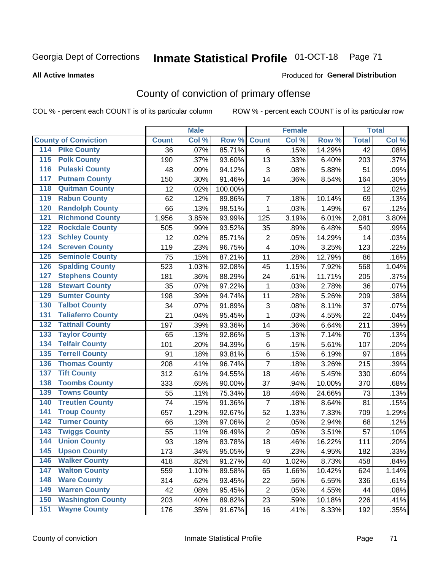# Inmate Statistical Profile 01-OCT-18 Page 71

#### **All Active Inmates**

#### Produced for General Distribution

## County of conviction of primary offense

COL % - percent each COUNT is of its particular column

|                                          |              | <b>Male</b> |         |                         | <b>Female</b> |        |                 | <b>Total</b> |
|------------------------------------------|--------------|-------------|---------|-------------------------|---------------|--------|-----------------|--------------|
| <b>County of Conviction</b>              | <b>Count</b> | Col %       | Row %   | <b>Count</b>            | Col %         | Row %  | <b>Total</b>    | Col %        |
| 114 Pike County                          | 36           | .07%        | 85.71%  | 6                       | .15%          | 14.29% | $\overline{42}$ | .08%         |
| <b>Polk County</b><br>$\overline{115}$   | 190          | .37%        | 93.60%  | 13                      | .33%          | 6.40%  | 203             | .37%         |
| <b>Pulaski County</b><br>116             | 48           | .09%        | 94.12%  | 3                       | .08%          | 5.88%  | 51              | .09%         |
| 117<br><b>Putnam County</b>              | 150          | .30%        | 91.46%  | 14                      | .36%          | 8.54%  | 164             | .30%         |
| <b>Quitman County</b><br>118             | 12           | .02%        | 100.00% |                         |               |        | 12              | .02%         |
| <b>Rabun County</b><br>119               | 62           | .12%        | 89.86%  | $\overline{7}$          | .18%          | 10.14% | 69              | .13%         |
| <b>Randolph County</b><br>120            | 66           | .13%        | 98.51%  | 1                       | .03%          | 1.49%  | 67              | .12%         |
| <b>Richmond County</b><br>121            | 1,956        | 3.85%       | 93.99%  | 125                     | 3.19%         | 6.01%  | 2,081           | 3.80%        |
| <b>Rockdale County</b><br>122            | 505          | .99%        | 93.52%  | 35                      | .89%          | 6.48%  | 540             | .99%         |
| <b>Schley County</b><br>123              | 12           | .02%        | 85.71%  | $\boldsymbol{2}$        | .05%          | 14.29% | 14              | .03%         |
| <b>Screven County</b><br>124             | 119          | .23%        | 96.75%  | $\overline{\mathbf{4}}$ | .10%          | 3.25%  | 123             | .22%         |
| <b>Seminole County</b><br>125            | 75           | .15%        | 87.21%  | 11                      | .28%          | 12.79% | 86              | .16%         |
| <b>Spalding County</b><br>126            | 523          | 1.03%       | 92.08%  | 45                      | 1.15%         | 7.92%  | 568             | 1.04%        |
| <b>Stephens County</b><br>127            | 181          | .36%        | 88.29%  | 24                      | .61%          | 11.71% | 205             | .37%         |
| <b>Stewart County</b><br>128             | 35           | .07%        | 97.22%  | 1                       | .03%          | 2.78%  | 36              | .07%         |
| <b>Sumter County</b><br>129              | 198          | .39%        | 94.74%  | 11                      | .28%          | 5.26%  | 209             | .38%         |
| <b>Talbot County</b><br>130              | 34           | .07%        | 91.89%  | 3                       | .08%          | 8.11%  | 37              | .07%         |
| <b>Taliaferro County</b><br>131          | 21           | .04%        | 95.45%  | $\mathbf{1}$            | .03%          | 4.55%  | 22              | .04%         |
| <b>Tattnall County</b><br>132            | 197          | .39%        | 93.36%  | 14                      | .36%          | 6.64%  | 211             | .39%         |
| <b>Taylor County</b><br>133              | 65           | .13%        | 92.86%  | $\mathbf 5$             | .13%          | 7.14%  | 70              | .13%         |
| <b>Telfair County</b><br>134             | 101          | .20%        | 94.39%  | $\,6$                   | .15%          | 5.61%  | 107             | .20%         |
| <b>Terrell County</b><br>135             | 91           | .18%        | 93.81%  | $\,6$                   | .15%          | 6.19%  | 97              | .18%         |
| <b>Thomas County</b><br>136              | 208          | .41%        | 96.74%  | $\overline{7}$          | .18%          | 3.26%  | 215             | .39%         |
| <b>Tift County</b><br>137                | 312          | .61%        | 94.55%  | 18                      | .46%          | 5.45%  | 330             | .60%         |
| <b>Toombs County</b><br>138              | 333          | .65%        | 90.00%  | 37                      | .94%          | 10.00% | 370             | .68%         |
| <b>Towns County</b><br>139               | 55           | .11%        | 75.34%  | 18                      | .46%          | 24.66% | 73              | .13%         |
| <b>Treutlen County</b><br>140            | 74           | .15%        | 91.36%  | $\overline{7}$          | .18%          | 8.64%  | 81              | .15%         |
| <b>Troup County</b><br>141               | 657          | 1.29%       | 92.67%  | 52                      | 1.33%         | 7.33%  | 709             | 1.29%        |
| <b>Turner County</b><br>142              | 66           | .13%        | 97.06%  | $\overline{2}$          | .05%          | 2.94%  | 68              | .12%         |
| <b>Twiggs County</b><br>$\overline{143}$ | 55           | .11%        | 96.49%  | $\overline{2}$          | .05%          | 3.51%  | 57              | .10%         |
| <b>Union County</b><br>144               | 93           | .18%        | 83.78%  | 18                      | .46%          | 16.22% | 111             | .20%         |
| 145<br><b>Upson County</b>               | 173          | .34%        | 95.05%  | 9                       | .23%          | 4.95%  | 182             | .33%         |
| <b>Walker County</b><br>146              | 418          | .82%        | 91.27%  | 40                      | 1.02%         | 8.73%  | 458             | .84%         |
| <b>Walton County</b><br>147              | 559          | 1.10%       | 89.58%  | 65                      | 1.66%         | 10.42% | 624             | 1.14%        |
| <b>Ware County</b><br>148                | 314          | .62%        | 93.45%  | 22                      | .56%          | 6.55%  | 336             | .61%         |
| <b>Warren County</b><br>149              | 42           | .08%        | 95.45%  | $\overline{2}$          | .05%          | 4.55%  | 44              | .08%         |
| <b>Washington County</b><br>150          | 203          | .40%        | 89.82%  | 23                      | .59%          | 10.18% | 226             | .41%         |
| <b>Wayne County</b><br>151               | 176          | .35%        | 91.67%  | 16                      | .41%          | 8.33%  | 192             | .35%         |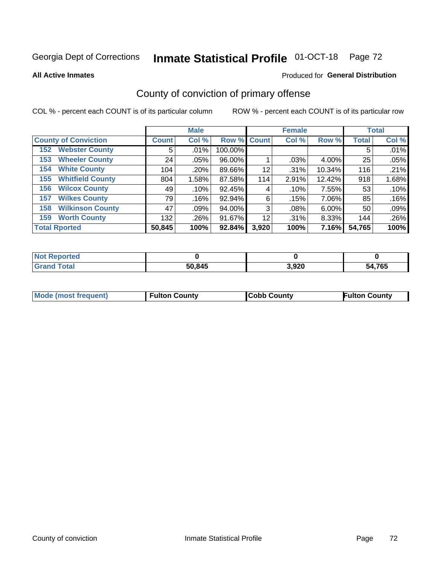# Inmate Statistical Profile 01-OCT-18 Page 72

**All Active Inmates** 

#### Produced for General Distribution

## County of conviction of primary offense

COL % - percent each COUNT is of its particular column

|                                |              | <b>Male</b> |             |       | <b>Female</b> |        |              | <b>Total</b> |
|--------------------------------|--------------|-------------|-------------|-------|---------------|--------|--------------|--------------|
| <b>County of Conviction</b>    | <b>Count</b> | Col %       | Row % Count |       | Col %         | Row %  | <b>Total</b> | Col %        |
| <b>Webster County</b><br>152   | 5            | .01%        | 100.00%     |       |               |        | 5            | .01%         |
| <b>Wheeler County</b><br>153   | 24           | $.05\%$     | 96.00%      |       | .03%          | 4.00%  | 25           | .05%         |
| <b>White County</b><br>154     | 104          | .20%        | 89.66%      | 12    | .31%          | 10.34% | 116          | .21%         |
| <b>Whitfield County</b><br>155 | 804          | 1.58%       | 87.58%      | 114   | 2.91%         | 12.42% | 918          | 1.68%        |
| <b>Wilcox County</b><br>156    | 49           | .10%        | 92.45%      | 4     | .10%          | 7.55%  | 53           | .10%         |
| <b>Wilkes County</b><br>157    | 79           | .16%        | 92.94%      | 6     | .15%          | 7.06%  | 85           | .16%         |
| <b>Wilkinson County</b><br>158 | 47           | .09%        | 94.00%      | 3     | .08%          | 6.00%  | 50           | .09%         |
| <b>Worth County</b><br>159     | 132          | .26%        | 91.67%      | 12    | $.31\%$       | 8.33%  | 144          | .26%         |
| <b>Total Rported</b>           | 50,845       | 100%        | 92.84%      | 3,920 | 100%          | 7.16%  | 54,765       | 100%         |

| <b>Not Reported</b> |        |       |        |
|---------------------|--------|-------|--------|
| <b>Grand Total</b>  | 50,845 | 3,920 | 54,765 |

| <b>Mode (most frequent)</b> | <b>Fulton County</b> | <b>ICobb County</b> | <b>Fulton County</b> |
|-----------------------------|----------------------|---------------------|----------------------|
|                             |                      |                     |                      |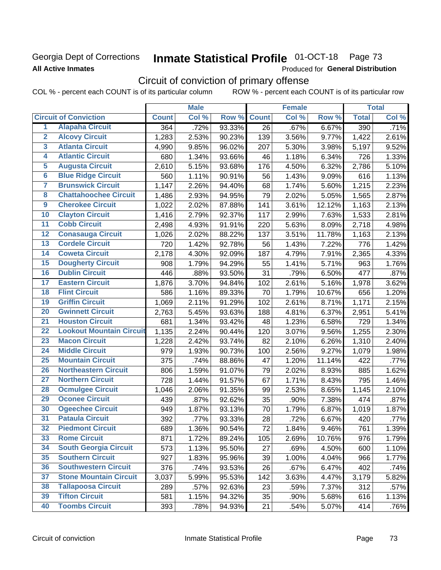## **Georgia Dept of Corrections All Active Inmates**

# Inmate Statistical Profile 01-OCT-18 Page 73

Produced for General Distribution

## Circuit of conviction of primary offense

COL % - percent each COUNT is of its particular column ROW % - percent each COUNT is of its particular row

|                         |                                 |              | <b>Male</b> |        |              | <b>Female</b> |        |              | <b>Total</b> |
|-------------------------|---------------------------------|--------------|-------------|--------|--------------|---------------|--------|--------------|--------------|
|                         | <b>Circuit of Conviction</b>    | <b>Count</b> | Col %       | Row %  | <b>Count</b> | Col %         | Row %  | <b>Total</b> | Col %        |
| 1                       | <b>Alapaha Circuit</b>          | 364          | .72%        | 93.33% | 26           | .67%          | 6.67%  | 390          | .71%         |
| $\overline{2}$          | <b>Alcovy Circuit</b>           | 1,283        | 2.53%       | 90.23% | 139          | 3.56%         | 9.77%  | 1,422        | 2.61%        |
| $\overline{\mathbf{3}}$ | <b>Atlanta Circuit</b>          | 4,990        | 9.85%       | 96.02% | 207          | 5.30%         | 3.98%  | 5,197        | 9.52%        |
| 4                       | <b>Atlantic Circuit</b>         | 680          | 1.34%       | 93.66% | 46           | 1.18%         | 6.34%  | 726          | 1.33%        |
| $\overline{5}$          | <b>Augusta Circuit</b>          | 2,610        | 5.15%       | 93.68% | 176          | 4.50%         | 6.32%  | 2,786        | 5.10%        |
| $\overline{\bf{6}}$     | <b>Blue Ridge Circuit</b>       | 560          | 1.11%       | 90.91% | 56           | 1.43%         | 9.09%  | 616          | 1.13%        |
| 7                       | <b>Brunswick Circuit</b>        | 1,147        | 2.26%       | 94.40% | 68           | 1.74%         | 5.60%  | 1,215        | 2.23%        |
| $\overline{\mathbf{8}}$ | <b>Chattahoochee Circuit</b>    | 1,486        | 2.93%       | 94.95% | 79           | 2.02%         | 5.05%  | 1,565        | 2.87%        |
| $\overline{9}$          | <b>Cherokee Circuit</b>         | 1,022        | 2.02%       | 87.88% | 141          | 3.61%         | 12.12% | 1,163        | 2.13%        |
| 10                      | <b>Clayton Circuit</b>          | 1,416        | 2.79%       | 92.37% | 117          | 2.99%         | 7.63%  | 1,533        | 2.81%        |
| $\overline{11}$         | <b>Cobb Circuit</b>             | 2,498        | 4.93%       | 91.91% | 220          | 5.63%         | 8.09%  | 2,718        | 4.98%        |
| $\overline{12}$         | <b>Conasauga Circuit</b>        | 1,026        | 2.02%       | 88.22% | 137          | 3.51%         | 11.78% | 1,163        | 2.13%        |
| 13                      | <b>Cordele Circuit</b>          | 720          | 1.42%       | 92.78% | 56           | 1.43%         | 7.22%  | 776          | 1.42%        |
| $\overline{14}$         | <b>Coweta Circuit</b>           | 2,178        | 4.30%       | 92.09% | 187          | 4.79%         | 7.91%  | 2,365        | 4.33%        |
| 15                      | <b>Dougherty Circuit</b>        | 908          | 1.79%       | 94.29% | 55           | 1.41%         | 5.71%  | 963          | 1.76%        |
| 16                      | <b>Dublin Circuit</b>           | 446          | .88%        | 93.50% | 31           | .79%          | 6.50%  | 477          | .87%         |
| 17                      | <b>Eastern Circuit</b>          | 1,876        | 3.70%       | 94.84% | 102          | 2.61%         | 5.16%  | 1,978        | 3.62%        |
| $\overline{18}$         | <b>Flint Circuit</b>            | 586          | 1.16%       | 89.33% | 70           | 1.79%         | 10.67% | 656          | 1.20%        |
| 19                      | <b>Griffin Circuit</b>          | 1,069        | 2.11%       | 91.29% | 102          | 2.61%         | 8.71%  | 1,171        | 2.15%        |
| $\overline{20}$         | <b>Gwinnett Circuit</b>         | 2,763        | 5.45%       | 93.63% | 188          | 4.81%         | 6.37%  | 2,951        | 5.41%        |
| $\overline{21}$         | <b>Houston Circuit</b>          | 681          | 1.34%       | 93.42% | 48           | 1.23%         | 6.58%  | 729          | 1.34%        |
| $\overline{22}$         | <b>Lookout Mountain Circuit</b> | 1,135        | 2.24%       | 90.44% | 120          | 3.07%         | 9.56%  | 1,255        | 2.30%        |
| 23                      | <b>Macon Circuit</b>            | 1,228        | 2.42%       | 93.74% | 82           | 2.10%         | 6.26%  | 1,310        | 2.40%        |
| $\overline{24}$         | <b>Middle Circuit</b>           | 979          | 1.93%       | 90.73% | 100          | 2.56%         | 9.27%  | 1,079        | 1.98%        |
| $\overline{25}$         | <b>Mountain Circuit</b>         | 375          | .74%        | 88.86% | 47           | 1.20%         | 11.14% | 422          | .77%         |
| 26                      | <b>Northeastern Circuit</b>     | 806          | 1.59%       | 91.07% | 79           | 2.02%         | 8.93%  | 885          | 1.62%        |
| $\overline{27}$         | <b>Northern Circuit</b>         | 728          | 1.44%       | 91.57% | 67           | 1.71%         | 8.43%  | 795          | 1.46%        |
| 28                      | <b>Ocmulgee Circuit</b>         | 1,046        | 2.06%       | 91.35% | 99           | 2.53%         | 8.65%  | 1,145        | 2.10%        |
| 29                      | <b>Oconee Circuit</b>           | 439          | .87%        | 92.62% | 35           | .90%          | 7.38%  | 474          | .87%         |
| 30                      | <b>Ogeechee Circuit</b>         | 949          | 1.87%       | 93.13% | 70           | 1.79%         | 6.87%  | 1,019        | 1.87%        |
| $\overline{31}$         | <b>Pataula Circuit</b>          | 392          | .77%        | 93.33% | 28           | .72%          | 6.67%  | 420          | .77%         |
| 32                      | <b>Piedmont Circuit</b>         | 689          | 1.36%       | 90.54% | 72           | 1.84%         | 9.46%  | 761          | 1.39%        |
| 33                      | <b>Rome Circuit</b>             | 871          | 1.72%       | 89.24% | 105          | 2.69%         | 10.76% | 976          | 1.79%        |
| 34                      | <b>South Georgia Circuit</b>    | 573          | 1.13%       | 95.50% | 27           | .69%          | 4.50%  | 600          | 1.10%        |
| 35                      | <b>Southern Circuit</b>         | 927          | 1.83%       | 95.96% | 39           | 1.00%         | 4.04%  | 966          | 1.77%        |
| 36                      | <b>Southwestern Circuit</b>     | 376          | .74%        | 93.53% | 26           | .67%          | 6.47%  | 402          | .74%         |
| 37                      | <b>Stone Mountain Circuit</b>   | 3,037        | 5.99%       | 95.53% | 142          | 3.63%         | 4.47%  | 3,179        | 5.82%        |
| 38                      | <b>Tallapoosa Circuit</b>       | 289          | .57%        | 92.63% | 23           | .59%          | 7.37%  | 312          | .57%         |
| 39                      | <b>Tifton Circuit</b>           | 581          | 1.15%       | 94.32% | 35           | .90%          | 5.68%  | 616          | 1.13%        |
| 40                      | <b>Toombs Circuit</b>           | 393          | .78%        | 94.93% | 21           | .54%          | 5.07%  | 414          | .76%         |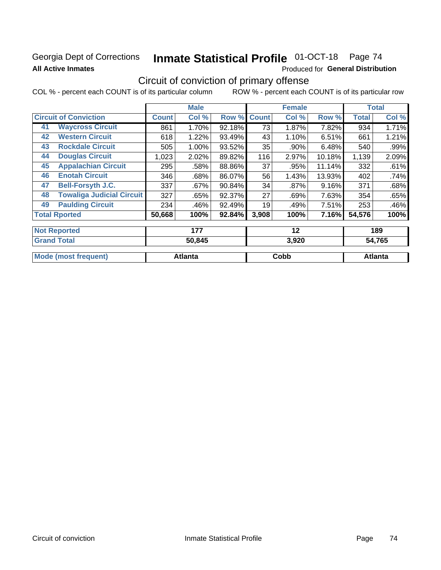## Georgia Dept of Corrections **All Active Inmates**

# Inmate Statistical Profile 01-OCT-18 Page 74

Produced for General Distribution

## Circuit of conviction of primary offense

COL % - percent each COUNT is of its particular column ROW % - percent each COUNT is of its particular row

|                      |                                  |              | <b>Male</b> |        |              | <b>Female</b> |        |              | <b>Total</b> |
|----------------------|----------------------------------|--------------|-------------|--------|--------------|---------------|--------|--------------|--------------|
|                      | <b>Circuit of Conviction</b>     | <b>Count</b> | Col %       | Row %  | <b>Count</b> | Col %         | Row %  | <b>Total</b> | Col %        |
| 41                   | <b>Waycross Circuit</b>          | 861          | 1.70%       | 92.18% | 73           | 1.87%         | 7.82%  | 934          | 1.71%        |
| 42                   | <b>Western Circuit</b>           | 618          | 1.22%       | 93.49% | 43           | 1.10%         | 6.51%  | 661          | 1.21%        |
| 43                   | <b>Rockdale Circuit</b>          | 505          | 1.00%       | 93.52% | 35           | .90%          | 6.48%  | 540          | .99%         |
| 44                   | <b>Douglas Circuit</b>           | 1,023        | 2.02%       | 89.82% | 116          | 2.97%         | 10.18% | 1,139        | 2.09%        |
| 45                   | <b>Appalachian Circuit</b>       | 295          | .58%        | 88.86% | 37           | .95%          | 11.14% | 332          | .61%         |
| 46                   | <b>Enotah Circuit</b>            | 346          | .68%        | 86.07% | 56           | 1.43%         | 13.93% | 402          | .74%         |
| 47                   | <b>Bell-Forsyth J.C.</b>         | 337          | .67%        | 90.84% | 34           | $.87\%$       | 9.16%  | 371          | .68%         |
| 48                   | <b>Towaliga Judicial Circuit</b> | 327          | .65%        | 92.37% | 27           | .69%          | 7.63%  | 354          | .65%         |
| 49                   | <b>Paulding Circuit</b>          | 234          | .46%        | 92.49% | 19           | .49%          | 7.51%  | 253          | .46%         |
| <b>Total Rported</b> |                                  | 50,668       | 100%        | 92.84% | 3,908        | 100%          | 7.16%  | 54,576       | 100%         |
|                      | <b>Not Reported</b>              |              | 177         |        |              | 12            |        |              | 189          |
|                      | <b>Grand Total</b>               |              | 50,845      |        | 3,920        |               | 54,765 |              |              |

|         | $\mathbf{v}$             | $\sim$ $\sim$ $\sim$ |
|---------|--------------------------|----------------------|
|         |                          |                      |
| Atlanta | Cobb                     | ⊿tlanta              |
|         | $\sim$ , $\sim$ , $\sim$ |                      |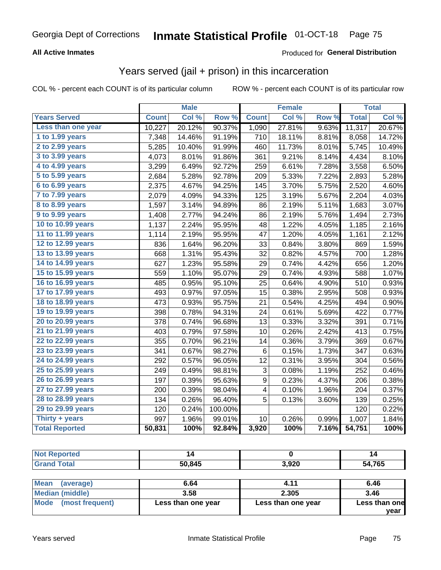#### **All Active Inmates**

### Produced for **General Distribution**

## Years served (jail + prison) in this incarceration

|                        |              | <b>Male</b> |         |                  | <b>Female</b> |       |              | <b>Total</b> |
|------------------------|--------------|-------------|---------|------------------|---------------|-------|--------------|--------------|
| <b>Years Served</b>    | <b>Count</b> | Col %       | Row %   | <b>Count</b>     | Col %         | Row % | <b>Total</b> | Col%         |
| Less than one year     | 10,227       | 20.12%      | 90.37%  | 1,090            | 27.81%        | 9.63% | 11,317       | 20.67%       |
| 1 to 1.99 years        | 7,348        | 14.46%      | 91.19%  | 710              | 18.11%        | 8.81% | 8,058        | 14.72%       |
| 2 to 2.99 years        | 5,285        | 10.40%      | 91.99%  | 460              | 11.73%        | 8.01% | 5,745        | 10.49%       |
| 3 to 3.99 years        | 4,073        | 8.01%       | 91.86%  | 361              | 9.21%         | 8.14% | 4,434        | 8.10%        |
| 4 to 4.99 years        | 3,299        | 6.49%       | 92.72%  | 259              | 6.61%         | 7.28% | 3,558        | 6.50%        |
| 5 to 5.99 years        | 2,684        | 5.28%       | 92.78%  | 209              | 5.33%         | 7.22% | 2,893        | 5.28%        |
| 6 to 6.99 years        | 2,375        | 4.67%       | 94.25%  | 145              | 3.70%         | 5.75% | 2,520        | 4.60%        |
| 7 to 7.99 years        | 2,079        | 4.09%       | 94.33%  | 125              | 3.19%         | 5.67% | 2,204        | 4.03%        |
| <b>8 to 8.99 years</b> | 1,597        | 3.14%       | 94.89%  | 86               | 2.19%         | 5.11% | 1,683        | 3.07%        |
| 9 to 9.99 years        | 1,408        | 2.77%       | 94.24%  | 86               | 2.19%         | 5.76% | 1,494        | 2.73%        |
| 10 to 10.99 years      | 1,137        | 2.24%       | 95.95%  | 48               | 1.22%         | 4.05% | 1,185        | 2.16%        |
| 11 to 11.99 years      | 1,114        | 2.19%       | 95.95%  | 47               | 1.20%         | 4.05% | 1,161        | 2.12%        |
| 12 to 12.99 years      | 836          | 1.64%       | 96.20%  | 33               | 0.84%         | 3.80% | 869          | 1.59%        |
| 13 to 13.99 years      | 668          | 1.31%       | 95.43%  | 32               | 0.82%         | 4.57% | 700          | 1.28%        |
| 14 to 14.99 years      | 627          | 1.23%       | 95.58%  | 29               | 0.74%         | 4.42% | 656          | 1.20%        |
| 15 to 15.99 years      | 559          | 1.10%       | 95.07%  | 29               | 0.74%         | 4.93% | 588          | 1.07%        |
| 16 to 16.99 years      | 485          | 0.95%       | 95.10%  | 25               | 0.64%         | 4.90% | 510          | 0.93%        |
| 17 to 17.99 years      | 493          | 0.97%       | 97.05%  | 15               | 0.38%         | 2.95% | 508          | 0.93%        |
| 18 to 18.99 years      | 473          | 0.93%       | 95.75%  | 21               | 0.54%         | 4.25% | 494          | 0.90%        |
| 19 to 19.99 years      | 398          | 0.78%       | 94.31%  | 24               | 0.61%         | 5.69% | 422          | 0.77%        |
| 20 to 20.99 years      | 378          | 0.74%       | 96.68%  | 13               | 0.33%         | 3.32% | 391          | 0.71%        |
| 21 to 21.99 years      | 403          | 0.79%       | 97.58%  | 10               | 0.26%         | 2.42% | 413          | 0.75%        |
| 22 to 22.99 years      | 355          | 0.70%       | 96.21%  | 14               | 0.36%         | 3.79% | 369          | 0.67%        |
| 23 to 23.99 years      | 341          | 0.67%       | 98.27%  | $\,6\,$          | 0.15%         | 1.73% | 347          | 0.63%        |
| 24 to 24.99 years      | 292          | 0.57%       | 96.05%  | 12               | 0.31%         | 3.95% | 304          | 0.56%        |
| 25 to 25.99 years      | 249          | 0.49%       | 98.81%  | 3                | 0.08%         | 1.19% | 252          | 0.46%        |
| 26 to 26.99 years      | 197          | 0.39%       | 95.63%  | $\boldsymbol{9}$ | 0.23%         | 4.37% | 206          | 0.38%        |
| 27 to 27.99 years      | 200          | 0.39%       | 98.04%  | 4                | 0.10%         | 1.96% | 204          | 0.37%        |
| 28 to 28.99 years      | 134          | 0.26%       | 96.40%  | 5                | 0.13%         | 3.60% | 139          | 0.25%        |
| 29 to 29.99 years      | 120          | 0.24%       | 100.00% |                  |               |       | 120          | 0.22%        |
| Thirty + years         | 997          | 1.96%       | 99.01%  | 10               | 0.26%         | 0.99% | 1,007        | 1.84%        |
| <b>Total Reported</b>  | 50,831       | 100%        | 92.84%  | 3,920            | 100%          | 7.16% | 54,751       | 100%         |

| teo  |        |                | . c         |
|------|--------|----------------|-------------|
| υιαι | 50 845 | חמם פ<br>J,JLV | 4,765<br>54 |

| <b>Mean</b><br>(average) | 6.64               | 4.11               | 6.46          |
|--------------------------|--------------------|--------------------|---------------|
| Median (middle)          | 3.58               | 2.305              | 3.46          |
| Mode (most frequent)     | Less than one year | Less than one year | Less than one |
|                          |                    |                    | vear          |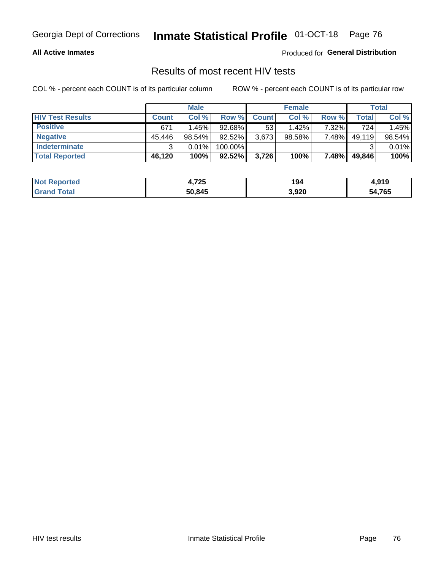#### **All Active Inmates**

Produced for **General Distribution**

### Results of most recent HIV tests

|                         |              | <b>Male</b> |           |              | <b>Female</b> |          |        | Total  |
|-------------------------|--------------|-------------|-----------|--------------|---------------|----------|--------|--------|
| <b>HIV Test Results</b> | <b>Count</b> | Col%        | Row %I    | <b>Count</b> | Col %         | Row %    | Total  | Col %  |
| <b>Positive</b>         | 671          | 1.45%       | 92.68%    | 53           | $1.42\%$      | $7.32\%$ | 724    | 1.45%  |
| <b>Negative</b>         | 45,446       | 98.54%      | 92.52%    | 3,673        | $98.58\%$     | 7.48%    | 49,119 | 98.54% |
| Indeterminate           | າ            | 0.01%       | 100.00%   |              |               |          |        | 0.01%  |
| <b>Total Reported</b>   | 46,120       | 100%        | $92.52\%$ | 3,726        | 100%          | 7.48%    | 49,846 | 100%   |

| <b>Not Reported</b> | 4,725  | 194   | 0.40<br>4. J I J |
|---------------------|--------|-------|------------------|
| Total<br>Gran       | 50,845 | 3,920 | 54,765<br>54     |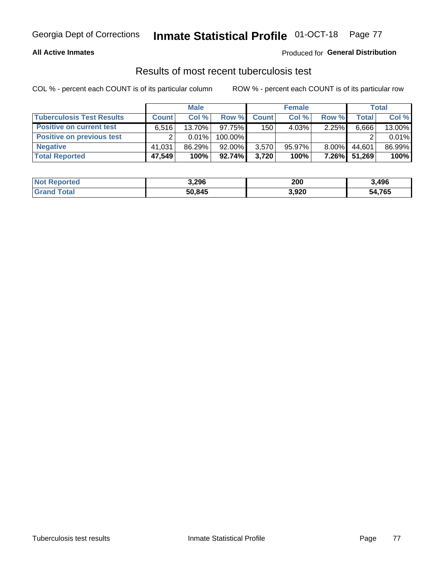#### **All Active Inmates**

#### Produced for **General Distribution**

### Results of most recent tuberculosis test

|                                  |              | <b>Male</b> |           |              | <b>Female</b> |          |        | Total  |
|----------------------------------|--------------|-------------|-----------|--------------|---------------|----------|--------|--------|
| <b>Tuberculosis Test Results</b> | <b>Count</b> | Col %       | Row %     | <b>Count</b> | Col %         | Row %    | Total  | Col %  |
| <b>Positive on current test</b>  | 6.516        | 13.70%      | 97.75%    | 150          | 4.03%         | 2.25%    | 6,666  | 13.00% |
| Positive on previous test        |              | 0.01%       | 100.00%   |              |               |          |        | 0.01%  |
| <b>Negative</b>                  | 41.031       | 86.29%      | $92.00\%$ | 3,570        | $95.97\%$     | $8.00\%$ | 44.601 | 86.99% |
| <b>Total Reported</b>            | 47,549       | 100%        | $92.74\%$ | 3.720        | 100%          | $7.26\%$ | 51,269 | 100%   |

| <b>Not Reported</b> | 3,296  | 200   | 3,496  |
|---------------------|--------|-------|--------|
| Total<br>Grand      | 50,845 | 3,920 | 54,765 |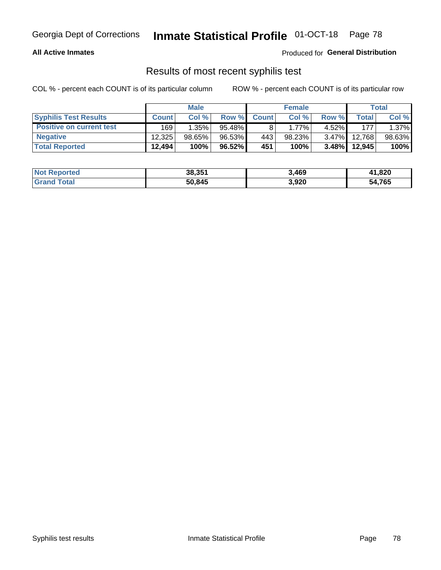#### **All Active Inmates**

Produced for **General Distribution**

### Results of most recent syphilis test

|                                 |              | <b>Male</b> |        |              | <b>Female</b> |          |         | Total  |
|---------------------------------|--------------|-------------|--------|--------------|---------------|----------|---------|--------|
| <b>Syphilis Test Results</b>    | <b>Count</b> | Col%        | Row %  | <b>Count</b> | Col %         | Row %    | Total I | Col %  |
| <b>Positive on current test</b> | 169          | $1.35\%$    | 95.48% |              | $1.77\%$      | $4.52\%$ | 177     | 1.37%  |
| <b>Negative</b>                 | 12.325       | 98.65%      | 96.53% | 443          | 98.23%        | $3.47\%$ | 12.768  | 98.63% |
| <b>Total Reported</b>           | 12,494       | 100%        | 96.52% | 451          | 100%          | $3.48\%$ | 12,945  | 100%   |

| <b>Not Reported</b> | 38,351 | 3,469 | 41,820 |
|---------------------|--------|-------|--------|
| <b>Grand Total</b>  | 50,845 | 3,920 | 54,765 |